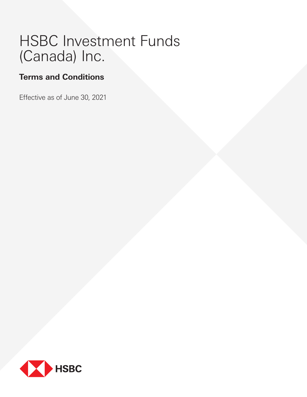# HSBC Investment Funds (Canada) Inc.

## **Terms and Conditions**

Effective as of June 30, 2021

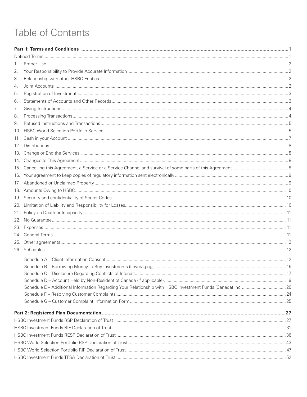## Table of Contents

| 1.  |  |  |
|-----|--|--|
| 2.  |  |  |
| 3.  |  |  |
| 4.  |  |  |
| 5.  |  |  |
| 6.  |  |  |
| 7.  |  |  |
| 8.  |  |  |
| 9.  |  |  |
| 10. |  |  |
| 11. |  |  |
| 12. |  |  |
|     |  |  |
|     |  |  |
|     |  |  |
|     |  |  |
|     |  |  |
|     |  |  |
|     |  |  |
|     |  |  |
| 21. |  |  |
|     |  |  |
|     |  |  |
|     |  |  |
|     |  |  |
|     |  |  |
|     |  |  |
|     |  |  |
|     |  |  |
|     |  |  |
|     |  |  |
|     |  |  |
|     |  |  |
|     |  |  |
|     |  |  |
|     |  |  |
|     |  |  |
|     |  |  |
|     |  |  |
|     |  |  |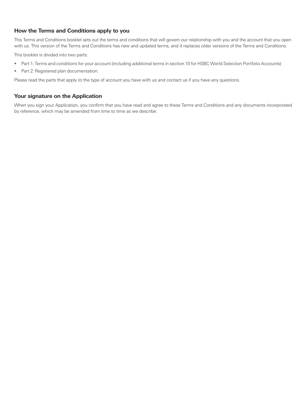## **How the Terms and Conditions apply to you**

This Terms and Conditions booklet sets out the terms and conditions that will govern our relationship with you and the account that you open with us. This version of the Terms and Conditions has new and updated terms, and it replaces older versions of the Terms and Conditions.

This booklet is divided into two parts:

- Part 1: Terms and conditions for your account (including additional terms in section 10 for HSBC World Selection Portfolio Accounts)
- Part 2: Registered plan documentation.

Please read the parts that apply to the type of account you have with us and contact us if you have any questions.

## **Your signature on the Application**

When you sign your Application, you confirm that you have read and agree to these Terms and Conditions and any documents incorporated by reference, which may be amended from time to time as we describe.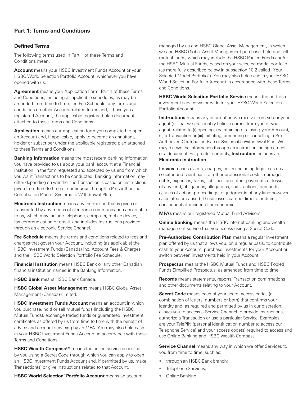## <span id="page-4-0"></span>**Part 1: Terms and Conditions**

#### **Defined Terms**

The following terms used in Part 1 of these Terms and Conditions mean:

**Account** means your HSBC Investment Funds Account or your HSBC World Selection Portfolio Account, whichever you have opened with us.

**Agreement** means your Application Form, Part 1 of these Terms and Conditions, including all applicable schedules, as may be amended from time to time, the Fee Schedule, any terms and conditions on other Account related forms and, if have you a registered Account, the applicable registered plan document attached to these Terms and Conditions.

**Application** means our application form you completed to open an Account and, if applicable, apply to become an annuitant, holder or subscriber under the applicable registered plan attached to these Terms and Conditions.

**Banking Information** means the most recent banking information you have provided to us about your bank account at a Financial Institution, in the form requested and accepted by us and from which you want Transactions to be conducted. Banking Information may differ depending on whether the Transaction is based on Instructions given from time to time or continuous through a Pre-Authorized Contribution Plan or Systematic Withdrawal Plan.

**Electronic Instruction** means any Instruction that is given or transmitted by any means of electronic communication acceptable to us, which may include telephone, computer, mobile device, fax communication or email, and includes Instructions provided through an electronic Service Channel.

**Fee Schedule** means the terms and conditions related to fees and charges that govern your Account, including (as applicable) the HSBC Investment Funds (Canada) Inc. Account Fees & Charges and the HSBC World Selection Portfolio Fee Schedule.

**Financial Institution** means HSBC Bank or any other Canadian financial institution named in the Banking Information.

**HSBC Bank** means HSBC Bank Canada.

**HSBC Global Asset Management** means HSBC Global Asset Management (Canada) Limited.

**HSBC Investment Funds Account** means an account in which you purchase, hold or sell mutual funds (including the HSBC Mutual Funds), exchange traded funds or guaranteed investment certificates as offered by us from time to time with the benefit of advice and account servicing by an MFA. You may also hold cash in your HSBC Investment Funds Account in accordance with these Terms and Conditions.

**HSBC Wealth Compass™** means the online service accessed by you using a Secret Code through which you can apply to open an HSBC Investment Funds Account and, if permitted by us, make Transaction(s) or give Instructions related to that Account.

**HSBC World Selection® Portfolio Account** means an account

managed by us and HSBC Global Asset Management, in which we and HSBC Global Asset Management purchase, hold and sell mutual funds, which may include the HSBC Pooled Funds and/or the HSBC Mutual Funds, based on your selected model portfolio (as more fully described below in subsection 10.2 called "Your Selected Model Portfolio"). You may also hold cash in your HSBC World Selection Portfolio Account in accordance with these Terms and Conditions.

**HSBC World Selection Portfolio Service** means the portfolio investment service we provide for your HSBC World Selection Portfolio Account.

**Instructions** means any information we receive from you or your agent (or that we reasonably believe comes from you or your agent) related to (i) opening, maintaining or closing your Account, (ii) a Transaction or (iii) initiating, amending or cancelling a Pre-Authorized Contribution Plan or Systematic Withdrawal Plan. We may receive the information through an instruction, an agreement or a document. For greater certainty, **Instruction** includes an **Electronic Instruction**.

**Losses** means claims, charges, costs (including legal fees on a solicitor and client basis or other professional costs), damages, debts, expenses, taxes, liabilities, and other payments or losses of any kind, obligations, allegations, suits, actions, demands, causes of action, proceedings, or judgments of any kind however calculated or caused. These losses can be direct or indirect, consequential, incidental or economic.

**MFAs** means our registered Mutual Fund Advisors.

**Online Banking** means the HSBC internet banking and wealth management service that you access using a Secret Code.

**Pre-Authorized Contribution Plan** means a regular investment plan offered by us that allows you, on a regular basis, to contribute cash to your Account, purchase investments for your Account or switch between investments held in your Account.

**Prospectus** means the HSBC Mutual Funds and HSBC Pooled Funds Simplified Prospectus, as amended from time to time.

**Records** means statements, reports, Transaction confirmations and other documents relating to your Account.

**Secret Code** means each of your secret access codes (a combination of letters, numbers or both) that confirms your identity and, as required and permitted by us in our discretion, allows you to access a Service Channel to provide Instructions, authorize a Transaction or use a particular Service. Examples are your TelePIN (personal identification number to access our Telephone Service) and your access code(s) required to access and use Online Banking and HSBC Wealth Compass.

**Service Channel** means any way in which we offer Services to you from time to time, such as:

- through an HSBC Bank branch;
- Telephone Services;
- Online Banking;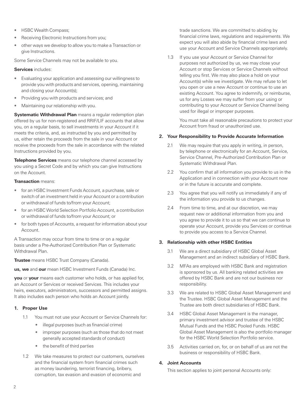- <span id="page-5-0"></span>• HSBC Wealth Compass;
- Receiving Electronic Instructions from you;
- other ways we develop to allow you to make a Transaction or give Instructions.

Some Service Channels may not be available to you.

#### **Services** includes:

- Evaluating your application and assessing our willingness to provide you with products and services, opening, maintaining and closing your Account(s);
- Providing you with products and services; and
- Maintaining our relationship with you.

**Systematic Withdrawal Plan** means a regular redemption plan offered by us for non-registered and RRIF/LIF accounts that allow you, on a regular basis, to sell investments in your Account if it meets the criteria, and, as instructed by you and permitted by us, either retain the proceeds from the sale in your Account or receive the proceeds from the sale in accordance with the related Instructions provided by you.

**Telephone Services** means our telephone channel accessed by you using a Secret Code and by which you can give Instructions on the Account.

#### **Transaction** means:

- for an HSBC Investment Funds Account, a purchase, sale or switch of an investment held in your Account or a contribution or withdrawal of funds to/from your Account;
- for an HSBC World Selection Portfolio Account, a contribution or withdrawal of funds to/from your Account; or
- for both types of Accounts, a request for information about your Account.

A Transaction may occur from time to time or on a regular basis under a Pre-Authorized Contribution Plan or Systematic Withdrawal Plan.

**Trustee** means HSBC Trust Company (Canada).

**us, we** and **our** mean HSBC Investment Funds (Canada) Inc.

**you** or **your** means each customer who holds, or has applied for, an Account or Services or received Services. This includes your heirs, executors, administrators, successors and permitted assigns. It also includes each person who holds an Account jointly.

#### **1. Proper Use**

- 1.1 You must not use your Account or Service Channels for:
	- illegal purposes (such as financial crime)
	- improper purposes (such as those that do not meet generally accepted standards of conduct)
	- the benefit of third parties
- 1.2 We take measures to protect our customers, ourselves and the financial system from financial crimes such as money laundering, terrorist financing, bribery, corruption, tax evasion and evasion of economic and

trade sanctions. We are committed to abiding by financial crime laws, regulations and requirements. We expect you will also abide by financial crime laws and use your Account and Service Channels appropriately.

1.3 If you use your Account or Service Channel for purposes not authorized by us, we may close your Account or stop Services or Service Channels without telling you first. We may also place a hold on your Account(s) while we investigate. We may refuse to let you open or use a new Account or continue to use an existing Account. You agree to indemnify, or reimburse, us for any Losses we may suffer from your using or contributing to your Account or Service Channel being used for illegal or improper purposes.

You must take all reasonable precautions to protect your Account from fraud or unauthorized use.

#### **2. Your Responsibility to Provide Accurate Information**

- 2.1 We may require that you apply in writing, in person, by telephone or electronically for an Account, Service, Service Channel, Pre-Authorized Contribution Plan or Systematic Withdrawal Plan.
- 2.2 You confirm that all information you provide to us in the Application and in connection with your Account now or in the future is accurate and complete.
- 2.3 You agree that you will notify us immediately if any of the information you provide to us changes.
- 2.4 From time to time, and at our discretion, we may request new or additional information from you and you agree to provide it to us so that we can continue to operate your Account, provide you Services or continue to provide you access to a Service Channel.

#### **3. Relationship with other HSBC Entities**

- 3.1 We are a direct subsidiary of HSBC Global Asset Management and an indirect subsidiary of HSBC Bank.
- 3.2 MFAs are employed with HSBC Bank and registration is sponsored by us. All banking related activities are offered by HSBC Bank and are not our business nor responsibility.
- 3.3 We are related to HSBC Global Asset Management and the Trustee. HSBC Global Asset Management and the Trustee are both direct subsidiaries of HSBC Bank.
- 3.4 HSBC Global Asset Management is the manager, primary investment advisor and trustee of the HSBC Mutual Funds and the HSBC Pooled Funds. HSBC Global Asset Management is also the portfolio manager for the HSBC World Selection Portfolio service.
- 3.5 Activities carried on, for, or on behalf of us are not the business or responsibility of HSBC Bank.

#### **4. Joint Accounts**

This section applies to joint personal Accounts only: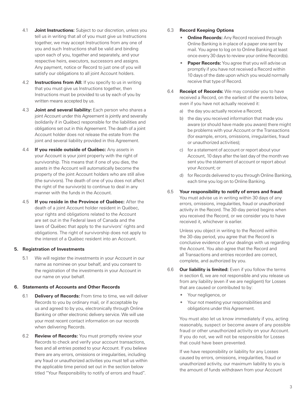- <span id="page-6-0"></span>4.1 **Joint Instructions:** Subject to our discretion, unless you tell us in writing that all of you must give us Instructions together, we may accept Instructions from any one of you and such Instructions shall be valid and binding upon each of you, together and separately, and your respective heirs, executors, successors and assigns. Any payment, notice or Record to just one of you will satisfy our obligations to all joint Account holders.
- 4.2 **Instructions from All:** If you specify to us in writing that you must give us Instructions together, then Instructions must be provided to us by each of you by written means accepted by us.
- 4.3 **Joint and several liability:** Each person who shares a joint Account under this Agreement is jointly and severally (solidarily if in Québec) responsible for the liabilities and obligations set out in this Agreement. The death of a joint Account holder does not release the estate from the joint and several liability provided in this Agreement.
- 4.4 **If you reside outside of Québec:** Any assets in your Account is your joint property with the right of survivorship. This means that if one of you dies, the assets in the Account will automatically become the property of the joint Account holders who are still alive (the survivors). The death of one of you does not affect the right of the survivor(s) to continue to deal in any manner with the funds in the Account.
- 4.5 **If you reside in the Province of Québec:** After the death of a joint Account holder resident in Québec, your rights and obligations related to the Account are set out in the Federal laws of Canada and the laws of Québec that apply to the survivors' rights and obligations. The right of survivorship does not apply to the interest of a Québec resident into an Account.

#### **5. Registration of Investments**

5.1 We will register the investments in your Account in our name as nominee on your behalf, and you consent to the registration of the investments in your Account in our name on your behalf.

#### **6. Statements of Accounts and Other Records**

- 6.1 **Delivery of Records:** From time to time, we will deliver Records to you by ordinary mail, or if acceptable by us and agreed to by you, electronically through Online Banking or other electronic delivery service. We will use your most recent contact information on our records when delivering Records.
- 6.2 **Review of Records:** You must promptly review your Records to check and verify your account transactions, fees and all entries posted to your Account. If you believe there are any errors, omissions or irregularities, including any fraud or unauthorized activities you must tell us within the applicable time period set out in the section below titled "Your Responsibility to notify of errors and fraud".

#### 6.3 **Record Keeping Options**

- **Online Records:** Any Record received through Online Banking is in place of a paper one sent by mail. You agree to log on to Online Banking at least once every 30 days to review your online Record(s).
- **Paper Records:** You agree that you will advise us promptly if you have not received a Record within 10 days of the date upon which you would normally receive that type of Record.
- 6.4 **Receipt of Records:** We may consider you to have received a Record, on the earliest of the events below, even if you have not actually received it:
	- a) the day you actually receive a Record;
	- b) the day you received information that made you aware (or should have made you aware) there might be problems with your Account or the Transactions (for example, errors, omissions, irregularities, fraud or unauthorized activities);
	- c) for a statement of account or report about your Account, 10 days after the last day of the month we sent you the statement of account or report about your Account; or
	- d) for Records delivered to you through Online Banking, each time you log on to Online Banking.
- 6.5 **Your responsibility to notify of errors and fraud:**  You must advise us in writing within 30 days of any errors, omissions, irregularities, fraud or unauthorized activity in the Record. The 30-day period begins when you received the Record, or we consider you to have received it, whichever is earlier.

Unless you object in writing to the Record within the 30-day period, you agree that the Record is conclusive evidence of your dealings with us regarding the Account. You also agree that the Record and all Transactions and entries recorded are correct, complete, and authorized by you.

- 6.6 **Our liability is limited:** Even if you follow the terms in section 6, we are not responsible and you release us from any liability (even if we are negligent) for Losses that are caused or contributed to by:
	- Your negligence, or
	- Your not meeting your responsibilities and obligations under this Agreement.

You must also let us know immediately if you, acting reasonably, suspect or become aware of any possible fraud or other unauthorized activity on your Account. If you do not, we will not be responsible for Losses that could have been prevented.

If we have responsibility or liability for any Losses caused by errors, omissions, irregularities, fraud or unauthorized activity, our maximum liability to you is the amount of funds withdrawn from your Account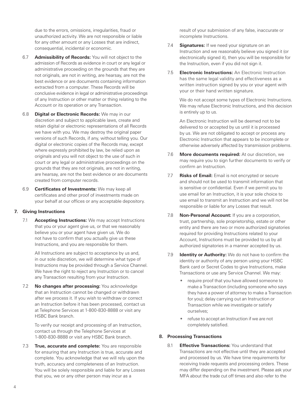<span id="page-7-0"></span>due to the errors, omissions, irregularities, fraud or unauthorized activity. We are not responsible or liable for any other amount or any Losses that are indirect, consequential, incidental or economic.

- 6.7 **Admissibility of Records:** You will not object to the admission of Records as evidence in court or any legal or administrative proceeding on the grounds that they are not originals, are not in writing, are hearsay, are not the best evidence or are documents containing information extracted from a computer. These Records will be conclusive evidence in legal or administrative proceedings of any Instruction or other matter or thing relating to the Account or its operation or any Transaction.
- 6.8 **Digital or Electronic Records:** We may in our discretion and subject to applicable laws, create and retain digital or electronic representations of all Records we have with you. We may destroy the original paper versions of such Records, if any, without telling you. Our digital or electronic copies of the Records may, except where expressly prohibited by law, be relied upon as originals and you will not object to the use of such in court or any legal or administrative proceedings on the grounds that they are not originals, are not in writing, are hearsay, are not the best evidence or are documents created from computer records.
- 6.9 **Certificates of Investments:** We may keep all certificates and other proof of investments made on your behalf at our offices or any acceptable depository.

#### **7. Giving Instructions**

7.1 **Accepting Instructions:** We may accept Instructions that you or your agent give us, or that we reasonably believe you or your agent have given us. We do not have to confirm that you actually give us these Instructions, and you are responsible for them.

All Instructions are subject to acceptance by us and, in our sole discretion, we will determine what type of Instructions may be provided through a Service Channel. We have the right to reject any Instruction or to cancel any Transaction resulting from your Instruction.

7.2 **No changes after processing:** You acknowledge that an Instruction cannot be changed or withdrawn after we process it. If you wish to withdraw or correct an Instruction before it has been processed, contact us at Telephone Services at 1-800-830-8888 or visit any HSBC Bank branch.

To verify our receipt and processing of an Instruction, contact us through the Telephone Services at 1-800-830-8888 or visit any HSBC Bank branch.

7.3 **True, accurate and complete:** You are responsible for ensuring that any Instruction is true, accurate and complete. You acknowledge that we will rely upon the truth, accuracy and completeness of an Instruction. You will be solely responsible and liable for any Losses that you, we or any other person may incur as a

result of your submission of any false, inaccurate or incomplete Instructions.

- 7.4 **Signatures:** If we need your signature on an Instruction and we reasonably believe you signed it (or electronically signed it), then you will be responsible for the Instruction, even if you did not sign it.
- 7.5 **Electronic Instructions:** An Electronic Instruction has the same legal validity and effectiveness as a written instruction signed by you or your agent with your or their hand written signature.

We do not accept some types of Electronic Instructions. We may refuse Electronic Instructions, and this decision is entirely up to us.

An Electronic Instruction will be deemed not to be delivered to or accepted by us until it is processed by us. We are not obligated to accept or process any Electronic Instruction that appears to be incomplete or otherwise adversely affected by transmission problems.

- 7.6 **More documents required:** At our discretion, we may require you to sign further documents to verify or confirm an Instruction.
- 7.7 **Risks of Email:** Email is not encrypted or secure and should not be used to transmit information that is sensitive or confidential. Even if we permit you to use email for an Instruction, it is your sole choice to use email to transmit an Instruction and we will not be responsible or liable for any Losses that result.
- 7.8 **Non-Personal Account:** If you are a corporation, trust, partnership, sole proprietorship, estate or other entity and there are two or more authorized signatories required for providing Instructions related to your Account, Instructions must be provided to us by all authorized signatories in a manner accepted by us.
- 7.9 **Identity or Authority:** We do not have to confirm the identity or authority of any person using your HSBC Bank card or Secret Codes to give Instructions, make Transactions or use any Service Channel. We may:
	- require proof that you have allowed someone to make a Transaction (including someone who says they have a power of attorney to make a Transaction for you); delay carrying out an Instruction or Transaction while we investigate or satisfy ourselves;
	- refuse to accept an Instruction if we are not completely satisfied.

#### **8. Processing Transactions**

8.1 **Effective Transactions:** You understand that Transactions are not effective until they are accepted and processed by us. We have time requirements for receiving trade requests and processing orders. These may differ depending on the investment. Please ask your MFA about the trade cut off times and also refer to the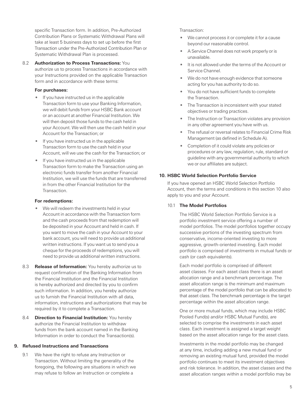<span id="page-8-0"></span>specific Transaction form. In addition, Pre-Authorized Contribution Plans or Systematic Withdrawal Plans will take at least 5 business days to set up before the first Transaction under the Pre-Authorized Contribution Plan or Systematic Withdrawal Plan is processed.

#### 8.2 **Authorization to Process Transactions:** You authorize us to process Transactions in accordance with your Instructions provided on the applicable Transaction form and in accordance with these terms:

#### **For purchases:**

- If you have instructed us in the applicable Transaction form to use your Banking Information, we will debit funds from your HSBC Bank account or an account at another Financial Institution. We will then deposit those funds to the cash held in your Account. We will then use the cash held in your Account for the Transaction; or
- If you have instructed us in the applicable Transaction form to use the cash held in your Account, will we use the cash for the Transaction; or
- If you have instructed us in the applicable Transaction form to make the Transaction using an electronic funds transfer from another Financial Institution, we will use the funds that are transferred in from the other Financial Institution for the Transaction.

#### **For redemptions:**

- We will redeem the investments held in your Account in accordance with the Transaction form and the cash proceeds from that redemption will be deposited in your Account and held in cash. If you want to move the cash in your Account to your bank account, you will need to provide us additional written instructions. If you want us to send you a cheque for the proceeds of redemptions, you will need to provide us additional written instructions.
- 8.3 **Release of Information:** You hereby authorize us to request confirmation of the Banking Information from the Financial Institution and the Financial Institution is hereby authorized and directed by you to confirm such information. In addition, you hereby authorize us to furnish the Financial Institution with all data, information, instructions and authorizations that may be required by it to complete a Transaction.
- 8.4 **Direction to Financial Institution:** You hereby authorize the Financial Institution to withdraw funds from the bank account named in the Banking Information in order to conduct the Transaction(s).

#### **9. Refused Instructions and Transactions**

9.1 We have the right to refuse any Instruction or Transaction. Without limiting the generality of the foregoing, the following are situations in which we may refuse to follow an Instruction or complete a

#### Transaction:

- We cannot process it or complete it for a cause beyond our reasonable control.
- A Service Channel does not work properly or is unavailable.
- It is not allowed under the terms of the Account or Service Channel.
- We do not have enough evidence that someone acting for you has authority to do so.
- You do not have sufficient funds to complete the Transaction.
- The Transaction is inconsistent with your stated objectives or trading practices.
- The Instruction or Transaction violates any provision in any other agreement you have with us.
- The refusal or reversal relates to Financial Crime Risk Management (as defined in Schedule A).
- Completion of it could violate any policies or procedures or any law, regulation, rule, standard or guideline with any governmental authority to which we or our affiliates are subject.

#### **10. HSBC World Selection Portfolio Service**

If you have opened an HSBC World Selection Portfolio Account, then the terms and conditions in this section 10 also apply to you and your Account.

#### 10.1 **The Model Portfolios**

The HSBC World Selection Portfolio Service is a portfolio investment service offering a number of model portfolios. The model portfolios together occupy successive portions of the investing spectrum from conservative, income-oriented investing to more aggressive, growth-oriented investing. Each model portfolio is comprised of investments in mutual funds or cash (or cash equivalents).

Each model portfolio is comprised of different asset classes. For each asset class there is an asset allocation range and a benchmark percentage. The asset allocation range is the minimum and maximum percentage of the model portfolio that can be allocated to that asset class. The benchmark percentage is the target percentage within the asset allocation range.

One or more mutual funds, which may include HSBC Pooled Fund(s) and/or HSBC Mutual Fund(s), are selected to comprise the investments in each asset class. Each investment is assigned a target weight based on the asset allocation range for the asset class.

Investments in the model portfolio may be changed at any time, including adding a new mutual fund or removing an existing mutual fund, provided the model portfolio continues to meet its investment objectives and risk tolerance. In addition, the asset classes and the asset allocation ranges within a model portfolio may be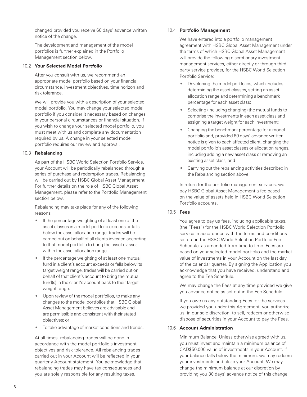changed provided you receive 60 days' advance written notice of the change.

The development and management of the model portfolios is further explained in the Portfolio Management section below.

#### 10.2 **Your Selected Model Portfolio**

After you consult with us, we recommend an appropriate model portfolio based on your financial circumstance, investment objectives, time horizon and risk tolerance.

We will provide you with a description of your selected model portfolio. You may change your selected model portfolio if you consider it necessary based on changes in your personal circumstances or financial situation. If you wish to change your selected model portfolio, you must meet with us and complete any documentation required by us. A change in your selected model portfolio requires our review and approval.

#### 10.3 **Rebalancing**

As part of the HSBC World Selection Portfolio Service, your Account will be periodically rebalanced through a series of purchase and redemption trades. Rebalancing will be carried out by HSBC Global Asset Management. For further details on the role of HSBC Global Asset Management, please refer to the Portfolio Management section below.

Rebalancing may take place for any of the following reasons:

- If the percentage weighting of at least one of the asset classes in a model portfolio exceeds or falls below the asset allocation range, trades will be carried out on behalf of all clients invested according to that model portfolio to bring the asset classes within the asset allocation range;
- If the percentage weighting of at least one mutual fund in a client's account exceeds or falls below its target weight range, trades will be carried out on behalf of that client's account to bring the mutual fund(s) in the client's account back to their target weight range;
- Upon review of the model portfolios, to make any changes to the model portfolios that HSBC Global Asset Management believes are advisable and are permissible and consistent with their stated objectives; or
- To take advantage of market conditions and trends.

At all times, rebalancing trades will be done in accordance with the model portfolio's investment objectives and risk tolerance. All rebalancing trades carried out in your Account will be reflected in your quarterly Account statement. You acknowledge that rebalancing trades may have tax consequences and you are solely responsible for any resulting taxes.

#### 10.4 **Portfolio Management**

We have entered into a portfolio management agreement with HSBC Global Asset Management under the terms of which HSBC Global Asset Management will provide the following discretionary investment management services, either directly or through third party service provider, for the HSBC World Selection Portfolio Service:

- Developing the model portfolios, which includes determining the asset classes, setting an asset allocation range and determining a benchmark percentage for each asset class;
- Selecting (including changing) the mutual funds to comprise the investments in each asset class and assigning a target weight for each investment;
- Changing the benchmark percentage for a model portfolio and, provided 60 days' advance written notice is given to each affected client, changing the model portfolio's asset classes or allocation ranges, including adding a new asset class or removing an existing asset class; and
- Carrying out the rebalancing activities described in the Rebalancing section above.

In return for the portfolio management services, we pay HSBC Global Asset Management a fee based on the value of assets held in HSBC World Selection Portfolio accounts.

## 10.5 **Fees**

You agree to pay us fees, including applicable taxes, (the "Fees") for the HSBC World Selection Portfolio service in accordance with the terms and conditions set out in the HSBC World Selection Portfolio Fee Schedule, as amended from time to time. Fees are based on your selected model portfolio and the market value of investments in your Account on the last day of the calendar quarter. By signing the Application you acknowledge that you have received, understand and agree to the Fee Schedule.

We may change the Fees at any time provided we give you advance notice as set out in the Fee Schedule.

If you owe us any outstanding Fees for the services we provided you under this Agreement, you authorize us, in our sole discretion, to sell, redeem or otherwise dispose of securities in your Account to pay the Fees.

#### 10.6 **Account Administration**

Minimum Balance: Unless otherwise agreed with us, you must invest and maintain a minimum balance of CAD\$50,000 value of investments in your Account. If your balance falls below the minimum, we may redeem your investments and close your Account. We may change the minimum balance at our discretion by providing you 30 days' advance notice of this change.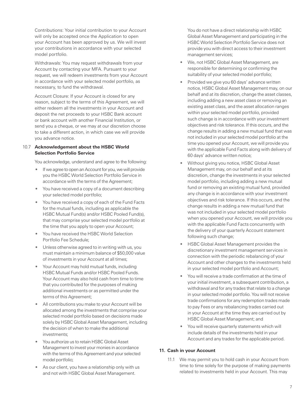<span id="page-10-0"></span>Contributions: Your initial contribution to your Account will only be accepted once the Application to open your Account has been approved by us. We will invest your contributions in accordance with your selected model portfolio.

Withdrawals: You may request withdrawals from your Account by contacting your MFA. Pursuant to your request, we will redeem investments from your Account in accordance with your selected model portfolio, as necessary, to fund the withdrawal.

Account Closure: If your Account is closed for any reason, subject to the terms of this Agreement, we will either redeem all the investments in your Account and deposit the net proceeds to your HSBC Bank account or bank account with another Financial Institution, or send you a cheque, or we may at our discretion choose to take a different action, in which case we will provide you advance notice.

#### 10.7 **Acknowledgement about the HSBC World Selection Portfolio Service**

You acknowledge, understand and agree to the following:

- If we agree to open an Account for you, we will provide you the HSBC World Selection Portfolio Service in accordance with the terms of the Agreement;
- You have received a copy of a document describing your selected model portfolio;
- You have received a copy of each of the Fund Facts for the mutual funds, including as applicable the HSBC Mutual Fund(s) and/or HSBC Pooled Fund(s), that may comprise your selected model portfolio at the time that you apply to open your Account;
- You have received the HSBC World Selection Portfolio Fee Schedule;
- Unless otherwise agreed to in writing with us, you must maintain a minimum balance of \$50,000 value of investments in your Account at all times;
- Your Account may hold mutual funds, including HSBC Mutual Funds and/or HSBC Pooled Funds. Your Account may also hold cash from time to time that you contributed for the purposes of making additional investments or as permitted under the terms of this Agreement;
- All contributions you make to your Account will be allocated among the investments that comprise your selected model portfolio based on decisions made solely by HSBC Global Asset Management, including the decision of when to make the additional investments;
- You authorize us to retain HSBC Global Asset Management to invest your monies in accordance with the terms of this Agreement and your selected model portfolio;
- As our client, you have a relationship only with us and not with HSBC Global Asset Management.

You do not have a direct relationship with HSBC Global Asset Management and participating in the HSBC World Selection Portfolio Service does not provide you with direct access to their investment management services;

- We, not HSBC Global Asset Management, are responsible for determining or confirming the suitability of your selected model portfolio;
- Provided we give you 60 days' advance written notice, HSBC Global Asset Management may, on our behalf and at its discretion, change the asset classes, including adding a new asset class or removing an existing asset class, and the asset allocation ranges within your selected model portfolio, provided such change is in accordance with your investment objectives and risk tolerance. If this occurs, and the change results in adding a new mutual fund that was not included in your selected model portfolio at the time you opened your Account, we will provide you with the applicable Fund Facts along with delivery of 60 days' advance written notice;
- Without giving you notice, HSBC Global Asset Management may, on our behalf and at its discretion, change the investments in your selected model portfolio, including adding a new mutual fund or removing an existing mutual fund, provided any change is in accordance with your investment objectives and risk tolerance. If this occurs, and the change results in adding a new mutual fund that was not included in your selected model portfolio when you opened your Account, we will provide you with the applicable Fund Facts concurrently with the delivery of your quarterly Account statement following such change;
- HSBC Global Asset Management provides the discretionary investment management services in connection with the periodic rebalancing of your Account and other changes to the investments held in your selected model portfolio and Account;
- You will receive a trade confirmation at the time of your initial investment, a subsequent contribution, a withdrawal and for any trades that relate to a change in your selected model portfolio. You will not receive trade confirmations for any redemption trades made to pay Fees or any rebalancing trades carried out in your Account at the time they are carried out by HSBC Global Asset Management; and
- You will receive quarterly statements which will include details of the investments held in your Account and any trades for the applicable period.

#### **11. Cash in your Account**

11.1 We may permit you to hold cash in your Account from time to time solely for the purpose of making payments related to investments held in your Account. This may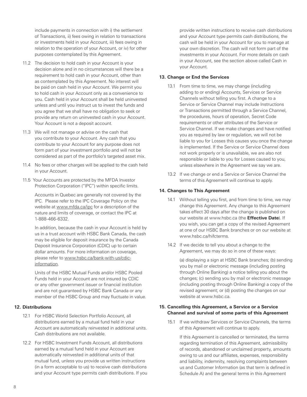<span id="page-11-0"></span>include payments in connection with i) the settlement of Transactions, ii) fees owing in relation to transactions or investments held in your Account, iii) fees owing in relation to the operation of your Account, or iv) for other purposes contemplated by this Agreement.

- 11.2 The decision to hold cash in your Account is your decision alone and in no circumstances will there be a requirement to hold cash in your Account, other than as contemplated by this Agreement. No interest will be paid on cash held in your Account. We permit you to hold cash in your Account only as a convenience to you. Cash held in your Account shall be held uninvested unless and until you instruct us to invest the funds and you agree that we shall have no obligation to seek or provide any return on uninvested cash in your Account. Your Account is not a deposit account.
- 11.3 We will not manage or advise on the cash that you contribute to your Account. Any cash that you contribute to your Account for any purpose does not form part of your investment portfolio and will not be considered as part of the portfolio's targeted asset mix.
- 11.4 No fees or other charges will be applied to the cash held in your Account.
- 11.5 Your Accounts are protected by the MFDA Investor Protection Corporation ("IPC") within specific limits.

Accounts in Quebec are generally not covered by the IPC. Please refer to the IPC Coverage Policy on the website at www.mfda.ca/ipc for a description of the nature and limits of coverage, or contact the IPC at 1-888-466-6332.

In addition, because the cash in your Account is held by us in a trust account with HSBC Bank Canada, the cash may be eligible for deposit insurance by the Canada Deposit Insurance Corporation (CDIC) up to certain dollar amounts. For more information on coverage, please refer to www.hsbc.ca/bank-with-us/cdicinformation.

Units of the HSBC Mutual Funds and/or HSBC Pooled Funds held in your Account are not insured by CDIC or any other government issuer or financial institution and are not guaranteed by HSBC Bank Canada or any member of the HSBC Group and may fluctuate in value.

#### **12. Distributions**

- 12.1 For HSBC World Selection Portfolio Account, all distributions earned by a mutual fund held in your Account are automatically reinvested in additional units. Cash distributions are not available.
- 12.2 For HSBC Investment Funds Account, all distributions earned by a mutual fund held in your Account are automatically reinvested in additional units of that mutual fund, unless you provide us written instructions (in a form acceptable to us) to receive cash distributions and your Account type permits cash distributions. If you

provide written instructions to receive cash distributions and your Account type permits cash distributions, the cash will be held in your Account for you to manage at your own discretion. The cash will not form part of the investments in your Account. For more details on cash in your Account, see the section above called Cash in your Account.

#### **13. Change or End the Services**

- 13.1 From time to time, we may change (including adding to or ending) Accounts, Services or Service Channels without telling you first. A change to a Service or Service Channel may include Instructions or Transactions permitted through a Service Channel, the procedures, hours of operation, Secret Code requirements or other attributes of the Service or Service Channel. If we make changes and have notified you as required by law or regulation, we will not be liable to you for Losses this causes you once the change is implemented. If the Service or Service Channel does not work properly or is unavailable, we are also not responsible or liable to you for Losses caused to you, unless elsewhere in the Agreement we say we are.
- 13.2 If we change or end a Service or Service Channel the terms of this Agreement will continue to apply.

#### **14. Changes to This Agreement**

- 14.1 Without telling you first, and from time to time, we may change this Agreement. Any change to this Agreement takes effect 30 days after the change is published on our website at [www.hsbc.ca](http://www.hsbc.ca) (the **Effective Date**). If you wish, you can get a copy of the revised Agreement at one of our HSBC Bank branches or on our website at www.hsbc.ca/hifcterms.
- 14.2 If we decide to tell you about a change to the Agreement, we may do so in one of these ways:

(a) displaying a sign at HSBC Bank branches; (b) sending you by mail or electronic message (including posting through Online Banking) a notice telling you about the changes; (c) sending you by mail or electronic message (including posting through Online Banking) a copy of the revised agreement; or (d) posting the changes on our website at www.hsbc.ca.

#### **15. Cancelling this Agreement, a Service or a Service Channel and survival of some parts of this Agreement**

15.1 If we withdraw Services or Service Channels, the terms of this Agreement will continue to apply.

If this Agreement is cancelled or terminated, the terms regarding termination of this Agreement, admissibility of records, abandoned or unclaimed property, amounts owing to us and our affiliates, expenses, responsibility and liability, indemnity, resolving complaints between us and Customer Information (as that term is defined in Schedule A) and the general terms in this Agreement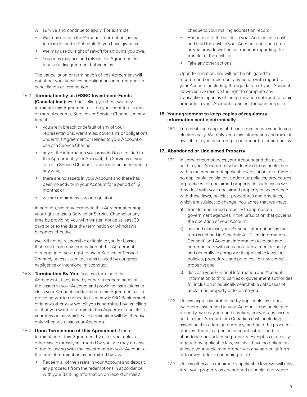<span id="page-12-0"></span>will survive and continue to apply. For example:

- We may still use the Personal Information (as that term is defined in Schedule A) you have given us.
- We may use our right of set-off for amounts you owe.
- You or us may use and rely on this Agreement to resolve a disagreement between us.

The cancellation or termination of this Agreement will not affect your liabilities or obligations incurred prior to cancellation or termination.

- 15.2 **Termination by us (HSBC Investment Funds (Canada) Inc.):** Without telling you first, we may terminate this Agreement or stop your right to use one or more Accounts, Services or Service Channels at any time if:
	- you are in breach or default of any of your representations, warranties, covenants or obligations under this Agreement or related to your Account or use of a Service Channel;
	- any of the information you provided to us related to this Agreement, your Account, the Services or your use of a Service Channel, is incorrect or inaccurate in any way;
	- there are no assets in your Account and there has been no activity in your Account for a period of 12 months; or
	- we are required by law or regulation.

In addition, we may terminate this Agreement or stop your right to use a Service or Service Channel at any time by providing you with written notice at least 30 days prior to the date the termination or withdrawal becomes effective.

We will not be responsible or liable to you for Losses that result from any termination of this Agreement or stopping of your right to use a Service or Service Channel, unless such Loss was caused by our gross negligence or intentional misconduct.

- 15.3 **Termination By You:** You can terminate this Agreement at any time by either (i) redeeming all of the assets in your Account and providing instructions to close your Account and terminate this Agreement or (ii) providing written notice to us at any HSBC Bank branch or in any other way we tell you is permitted by us telling us that you want to terminate this Agreement and close your Account (in which case termination will be effective only when we close your Account).
- 15.4 **Upon Termination of this Agreement:** Upon termination of this Agreement by us or you, unless otherwise expressly instructed by you, we may do any of the following with the investments in your Account at the time of termination as permitted by law:
	- Redeem all of the assets in your Account and deposit any proceeds from the redemptions in accordance with your Banking Information on record or mail a

cheque to your mailing address on record;

- Redeem all of the assets in your Account into cash and hold the cash in your Account until such time as you provide written Instructions regarding the transfer of the cash; or
- Take any other actions.

Upon termination, we will not be obligated to recommend or implement any action with regard to your Account, including the liquidation of your Account. However, we reserve the right to complete any Transactions open as of the termination date and to retain amounts in your Account sufficient for such purpose.

#### **16. Your agreement to keep copies of regulatory information sent electronically**

16.1 You must keep copies of the information we send to you electronically. We only keep this information and make it available to you according to our record retention policy.

#### **17. Abandoned or Unclaimed Property**

- 17.1 In some circumstances your Account and the assets held in your Account may be deemed to be unclaimed within the meaning of applicable legislation, or if there is no applicable legislation, under our policies, procedures or practices for unclaimed property. In such cases we may deal with your unclaimed property in accordance with those laws, policies, procedures and practices, which are subject to change. You agree that we may:
	- a) transfer unclaimed property to appropriate government agencies in the jurisdiction that governs the operation of your Account;
	- b) use and disclose your Personal Information (as that term is defined in Schedule A – Client Information Consent) and Account information to locate and communicate with you about unclaimed property, and generally to comply with applicable laws, our policies, procedures and practices for unclaimed property; and
	- c) disclose your Personal Information and Account information to third parties or government authorities for inclusion in publically searchable databases of unclaimed property or to locate you.
- 17.2 Unless expressly prohibited by applicable law, once we deem assets held in your Account to be unclaimed property, we may, in our discretion, convert any assets held in your Account into Canadian cash, including assets held in a foreign currency, and hold the proceeds or invest them in a pooled account established for abandoned or unclaimed property. Except as expressly required by applicable law, we shall have no obligation to keep your unclaimed property in any particular form or to invest it for a continuing return.
- 17.3 Unless otherwise required by applicable law, we will only treat your property as abandoned or unclaimed where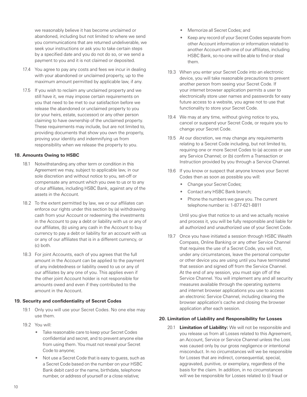<span id="page-13-0"></span>we reasonably believe it has become unclaimed or abandoned, including but not limited to where we send you communications that are returned undeliverable, we seek your instructions or ask you to take certain steps by a specified date and you do not do so, or we send a payment to you and it is not claimed or deposited.

- 17.4 You agree to pay any costs and fees we incur in dealing with your abandoned or unclaimed property, up to the maximum amount permitted by applicable law, if any.
- 17.5 If you wish to reclaim any unclaimed property and we still have it, we may impose certain requirements on you that need to be met to our satisfaction before we release the abandoned or unclaimed property to you (or your heirs, estate, successor) or any other person claiming to have ownership of the unclaimed property. These requirements may include, but are not limited to, providing documents that show you own the property, proving your identity and indemnifying us from responsibility when we release the property to you.

#### **18. Amounts Owing to HSBC**

- 18.1 Notwithstanding any other term or condition in this Agreement we may, subject to applicable law, in our sole discretion and without notice to you, set-off or compensate any amount which you owe to us or to any of our affiliates, including HSBC Bank, against any of the assets in the Account.
- 18.2 To the extent permitted by law, we or our affiliates can enforce our rights under this section by (a) withdrawing cash from your Account or redeeming the investments in the Account to pay a debt or liability with us or any of our affiliates, (b) using any cash in the Account to buy currency to pay a debt or liability for an account with us or any of our affiliates that is in a different currency, or (c) both.
- 18.3 For joint Accounts, each of you agrees that the full amount in the Account can be applied to the payment of any indebtedness or liability owed to us or any of our affiliates by any one of you. This applies even if the other joint Account holder is not responsible for amounts owed and even if they contributed to the amount in the Account.

#### **19. Security and confidentiality of Secret Codes**

- 19.1 Only you will use your Secret Codes. No one else may use them.
- 19.2 You will:
	- Take reasonable care to keep your Secret Codes confidential and secret, and to prevent anyone else from using them. You must not reveal your Secret Code to anyone;
	- Not use a Secret Code that is easy to guess, such as a Secret Code based on the number on your HSBC Bank debit card or the name, birthdate, telephone number, or address of yourself or a close relative;
- Memorize all Secret Codes; and
- Keep any record of your Secret Codes separate from other Account information or information related to another Account with one of our affiliates, including HSBC Bank, so no one will be able to find or steal them.
- 19.3 When you enter your Secret Code into an electronic device, you will take reasonable precautions to prevent another person from seeing your Secret Code. If your internet browser application permits a user to electronically store user names and passwords for easy future access to a website, you agree not to use that functionality to store your Secret Code.
- 19.4 We may at any time, without giving notice to you, cancel or suspend your Secret Code, or require you to change your Secret Code.
- 19.5 At our discretion, we may change any requirements relating to a Secret Code including, but not limited to, requiring one or more Secret Codes to (a) access or use any Service Channel; or (b) confirm a Transaction or Instruction provided by you through a Service Channel.
- 19.6 If you know or suspect that anyone knows your Secret Codes then as soon as possible you will:
	- Change your Secret Codes;
	- Contact any HSBC Bank branch;
	- Phone the numbers we gave you. The current telephone number is: 1-877-621-8811

Until you give that notice to us and we actually receive and process it, you will be fully responsible and liable for all authorized and unauthorized use of your Secret Code.

19.7 Once you have initiated a session through HSBC Wealth Compass, Online Banking or any other Service Channel that requires the use of a Secret Code, you will not, under any circumstances, leave the personal computer or other device you are using until you have terminated that session and signed off from the Service Channel. At the end of any session, you must sign off of the Service Channel. You will implement any and all security measures available through the operating systems and internet browser applications you use to access an electronic Service Channel, including clearing the browser application's cache and closing the browser application after each session.

#### **20. Limitation of Liability and Responsibility for Losses**

20.1 **Limitation of Liability:** We will not be responsible and you release us from all Losses related to this Agreement, an Account, Service or Service Channel unless the Loss was caused only by our gross negligence or intentional misconduct. In no circumstances will we be responsible for Losses that are indirect, consequential, special, aggravated, punitive, or exemplary, regardless of the basis for the claim. In addition, in no circumstances will we be responsible for Losses related to (i) fraud or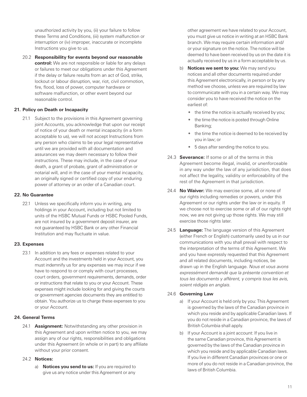<span id="page-14-0"></span>unauthorized activity by you, (ii) your failure to follow these Terms and Conditions, (iii) system malfunction or interruption or (iv) improper, inaccurate or incomplete Instructions you give to us.

20.2 **Responsibility for events beyond our reasonable control:** We are not responsible or liable for any delays or failures to meet our obligations under this Agreement if the delay or failure results from an act of God, strike, lockout or labour disruption, war, riot, civil commotion, fire, flood, loss of power, computer hardware or software malfunction, or other event beyond our reasonable control.

#### **21. Policy on Death or Incapacity**

21.1 Subject to the provisions in this Agreement governing joint Accounts, you acknowledge that upon our receipt of notice of your death or mental incapacity (in a form acceptable to us), we will not accept Instructions from any person who claims to be your legal representative until we are provided with all documentation and assurances we may deem necessary to follow their instructions. These may include, in the case of your death, a grant of probate, grant of administration or notarial will, and in the case of your mental incapacity, an originally signed or certified copy of your enduring power of attorney or an order of a Canadian court.

#### **22. No Guarantee**

22.1 Unless we specifically inform you in writing, any holdings in your Account, including but not limited to units of the HSBC Mutual Funds or HSBC Pooled Funds, are not insured by a government deposit insurer, are not guaranteed by HSBC Bank or any other Financial Institution and may fluctuate in value.

#### **23. Expenses**

23.1 In addition to any fees or expenses related to your Account and the investments held in your Account, you must indemnify us for any expenses we may incur if we have to respond to or comply with court processes, court orders, government requirements, demands, order or instructions that relate to you or your Account. These expenses might include looking for and giving the courts or government agencies documents they are entitled to obtain. You authorize us to charge these expenses to you or your Account.

#### **24. General Terms**

24.1 **Assignment:** Notwithstanding any other provision in this Agreement and upon written notice to you, we may assign any of our rights, responsibilities and obligations under this Agreement (in whole or in part) to any affiliate without your prior consent.

#### 24.2 **Notices:**

a) **Notices you send to us:** If you are required to give us any notice under this Agreement or any

other agreement we have related to your Account, you must give us notice in writing at an HSBC Bank branch. We may require certain information and/ or your signature on the notice. The notice will be deemed to have been received by us on the date it is actually received by us in a form acceptable by us.

- b) **Notices we sent to you:** We may send you notices and all other documents required under this Agreement electronically, in person or by any method we choose, unless we are required by law to communicate with you in a certain way. We may consider you to have received the notice on the earliest of:
	- the time the notice is actually received by you;
	- the time the notice is posted through Online Banking;
	- the time the notice is deemed to be received by you in law; or
	- 5 days after sending the notice to you.
- 24.3 **Severance:** If some or all of the terms in this Agreement become illegal, invalid, or unenforceable in any way under the law of any jurisdiction, that does not affect the legality, validity or enforceability of the rest of the Agreement in that jurisdiction.
- 24.4 **No Waiver:** We may exercise some, all or none of our rights including remedies or powers, under this Agreement or our rights under the law or in equity. If we choose not to exercise some or all of our rights right now, we are not giving up those rights. We may still exercise those rights later.
- 24.5 **Language:** The language version of this Agreement (either French or English) customarily used by us in our communications with you shall prevail with respect to the interpretation of the terms of this Agreement. We and you have expressly requested that this Agreement and all related documents, including notices, be drawn up in the English language. Nous et vous avons expressément demandé que la présente convention et tous les documents y afférent, y compris tous les avis, soient rédigés en anglais.

#### 24.6 **Governing Law**

- a) If your Account is held only by you: This Agreement is governed by the laws of the Canadian province in which you reside and by applicable Canadian laws. If you do not reside in a Canadian province, the laws of British Columbia shall apply.
- b) If your Account is a joint account: If you live in the same Canadian province, this Agreement is governed by the laws of the Canadian province in which you reside and by applicable Canadian laws. If you live in different Canadian provinces or one or more of you do not reside in a Canadian province, the laws of British Columbia.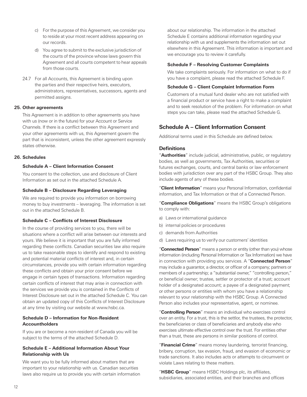- <span id="page-15-0"></span>c) For the purpose of this Agreement, we consider you to reside at your most recent address appearing on our records.
- d) You agree to submit to the exclusive jurisdiction of the courts of the province whose laws govern this Agreement and all courts competent to hear appeals from those courts.
- 24.7 For all Accounts, this Agreement is binding upon the parties and their respective heirs, executors, administrators, representatives, successors, agents and permitted assigns.

#### **25. Other agreements**

This Agreement is in addition to other agreements you have with us (now or in the future) for your Account or Service Channels. If there is a conflict between this Agreement and your other agreements with us, this Agreement govern the part that is inconsistent, unless the other agreement expressly states otherwise.

#### **26. Schedules**

#### **Schedule A – Client Information Consent**

You consent to the collection, use and disclosure of Client Information as set out in the attached Schedule A.

#### **Schedule B – Disclosure Regarding Leveraging**

We are required to provide you information on borrowing money to buy investments – leveraging. The information is set out in the attached Schedule B.

## **Schedule C – Conflicts of Interest Disclosure**

In the course of providing services to you, there will be situations where a conflict will arise between our interests and yours. We believe it is important that you are fully informed regarding these conflicts. Canadian securities law also require us to take reasonable steps to identify and respond to existing and potential material conflicts of interest and, in certain circumstances, provide you with certain information regarding these conflicts and obtain your prior consent before we engage in certain types of transactions. Information regarding certain conflicts of interest that may arise in connection with the services we provide you is contained in the Conflicts of Interest Disclosure set out in the attached Schedule C. You can obtain an updated copy of this Conflicts of Interest Disclosure at any time by visiting our website at www.hsbc.ca.

#### **Schedule D – Information for Non-Resident Accountholders**

If you are or become a non-resident of Canada you will be subject to the terms of the attached Schedule D.

#### **Schedule E – Additional Information About Your Relationship with Us**

We want you to be fully informed about matters that are important to your relationship with us. Canadian securities laws also require us to provide you with certain information about our relationship. The information in the attached Schedule E contains additional information regarding your relationship with us and supplements the information set out elsewhere in this Agreement. This information is important and we encourage you to review it carefully.

#### **Schedule F – Resolving Customer Complaints**

We take complaints seriously. For information on what to do if you have a complaint, please read the attached Schedule F.

#### **Schedule G – Client Complaint Information Form**

Customers of a mutual fund dealer who are not satisfied with a financial product or service have a right to make a complaint and to seek resolution of the problem. For information on what steps you can take, please read the attached Schedule G.

## **Schedule A – Client Information Consent**

Additional terms used in this Schedule are defined below.

## **Definitions**

"**Authorities**" include judicial, administrative, public, or regulatory bodies, as well as governments, Tax Authorities, securities or futures exchanges, courts, and central banks or law enforcement bodies with jurisdiction over any part of the HSBC Group. They also include agents of any of these bodies.

"**Client Information**" means your Personal Information, confidential information, and Tax Information or that of a Connected Person.

"**Compliance Obligations**" means the HSBC Group's obligations to comply with:

- a) Laws or international guidance
- b) internal policies or procedures
- c) demands from Authorities
- d) Laws requiring us to verify our customers' identities

"**Connected Person**" means a person or entity (other than you) whose information (including Personal Information or Tax Information) we have in connection with providing you services. A "**Connected Person**" may include a guarantor, a director, or officer of a company; partners or members of a partnership; a "substantial owner," "controlling person," or beneficial owner; trustee, settler or protector of a trust; account holder of a designated account; a payee of a designated payment; or other persons or entities with whom you have a relationship relevant to your relationship with the HSBC Group. A Connected Person also includes your representative, agent, or nominee.

"**Controlling Person**" means an individual who exercises control over an entity. For a trust, this is the settlor, the trustees, the protector, the beneficiaries or class of beneficiaries and anybody else who exercises ultimate effective control over the trust. For entities other than a trust, these are persons in similar positions of control.

"**Financial Crime**" means money laundering, terrorist financing, bribery, corruption, tax evasion, fraud, and evasion of economic or trade sanctions. It also includes acts or attempts to circumvent or violate Laws relating to these matters.

"**HSBC Group**" means HSBC Holdings plc, its affiliates, subsidiaries, associated entities, and their branches and offices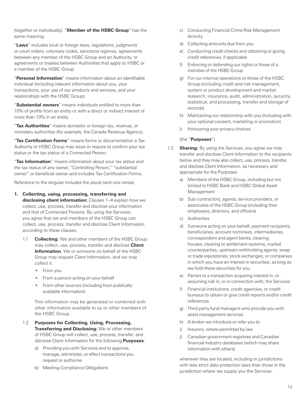(together or individually). "**Member of the HSBC Group**" has the same meaning.

"**Laws**" includes local or foreign laws, regulations, judgments or court orders, voluntary codes, sanctions regimes, agreements between any member of the HSBC Group and an Authority, or agreements or treaties between Authorities that apply to HSBC or a member of the HSBC Group.

"**Personal Information**" means information about an identifiable individual (including relevant information about you, your transactions, your use of our products and services, and your relationships with the HSBC Group).

"**Substantial owners**" means individuals entitled to more than 10% of profits from an entity or with a direct or indirect interest of more than 10% in an entity.

"**Tax Authorities**" means domestic or foreign tax, revenue, or monetary authorities (for example, the Canada Revenue Agency).

"**Tax Certification Forms**" means forms or documentation a Tax Authority or HSBC Group may issue or require to confirm your tax status or the tax status of a Connected Person.

"**Tax Information**" means information about your tax status and the tax status of any owner, "Controlling Person," "substantial owner" or beneficial owner and includes Tax Certification Forms.

Reference to the singular includes the plural (and vice versa).

**1. Collecting, using, processing, transferring and** 

**disclosing client information:** Clauses 1–4 explain how we collect, use, process, transfer and disclose your information and that of Connected Persons. By using the Services, you agree that we and members of the HSBC Group can collect, use, process, transfer and disclose Client Information according to these clauses.

- 1.1 **Collecting:** We and other members of the HSBC Group may collect, use, process, transfer and disclose **Client Information**. We or someone on behalf of the HSBC Group may request Client Information, and we may collect it:
	- From you
	- From a person acting on your behalf
	- From other sources (including from publically available information)

This information may be generated or combined with other information available to us or other members of the HSBC Group.

- 1.2 **Purposes for Collecting, Using, Processing, Transferring and Disclosing:** We or other members of HSBC Group will collect, use, process, transfer, and disclose Client Information for the following **Purposes**:
	- a) Providing you with Services and to approve, manage, administer, or effect transactions you request or authorise
	- b) Meeting Compliance Obligations
- c) Conducting Financial Crime Risk Management Activity
- d) Collecting amounts due from you
- e) Conducting credit checks and obtaining or giving credit references, if applicable
- f) Enforcing or defending our rights or those of a member of the HSBC Group
- g) For our internal operations or those of the HSBC Group (including credit and risk management, system or product development and market research, insurance, audit, administration, security, statistical, and processing, transfer and storage of records)
- h) Maintaining our relationship with you (including with your optional consent, marketing or promotion)
- i) Honouring your privacy choices

#### (the "**Purposes**")

- 1.3 **Sharing:** By using the Services, you agree we may transfer and disclose Client Information to the recipients below and they may also collect, use, process, transfer, and disclose Client Information, as necessary and appropriate for the Purposes:
	- a) Members of the HSBC Group, including but not limited to HSBC Bank and HSBC Global Asset Management
	- b) Sub-contractors, agents, service providers, or associates of the HSBC Group (including their employees, directors, and officers)
	- c) Authorities
	- d) Someone acting on your behalf, payment recipients, beneficiaries, account nominees, intermediaries, correspondent and agent banks, clearing houses, clearing or settlement systems, market counterparties, upstream withholding agents, swap or trade repositories, stock exchanges, or companies in which you have an interest in securities, as long as we hold these securities for you
	- e) Parties to a transaction acquiring interest in, or assuming risk in, or in connection with, the Services
	- f) Financial institutions, credit agencies, or credit bureaus to obtain or give credit reports and/or credit references
	- g) Third party fund managers who provide you with asset management services
	- h) A broker we introduce or refer you to
	- i) Insurers, where permitted by law
	- j) Canadian government registries and Canadian financial industry databases (which may share information with others)

wherever they are located, including in jurisdictions with less strict data protection laws than those in the jurisdiction where we supply you the Services.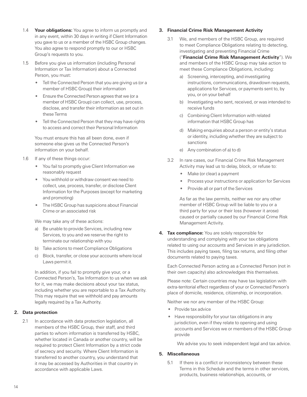- 1.4 **Your obligations:** You agree to inform us promptly and in any event, within 30 days in writing if Client Information you gave to us or a member of the HSBC Group changes. You also agree to respond promptly to our or HSBC Group's requests to you.
- 1.5 Before you give us information (including Personal Information or Tax Information) about a Connected Person, you must:
	- Tell the Connected Person that you are giving us (or a member of HSBC Group) their information
	- Ensure the Connected Person agrees that we (or a member of HSBC Group) can collect, use, process, disclose, and transfer their information as set out in these Terms
	- Tell the Connected Person that they may have rights to access and correct their Personal Information

You must ensure this has all been done, even if someone else gives us the Connected Person's information on your behalf.

- 1.6 If any of these things occur:
	- You fail to promptly give Client Information we reasonably request
	- You withhold or withdraw consent we need to collect, use, process, transfer, or disclose Client Information for the Purposes (except for marketing and promoting)
	- The HSBC Group has suspicions about Financial Crime or an associated risk

We may take any of these actions:

- a) Be unable to provide Services, including new Services, to you and we reserve the right to terminate our relationship with you
- b) Take actions to meet Compliance Obligations
- c) Block, transfer, or close your accounts where local Laws permit it.

In addition, if you fail to promptly give your, or a Connected Person's, Tax Information to us when we ask for it, we may make decisions about your tax status, including whether you are reportable to a Tax Authority. This may require that we withhold and pay amounts legally required by a Tax Authority.

#### **2. Data protection**

2.1 In accordance with data protection legislation, all members of the HSBC Group, their staff, and third parties to whom information is transferred by HSBC, whether located in Canada or another country, will be required to protect Client Information by a strict code of secrecy and security. Where Client Information is transferred to another country, you understand that it may be accessed by Authorities in that country in accordance with applicable Laws.

#### **3. Financial Crime Risk Management Activity**

- 3.1 We, and members of the HSBC Group, are required to meet Compliance Obligations relating to detecting. investigating and preventing Financial Crime ("**Financial Crime Risk Management Activity**"). We and members of the HSBC Group may take action to meet these Compliance Obligations, including:
	- a) Screening, intercepting, and investigating instructions, communications, drawdown requests, applications for Services, or payments sent to, by you, or on your behalf
	- b) Investigating who sent, received, or was intended to receive funds
	- c) Combining Client Information with related information that HSBC Group has
	- d) Making enquiries about a person or entity's status or identity, including whether they are subject to sanctions
	- e) Any combination of a) to d)
- 3.2 In rare cases, our Financial Crime Risk Management Activity may lead us to delay, block, or refuse to:
	- Make (or clear) a payment
	- Process your instructions or application for Services
	- Provide all or part of the Services

As far as the law permits, neither we nor any other member of HSBC Group will be liable to you or a third party for your or their loss (however it arose) caused or partially caused by our Financial Crime Risk Management Activity.

**4. Tax compliance:** You are solely responsible for understanding and complying with your tax obligations related to using our accounts and Services in any jurisdiction. This includes paying taxes, filing tax returns, and filing other documents related to paying taxes.

Each Connected Person acting as a Connected Person (not in their own capacity) also acknowledges this themselves.

Please note: Certain countries may have tax legislation with extra-territorial effect regardless of your or Connected Person's place of domicile, residence, citizenship, or incorporation.

Neither we nor any member of the HSBC Group:

- Provide tax advice
- Have responsibility for your tax obligations in any jurisdiction, even if they relate to opening and using accounts and Services we or members of the HSBC Group provide

We advise you to seek independent legal and tax advice.

#### **5. Miscellaneous**

5.1 If there is a conflict or inconsistency between these Terms in this Schedule and the terms in other services, products, business relationships, accounts, or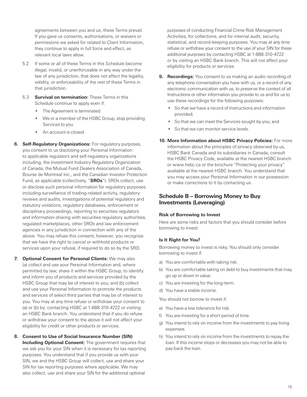<span id="page-18-0"></span>agreements between you and us, these Terms prevail. If you gave us consents, authorisations, or waivers or permissions we asked for related to Client Information, they continue to apply in full force and effect, as relevant local laws allow.

- 5.2 If some or all of these Terms in this Schedule become illegal, invalid, or unenforceable in any way under the law of any jurisdiction, that does not affect the legality, validity, or enforceability of the rest of these Terms in that jurisdiction.
- 5.3 **Survival on termination:** These Terms in this Schedule continue to apply even if:
	- The Agreement is terminated
	- We or a member of the HSBC Group, stop providing Services to you
	- An account is closed
- **6. Self-Regulatory Organizations:** For regulatory purposes, you consent to us disclosing your Personal Information to applicable regulators and self-regulatory organizations including, the Investment Industry Regulatory Organization of Canada, the Mutual Fund Dealers Association of Canada, Bourse de Montreal Inc., and the Canadian Investor Protection Fund, as applicable (collectively, "**SROs**"). SROs collect, use or disclose such personal information for regulatory purposes including surveillance of trading-related activity, regulatory reviews and audits, investigations of potential regulatory and statutory violations, regulatory databases, enforcement or disciplinary proceedings, reporting to securities regulators and information-sharing with securities regulatory authorities, regulated marketplaces, other SROs and law enforcement agencies in any jurisdiction in connection with any of the above. You may refuse this consent; however, you recognize that we have the right to cancel or withhold products or services upon your refusal, if required to do so by the SRO.
- **7. Optional Consent for Personal Clients:** We may also (a) collect and use your Personal Information and, where permitted by law, share it within the HSBC Group, to identify and inform you of products and services provided by the HSBC Group that may be of interest to you; and (b) collect and use your Personal Information to promote the products and services of select third parties that may be of interest to you. You may at any time refuse or withdraw your consent to (a) or (b) by: contacting HSBC at 1-888-310-4722 or visiting an HSBC Bank branch. You understand that if you do refuse or withdraw your consent to the above it will not affect your eligibility for credit or other products or services.
- **8. Consent to Use of Social Insurance Number (SIN) Including Optional Consent:** The government requires that we ask you for your SIN when it is necessary for tax reporting purposes. You understand that if you provide us with your SIN, we and the HSBC Group will collect, use and share your SIN for tax reporting purposes where applicable. We may also collect, use and share your SIN for the additional optional

purposes of conducting Financial Crime Risk Management Activities, for collections, and for internal audit, security, statistical, and record-keeping purposes. You may at any time refuse or withdraw your consent to the use of your SIN for these additional purposes by contacting HSBC at 1-888-310-4722 or by visiting an HSBC Bank branch. This will not affect your eligibility for products or services.

- **9. Recordings:** You consent to us making an audio recording of any telephone conversation you have with us, or a record of any electronic communication with us, to preserve the context of all Instructions or other information you provide to us and for us to use these recordings for the following purposes:
	- So that we have a record of Instructions and information provided;
	- So that we can meet the Services sought by you; and
	- So that we can monitor service levels.
- **10. More Information about HSBC Privacy Policies:** For more information about the principles of privacy observed by us, HSBC Bank Canada and its subsidiaries in Canada, consult the HSBC Privacy Code, available at the nearest HSBC branch or www.hsbc.ca or the brochure "Protecting your privacy" available at the nearest HSBC branch. You understand that you may access your Personal Information in our possession or make corrections to it by contacting us.

## **Schedule B – Borrowing Money to Buy Investments (Leveraging)**

#### **Risk of Borrowing to Invest**

Here are some risks and factors that you should consider before borrowing to invest:

#### **Is It Right for You?**

Borrowing money to invest is risky. You should only consider borrowing to invest if:

- a) You are comfortable with taking risk.
- b) You are comfortable taking on debt to buy investments that may go up or down in value.
- c) You are investing for the long-term.
- d) You have a stable income.

You should not borrow to invest if:

- e) You have a low tolerance for risk.
- f) You are investing for a short period of time.
- g) You intend to rely on income from the investments to pay living expenses.
- h) You intend to rely on income from the investments to repay the loan. If this income stops or decreases you may not be able to pay back the loan.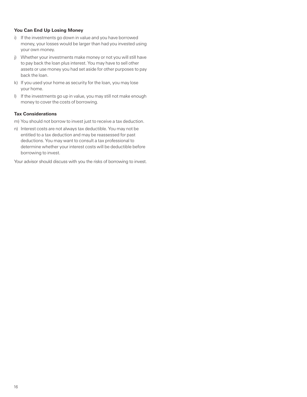#### **You Can End Up Losing Money**

- i) If the investments go down in value and you have borrowed money, your losses would be larger than had you invested using your own money.
- j) Whether your investments make money or not you will still have to pay back the loan plus interest. You may have to sell other assets or use money you had set aside for other purposes to pay back the loan.
- k) If you used your home as security for the loan, you may lose your home.
- l) If the investments go up in value, you may still not make enough money to cover the costs of borrowing.

#### **Tax Considerations**

- m) You should not borrow to invest just to receive a tax deduction.
- n) Interest costs are not always tax deductible. You may not be entitled to a tax deduction and may be reassessed for past deductions. You may want to consult a tax professional to determine whether your interest costs will be deductible before borrowing to invest.

Your advisor should discuss with you the risks of borrowing to invest.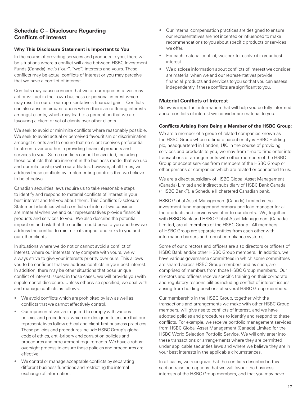## <span id="page-20-0"></span>**Schedule C – Disclosure Regarding Conflicts of Interest**

## **Why This Disclosure Statement is Important to You**

In the course of providing services and products to you, there will be situations where a conflict will arise between HSBC Investment Funds (Canada) Inc.'s ("our", "we") interests and yours. These conflicts may be actual conflicts of interest or you may perceive that we have a conflict of interest.

Conflicts may cause concern that we or our representatives may act or will act in their own business or personal interest which may result in our or our representative's financial gain. Conflicts can also arise in circumstances where there are differing interests amongst clients, which may lead to a perception that we are favouring a client or set of clients over other clients.

We seek to avoid or minimize conflicts where reasonably possible. We seek to avoid actual or perceived favouritism or discrimination amongst clients and to ensure that no client receives preferential treatment over another in providing financial products and services to you. Some conflicts cannot be avoided, including those conflicts that are inherent in the business model that we use and our relationship with our affiliates, however, at all times, we address these conflicts by implementing controls that we believe to be effective.

Canadian securities laws require us to take reasonable steps to identify and respond to material conflicts of interest in your best interest and tell you about them. This Conflicts Disclosure Statement identifies which conflicts of interest we consider are material when we and our representatives provide financial products and services to you. We also describe the potential impact on and risk that the conflict could pose to you and how we address the conflict to minimize its impact and risks to you and our other clients.

In situations where we do not or cannot avoid a conflict of interest, where our interests may compete with yours, we will always strive to give your interests priority over ours. This allows you to be confident that we address conflicts in your best interest. In addition, there may be other situations that pose unique conflict of interest issues; in those cases, we will provide you with supplemental disclosure. Unless otherwise specified, we deal with and manage conflicts as follows:

- We avoid conflicts which are prohibited by law as well as conflicts that we cannot effectively control.
- Our representatives are required to comply with various policies and procedures, which are designed to ensure that our representatives follow ethical and client-first business practices. These policies and procedures include HSBC Group's global code of ethics, anti-bribery and corruption policies and procedures and procurement requirements. We have a robust oversight process to ensure these policies and procedures are effective.
- We control or manage acceptable conflicts by separating different business functions and restricting the internal exchange of information.
- Our internal compensation practices are designed to ensure our representatives are not incented or influenced to make recommendations to you about specific products or services we offer.
- For each material conflict, we seek to resolve it in your best interest.
- We disclose information about conflicts of interest we consider are material when we and our representatives provide financial products and services to you so that you can assess independently if these conflicts are significant to you.

## **Material Conflicts of Interest**

Below is important information that will help you be fully informed about conflicts of interest we consider are material to you.

## **Conflicts Arising from Being a Member of the HSBC Group:**

We are a member of a group of related companies known as the HSBC Group whose ultimate parent entity is HSBC Holding plc, headquartered in London, UK. In the course of providing services and products to you, we may from time to time enter into transactions or arrangements with other members of the HSBC Group or accept services from members of the HSBC Group or other persons or companies which are related or connected to us.

We are a direct subsidiary of HSBC Global Asset Management (Canada) Limited and indirect subsidiary of HSBC Bank Canada ("HSBC Bank"), a Schedule II chartered Canadian bank.

HSBC Global Asset Management (Canada) Limited is the investment fund manager and primary portfolio manager for all the products and services we offer to our clients. We, together with HSBC Bank and HSBC Global Asset Management (Canada) Limited, are all members of the HSBC Group. All members of HSBC Group are separate entities from each other with information barriers and robust compliance systems.

Some of our directors and officers are also directors or officers of HSBC Bank and/or other HSBC Group members. In addition, we have various governance committees in which some committees are shared across HSBC Group members and as such, are comprised of members from those HSBC Group members. Our directors and officers receive specific training on their corporate and regulatory responsibilities including conflict of interest issues arising from holding positions at several HSBC Group members.

Our membership in the HSBC Group, together with the transactions and arrangements we make with other HSBC Group members, will give rise to conflicts of interest, and we have adopted policies and procedures to identify and respond to these conflicts. For example, we receive portfolio management services from HSBC Global Asset Management (Canada) Limited for the HSBC World Selection Portfolio Service. We will only enter into these transactions or arrangements where they are permitted under applicable securities laws and where we believe they are in your best interests in the applicable circumstances.

In all cases, we recognize that the conflicts described in this section raise perceptions that we will favour the business interests of the HSBC Group members, and that you may have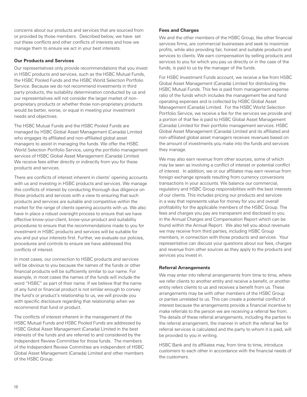concerns about our products and services that are sourced from or provided by those members. Described below, we have set out these conflicts and other conflicts of interests and how we manage them to ensure we act in your best interests.

#### **Our Products and Services**

Our representatives only provide recommendations that you invest in HSBC products and services, such as the HSBC Mutual Funds, the HSBC Pooled Funds and the HSBC World Selection Portfolio Service. Because we do not recommend investments in third party products, the suitability determination conducted by us and our representatives will not consider the larger market of nonproprietary products or whether those non-proprietary products would be better, worse, or equal in meeting your investment needs and objectives.

The HSBC Mutual Funds and the HSBC Pooled Funds are managed by HSBC Global Asset Management (Canada) Limited who engages its affiliated and non-affiliated global asset managers to assist in managing the funds. We offer the HSBC World Selection Portfolio Service, using the portfolio management services of HSBC Global Asset Management (Canada) Limited. We receive fees either directly or indirectly from you for these products and services.

There are conflicts of interest inherent in clients' opening accounts with us and investing in HSBC products and services. We manage this conflicts of interest by conducting thorough due diligence on those products and services with a view to ensuring that such products and services are suitable and competitive within the market for the range of clients opening accounts with us. We also have in place a robust oversight process to ensure that we have effective know-your-client, know-your-product and suitability procedures to ensure that the recommendations made to you for investment in HSBC products and services will be suitable for you and put your interests first. Further, we evaluate our policies, procedures and controls to ensure we have addressed this conflicts of interest.

In most cases, our connection to HSBC products and services will be obvious to you because the names of the funds or other financial products will be sufficiently similar to our name. For example, in most cases the names of the funds will include the word "HSBC" as part of their name. If we believe that the name of any fund or financial product is not similar enough to convey the fund's or product's relationship to us, we will provide you with specific disclosure regarding that relationship when we recommend that fund or product.

The conflicts of interest inherent in the management of the HSBC Mutual Funds and HSBC Pooled Funds are addressed by HSBC Global Asset Management (Canada) Limited in the best interests of the funds and are referred to and considered by the Independent Review Committee for those funds. The members of the Independent Review Committee are independent of HSBC Global Asset Management (Canada) Limited and other members of the HSBC Group.

#### **Fees and Charges**

We and the other members of the HSBC Group, like other financial services firms, are commercial businesses and seek to maximize profits, while also providing fair, honest and suitable products and services to clients. We earn compensation by selling products and services to you for which you pay us directly or in the case of the funds, is paid to us by the manager of the funds.

For HSBC Investment Funds account, we receive a fee from HSBC Global Asset Management (Canada) Limited for distributing the HSBC Mutual Funds. This fee is paid from management expense ratio of the funds which includes the management fee and fund operating expenses and is collected by HSBC Global Asset Management (Canada) Limited. For the HSBC World Selection Portfolio Service, we receive a fee for the services we provide and a portion of that fee is paid to HSBC Global Asset Management (Canada) Limited for their portfolio management services. HSBC Global Asset Management (Canada) Limited and its affiliated and non-affiliated global asset managers receives revenues based on the amount of investments you make into the funds and services they manage.

We may also earn revenue from other sources, some of which may be seen as involving a conflict of interest or potential conflict of interest. In addition, we or our affiliates may earn revenue from foreign exchange spreads resulting from currency conversions transactions in your accounts. We balance our commercial, regulatory and HSBC Group responsibilities with the best interests of our clients. This includes pricing our products and services in a way that represents value for money for you and overall profitability for the applicable members of the HSBC Group. The fees and charges you pay are transparent and disclosed to you in the Annual Charges and Compensation Report which can be found within the Annual Report. We also tell you about revenues we may receive from third parties, including HSBC Group members, in connection with those products and services. Your representative can discuss your questions about our fees, charges and revenue from other sources as they apply to the products and services you invest in.

#### **Referral Arrangements**

We may enter into referral arrangements from time to time, where we refer clients to another entity and receive a benefit, or another entity refers clients to us and receives a benefit from us. These arrangements may be with other members of the HSBC Group or parties unrelated to us. This can create a potential conflict of interest because the arrangements provide a financial incentive to make referrals to the person we are receiving a referral fee from. The details of these referral arrangements, including the parties to the referral arrangement, the manner in which the referral fee for referral services is calculated and the party to whom it is paid, will be provided to you in writing.

HSBC Bank and its affiliates may, from time to time, introduce customers to each other in accordance with the financial needs of the customers.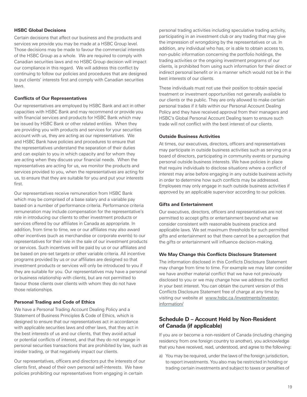#### <span id="page-22-0"></span>**HSBC Global Decisions**

Certain decisions that affect our business and the products and services we provide you may be made at a HSBC Group level. Those decisions may be made to favour the commercial interests of the HSBC Group as a whole. We are required to comply with Canadian securities laws and no HSBC Group decision will impact our compliance in this regard. We will address this conflict by continuing to follow our policies and procedures that are designed to put clients' interests first and comply with Canadian securities laws.

#### **Conflicts of Our Representatives**

Our representatives are employed by HSBC Bank and act in other capacities with HSBC Bank and may recommend or provide you with financial services and products for HSBC Bank which may be issued by HSBC Bank or other related entities. When they are providing you with products and services for your securities account with us, they are acting as our representatives. We and HSBC Bank have policies and procedures to ensure that the representatives understand the separation of their duties and can explain to you in which capacity and for whom they are acting when they discuss your financial needs. When the representatives are acting for us, we monitor the products and services provided to you, when the representatives are acting for us, to ensure that they are suitable for you and put your interests first.

Our representatives receive remuneration from HSBC Bank which may be comprised of a base salary and a variable pay based on a number of performance criteria. Performance criteria remuneration may include compensation for the representative's role in introducing our clients to other investment products or services offered by our affiliates in Canada as appropriate. In addition, from time to time, we or our affiliates may also award other incentives (such as merchandise or corporate events) to our representatives for their role in the sale of our investment products or services. Such incentives will be paid by us or our affiliates and be based on pre-set targets or other variable criteria. All incentive programs provided by us or our affiliates are designed so that investment products or services will only be introduced to you if they are suitable for you. Our representatives may have a personal or business relationship with clients, but are not permitted to favour those clients over clients with whom they do not have those relationships.

#### **Personal Trading and Code of Ethics**

We have a Personal Trading Account Dealing Policy and a Statement of Business Principles & Code of Ethics, which is designed to ensure that our representatives act in accordance with applicable securities laws and other laws, that they act in the best interests of us and our clients, that they avoid actual or potential conflicts of interest, and that they do not engage in personal securities transactions that are prohibited by law, such as insider trading, or that negatively impact our clients.

Our representatives, officers and directors put the interests of our clients first, ahead of their own personal self-interests. We have policies prohibiting our representatives from engaging in certain

personal trading activities including speculative trading activity, participating in an investment club or any trading that may give the impression of wrongdoing by the representatives or us. In addition, any individual who has, or is able to obtain access to, non-public information concerning the portfolio holdings, the trading activities or the ongoing investment programs of our clients, is prohibited from using such information for their direct or indirect personal benefit or in a manner which would not be in the best interests of our clients.

These individuals must not use their position to obtain special treatment or investment opportunities not generally available to our clients or the public. They are only allowed to make certain personal trades if it falls within our Personal Account Dealing Policy and they have received approval from their managers and HSBC's Global Personal Account Dealing team to ensure such trade will not conflict with the best interest of our clients.

#### **Outside Business Activities**

At times, our executives, directors, officers and representatives may participate in outside business activities such as serving on a board of directors, participating in community events or pursuing personal outside business interests. We have policies in place that require individuals to disclose situations where a conflict of interest may arise before engaging in any outside business activity in order to determine how such conflicts may be addressed. Employees may only engage in such outside business activities if approved by an applicable supervisor according to our policies.

#### **Gifts and Entertainment**

Our executives, directors, officers and representatives are not permitted to accept gifts or entertainment beyond what we consider consistent with reasonable business practice and applicable laws. We set maximum thresholds for such permitted gifts and entertainment so that there cannot be a perception that the gifts or entertainment will influence decision-making.

#### **We May Change this Conflicts Disclosure Statement**

The information disclosed in this Conflicts Disclosure Statement may change from time to time. For example we may later consider we have another material conflict that we have not previously disclosed to you or we may change how we address the conflict in your best interest. You can obtain the current version of this Conflicts Disclosure Statement free of charge at any time by visiting our website at www.hsbc.ca /investments/investorinformation/

## **Schedule D – Account Held by Non-Resident of Canada (if applicable)**

If you are or become a non-resident of Canada (including changing residency from one foreign country to another), you acknowledge that you have received, read, understood, and agree to the following:

a) You may be required, under the laws of the foreign jurisdiction, to report investments. You also may be restricted in holding or trading certain investments and subject to taxes or penalties of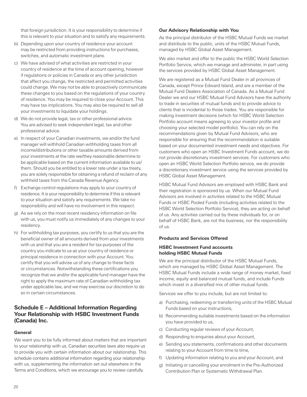<span id="page-23-0"></span>that foreign jurisdiction. It is your responsibility to determine if this is relevant to your situation and to satisfy any requirements.

- b) Depending upon your country of residence your account may be restricted from providing instructions for purchases, switches, and automatic investment plans.
- c) We have advised of what activities are restricted in your country of residence at the time of account opening, however if regulations or policies in Canada or any other jurisdiction that affect you change, the restricted and permitted activities could change. We may not be able to proactively communicate these changes to you based on the regulations of your country of residence. You may be required to close your Account. This may have tax implications. You may also be required to sell all your investments to liquidate your holdings.
- d) We do not provide legal, tax or other professional advice. You are advised to seek independent legal, tax and other professional advice.
- e) In respect of your Canadian investments, we and/or the fund manager will withhold Canadian withholding taxes from all income/distributions or other taxable amounts derived from your investments at the rate we/they reasonable determine to be applicable based on the current information available to us/ them. Should you be entitled to a lower rate under a tax treaty, you are solely responsible for obtaining a refund of reclaim of any withheld taxes from the Canada Revenue Agency.
- f) Exchange control regulations may apply to your country of residence. It is your responsibility to determine if this is relevant to your situation and satisfy any requirements. We take no responsibility and will have no involvement in this respect.
- g) As we rely on the most recent residency information on file with us, you must notify us immediately of any changes to your residency.
- h) For withholding tax purposes, you certify to us that you are the beneficial owner of all amounts derived from your investments with us and that you are a resident for tax purposes of the country you indicate to us as your country of residence or principal residence in connection with your Account. You certify that you will advise us of any change to these facts or circumstances. Notwithstanding these certifications you recognize that we and/or the applicable fund manager have the right to apply the maximum rate of Canadian withholding tax under applicable law, and we may exercise our discretion to do so in certain circumstances.

## **Schedule E – Additional Information Regarding Your Relationship with HSBC Investment Funds (Canada) Inc.**

#### **General**

We want you to be fully informed about matters that are important to your relationship with us. Canadian securities laws also require us to provide you with certain information about our relationship. This schedule contains additional information regarding your relationship with us, supplementing the information set out elsewhere in the Terms and Conditions, which we encourage you to review carefully.

#### **Our Advisory Relationship with You**

As the principal distributor of the HSBC Mutual Funds we market and distribute to the public, units of the HSBC Mutual Funds, managed by HSBC Global Asset Management.

We also market and offer to the public the HSBC World Selection Portfolio Service, which we manage and administer, in part using the services provided by HSBC Global Asset Management.

We are registered as a Mutual Fund Dealer in all provinces of Canada, except Prince Edward Island, and are a member of the Mutual Fund Dealers Association of Canada. As a Mutual Fund Dealer we and our HSBC Mutual Fund Advisors have the authority to trade in securities of mutual funds and to provide advice to clients that is incidental to those trades. You are responsible for making investment decisions (which for HSBC World Selection Portfolio account means agreeing to your investor profile and choosing your selected model portfolio). You can rely on the recommendations given by Mutual Fund Advisors, who are responsible for ensuring that the recommendation is suitable based on your documented investment needs and objectives. For customers who open an HSBC Investment Funds account, we do not provide discretionary investment services. For customers who open an HSBC World Selection Portfolio service, we do provide a discretionary investment service using the services provided by HSBC Global Asset Management.

HSBC Mutual Fund Advisors are employed with HSBC Bank and their registration is sponsored by us. When our Mutual Fund Advisors are involved in activities related to the HSBC Mutual Funds or HSBC Pooled Funds (including activities related to the HSBC World Selection Portfolio Service), they are acting on behalf of us. Any activities carried out by these individuals for, or on behalf of HSBC Bank, are not the business, nor the responsibility of us.

#### **Products and Services Offered**

#### **HSBC Investment Fund accounts holding HSBC Mutual Funds**

We are the principal distributor of the HSBC Mutual Funds, which are managed by HSBC Global Asset Management. The HSBC Mutual Funds include a wide range of money market, fixed income, equity and balanced mutual funds, and include Funds which invest in a diversified mix of other mutual funds.

Services we offer to you include, but are not limited to:

- a) Purchasing, redeeming or transferring units of the HSBC Mutual Funds based on your instructions,
- b) Recommending suitable investments based on the information you have provided to us,
- c) Conducting regular reviews of your Account,
- d) Responding to enquiries about your Account,
- e) Sending you statements, confirmations and other documents relating to your Account from time to time,
- f) Updating information relating to you and your Account, and
- g) Initiating or cancelling your enrolment in the Pre-Authorized Contribution Plan or Systematic Withdrawal Plan.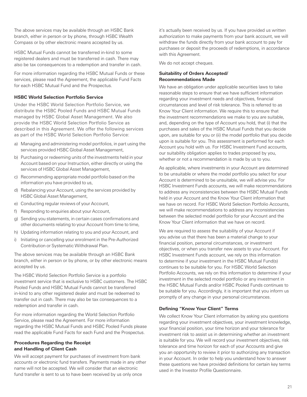The above services may be available through an HSBC Bank branch, either in person or by phone, through HSBC Wealth Compass or by other electronic means accepted by us.

HSBC Mutual Funds cannot be transferred in-kind to some registered dealers and must be transferred in cash. There may also be tax consequences to a redemption and transfer in cash.

For more information regarding the HSBC Mutual Funds or these services, please read the Agreement, the applicable Fund Facts for each HSBC Mutual Fund and the Prospectus.

#### **HSBC World Selection Portfolio Service**

Under the HSBC World Selection Portfolio Service, we distribute the HSBC Pooled Funds and HSBC Mutual Funds managed by HSBC Global Asset Management. We also provide the HSBC World Selection Portfolio Service as described in this Agreement. We offer the following services as part of the HSBC World Selection Portfolio Service:

- a) Managing and administering model portfolios, in part using the services provided HSBC Global Asset Management,
- b) Purchasing or redeeming units of the investments held in your Account based on your Instruction, either directly or using the services of HSBC Global Asset Management,
- c) Recommending appropriate model portfolio based on the information you have provided to us,
- d) Rebalancing your Account, using the services provided by HSBC Global Asset Management,
- e) Conducting regular reviews of your Account,
- f) Responding to enquiries about your Account,
- g) Sending you statements, in certain cases confirmations and other documents relating to your Account from time to time,
- h) Updating information relating to you and your Account, and
- i) Initiating or cancelling your enrolment in the Pre-Authorized Contribution or Systematic Withdrawal Plan.

The above services may be available through an HSBC Bank branch, either in person or by phone, or by other electronic means accepted by us.

The HSBC World Selection Portfolio Service is a portfolio investment service that is exclusive to HSBC customers. The HSBC Pooled Funds and HSBC Mutual Funds cannot be transferred in-kind to any other registered dealer and must be redeemed to transfer out in cash. There may also be tax consequences to a redemption and transfer in cash.

For more information regarding the World Selection Portfolio Service, please read the Agreement. For more information regarding the HSBC Mutual Funds and HSBC Pooled Funds please read the applicable Fund Facts for each Fund and the Prospectus.

#### **Procedures Regarding the Receipt and Handling of Client Cash**

We will accept payment for purchases of investment from bank accounts or electronic fund transfers. Payments made in any other name will not be accepted. We will consider that an electronic fund transfer is sent to us to have been received by us only once

it's actually been received by us. If you have provided us written authorization to make payments from your bank account, we will withdraw the funds directly from your bank account to pay for purchases or deposit the proceeds of redemptions, in accordance with this Agreement.

We do not accept cheques.

#### **Suitability of Orders Accepted/ Recommendations Made**

We have an obligation under applicable securities laws to take reasonable steps to ensure that we have sufficient information regarding your investment needs and objectives, financial circumstances and level of risk tolerance. This is referred to as Know Your Client information. We require this to ensure that the investment recommendations we make to you are suitable, and, depending on the type of Account you hold, that (i) that the purchases and sales of the HSBC Mutual Funds that you decide upon, are suitable for you or (ii) the model portfolio that you decide upon is suitable for you. This assessment is performed for each Account you hold with us. For HSBC Investment Fund accounts, our suitability obligation applies to trades proposed by you, whether or not a recommendation is made by us to you.

As applicable, where investments in your Account are determined to be unsuitable or where the model portfolio you select for your Account is determined to be unsuitable, we will advise you. For HSBC Investment Funds accounts, we will make recommendations to address any inconsistencies between the HSBC Mutual Funds held in your Account and the Know Your Client information that we have on record. For HSBC World Selection Portfolio Accounts, we will make recommendations to address any inconsistencies between the selected model portfolio for your Account and the Know Your Client information that we have on record.

We are required to assess the suitability of your Account if you advise us that there has been a material change to your financial position, personal circumstances, or investment objectives, or when you transfer new assets to your Account. For HSBC Investment Funds account, we rely on this information to determine if your investment in the HSBC Mutual Fund(s) continues to be suitable for you. For HSBC World Selection Portfolio Accounts, we rely on this information to determine if your investment in the selected model portfolio or any investment in the HSBC Mutual Funds and/or HSBC Pooled Funds continues to be suitable for you. Accordingly, it is important that you inform us promptly of any change in your personal circumstances.

## **Defining "Know Your Client" Terms**

We collect Know Your Client information by asking you questions regarding your investment objectives, your investment knowledge, your financial position, your time horizon and your tolerance for investment risk to assist us in determining whether an investment is suitable for you. We will record your investment objectives, risk tolerance and time horizon for each of your Accounts and give you an opportunity to review it prior to authorizing any transaction in your Account. In order to help you understand how to answer these questions we have provided definitions for certain key terms used in the Investor Profile Questionnaire.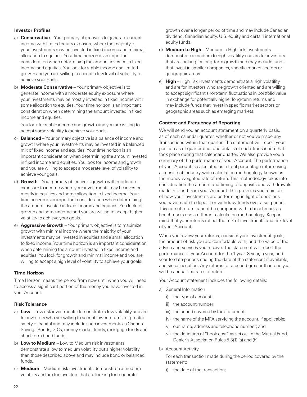#### **Investor Profiles**

- a) **Conservative** Your primary objective is to generate current income with limited equity exposure where the majority of your investments may be invested in fixed income and minimal allocation to equities. Your time horizon is an important consideration when determining the amount invested in fixed income and equities. You look for stable income and limited growth and you are willing to accept a low level of volatility to achieve your goals.
- b) **Moderate Conservative** Your primary objective is to generate income with a moderate equity exposure where your investments may be mostly invested in fixed income with some allocation to equities. Your time horizon is an important consideration when determining the amount invested in fixed income and equities.

You look for stable income and growth and you are willing to accept some volatility to achieve your goals.

- c) **Balanced** Your primary objective is a balance of income and growth where your investments may be invested in a balanced mix of fixed income and equities. Your time horizon is an important consideration when determining the amount invested in fixed income and equities. You look for income and growth and you are willing to accept a moderate level of volatility to achieve your goals.
- d) **Growth** Your primary objective is growth with moderate exposure to income where your investments may be invested mostly in equities and some allocation to fixed income. Your time horizon is an important consideration when determining the amount invested in fixed income and equities. You look for growth and some income and you are willing to accept higher volatility to achieve your goals.
- e) **Aggressive Growth**  Your primary objective is to maximize growth with minimal income where the majority of your investments may be invested in equities and a small allocation to fixed income. Your time horizon is an important consideration when determining the amount invested in fixed income and equities. You look for growth and minimal income and you are willing to accept a high level of volatility to achieve your goals.

#### **Time Horizon**

Time Horizon means the period from now until when you will need to access a significant portion of the money you have invested in your Account.

#### **Risk Tolerance**

- a) **Low** Low risk investments demonstrate a low volatility and are for investors who are willing to accept lower returns for greater safety of capital and may include such investments as Canada Savings Bonds, GICs, money market funds, mortgage funds and short-term bond funds.
- b) **Low to Medium** Low to Medium risk investments demonstrate a low to medium volatility but a higher volatility than those described above and may include bond or balanced funds.
- c) **Medium**  Medium risk investments demonstrate a medium volatility and are for investors that are looking for moderate

growth over a longer period of time and may include Canadian dividend, Canadian equity, U.S. equity and certain international equity funds.

- d) **Medium to High** Medium to High risk investments demonstrate a medium to high volatility and are for investors that are looking for long-term growth and may include funds that invest in smaller companies, specific market sectors or geographic areas.
- e) **High** High risk investments demonstrate a high volatility and are for investors who are growth oriented and are willing to accept significant short-term fluctuations in portfolio value in exchange for potentially higher long-term returns and may include funds that invest in specific market sectors or geographic areas such as emerging markets.

#### **Content and Frequency of Reporting**

We will send you an account statement on a quarterly basis, as of each calendar quarter, whether or not you've made any Transactions within that quarter. The statement will report your position as of quarter end, and details of each Transaction that took place during that calendar quarter. We also provide you a summary of the performance of your Account. The performance of your Account is calculated as a total percentage return using a consistent industry-wide calculation methodology known as the money-weighted rate of return. This methodology takes into consideration the amount and timing of deposits and withdrawals made into and from your Account. This provides you a picture of how your investments are performing in light of decisions you have made to deposit or withdraw funds over a set period. This rate of return cannot be compared with a benchmark as benchmarks use a different calculation methodology. Keep in mind that your returns reflect the mix of investments and risk level of your Account.

When you review your returns, consider your investment goals, the amount of risk you are comfortable with, and the value of the advice and services you receive. The statement will report the performance of your Account for the 1 year, 3 year, 5 year, and year-to-date periods ending the date of the statement if available, and since inception. Any returns for a period greater than one year will be annualized rates of return.

Your Account statement includes the following details:

- a) General Information
	- i) the type of account;
	- ii) the account number;
	- iii) the period covered by the statement;
	- iv) the name of the MFA servicing the account, if applicable;
	- v) our name, address and telephone number; and
	- vi) the definition of "book cost" as set out in the Mutual Fund Dealer's Association Rules 5.3(1) (a) and (h).
- b) Account Activity

For each transaction made during the period covered by the statement:

i) the date of the transaction;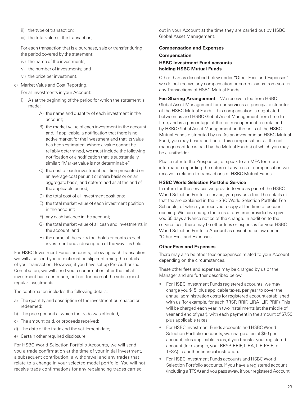- ii) the type of transaction;
- iii) the total value of the transaction;

For each transaction that is a purchase, sale or transfer during the period covered by the statement:

- iv) the name of the investments;
- v) the number of investments; and
- vi) the price per investment.
- c) Market Value and Cost Reporting.

For all investments in your Account:

- i) As at the beginning of the period for which the statement is made:
	- A) the name and quantity of each investment in the account;
	- B) the market value of each investment in the account and, if applicable, a notification that there is no active market for the investment and that its value has been estimated. Where a value cannot be reliably determined, we must include the following notification or a notification that is substantially similar: "Market value is not determinable".
	- C) the cost of each investment position presented on an average cost per unit or share basis or on an aggregate basis, and determined as at the end of the applicable period;
	- D) the total cost of all investment positions;
	- E) the total market value of each investment position in the account;
	- F) any cash balance in the account;
	- G) the total market value of all cash and investments in the account; and
	- H) the name of the party that holds or controls each investment and a description of the way it is held.

For HSBC Investment Funds accounts, following each Transaction we will also send you a confirmation slip confirming the details of your transaction. However, if you have set up Pre-Authorized Contribution, we will send you a confirmation after the initial investment has been made, but not for each of the subsequent regular investments.

The confirmation includes the following details:

- a) The quantity and description of the investment purchased or redeemed;
- b) The price per unit at which the trade was effected;
- c) The amount paid, or proceeds received;
- d) The date of the trade and the settlement date;
- e) Certain other required disclosure.

For HSBC World Selection Portfolio Accounts, we will send you a trade confirmation at the time of your initial investment, a subsequent contribution, a withdrawal and any trades that relate to a change in your selected model portfolio. You will not receive trade confirmations for any rebalancing trades carried

out in your Account at the time they are carried out by HSBC Global Asset Management.

#### **Compensation and Expenses**

**Compensation HSBC Investment Fund accounts holding HSBC Mutual Funds**

Other than as described below under "Other Fees and Expenses", we do not receive any compensation or commissions from you for any Transactions of HSBC Mutual Funds.

**Fee Sharing Arrangement** – We receive a fee from HSBC Global Asset Management for our services as principal distributor of the HSBC Mutual Funds. This compensation is negotiated between us and HSBC Global Asset Management from time to time, and is a percentage of the net management fee retained by HSBC Global Asset Management on the units of the HSBC Mutual Funds distributed by us. As an investor in an HSBC Mutual Fund, you may bear a portion of this compensation, as the net management fee is paid by the Mutual Fund(s) of which you may be a unitholder.

Please refer to the Prospectus, or speak to an MFA for more information regarding the nature of any fees or compensation we receive in relation to transactions of HSBC Mutual Funds.

#### **HSBC World Selection Portfolio Service**

In return for the services we provide to you as part of the HSBC World Selection Portfolio service, you pay us a fee. The details of that fee are explained in the HSBC World Selection Portfolio Fee Schedule, of which you received a copy at the time of account opening. We can change the fees at any time provided we give you 60 days advance notice of the change. In addition to the service fees, there may be other fees or expenses for your HSBC World Selection Portfolio Account as described below under "Other Fees and Expenses".

#### **Other Fees and Expenses**

There may also be other fees or expenses related to your Account depending on the circumstances.

These other fees and expenses may be charged by us or the Manager and are further described below.

- For HSBC Investment Funds registered accounts, we may charge you \$15, plus applicable taxes, per year to cover the annual administration costs for registered account established with us (for example, for each RRSP, RRIF, LIRA, LIF, PRIF) This will be charged each year in two installments (at the middle of year and end of year), with each payment in the amount of \$7.50 plus applicable taxes
- For HSBC Investment Funds accounts and HSBC World Selection Portfolio accounts, we charge a fee of \$50 per account, plus applicable taxes, if you transfer your registered account (for example, your RRSP, RRIF, LIRA, LIF, PRIF, or TFSA) to another financial institution.
- For HSBC Investment Funds accounts and HSBC World Selection Portfolio accounts, if you have a registered account (including a TFSA) and you pass away, if your registered Account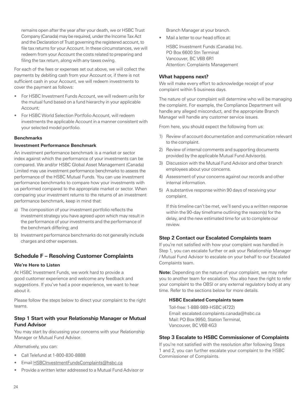<span id="page-27-0"></span>remains open after the year after your death, we or HSBC Trust Company (Canada) may be required, under the Income Tax Act and the Declaration of Trust governing the registered account, to file tax returns for your Account. In these circumstances, we will redeem from your Account the costs related to preparing and filing the tax return, along with any taxes owing.

For each of the fees or expenses set out above, we will collect the payments by debiting cash from your Account or, if there is not sufficient cash in your Account, we will redeem investments to cover the payment as follows:

- For HSBC Investment Funds Account, we will redeem units for the mutual fund based on a fund hierarchy in your applicable Account;
- For HSBC World Selection Portfolio Account, will redeem investments the applicable Account in a manner consistent with your selected model portfolio.

#### **Benchmarks**

#### **Investment Performance Benchmark**

An investment performance benchmark is a market or sector index against which the performance of your investments can be compared. We and/or HSBC Global Asset Management (Canada) Limited may use investment performance benchmarks to assess the performance of the HSBC Mutual Funds. You can use investment performance benchmarks to compare how your investments with us performed compared to the appropriate market or sector. When comparing your investment returns to the returns of an investment performance benchmark, keep in mind that:

- a) The composition of your investment portfolio reflects the investment strategy you have agreed upon which may result in the performance of your investments and the performance of the benchmark differing; and
- b) Investment performance benchmarks do not generally include charges and other expenses.

## **Schedule F – Resolving Customer Complaints**

#### **We're Here to Listen**

At HSBC Investment Funds, we work hard to provide a good customer experience and welcome any feedback and suggestions. If you've had a poor experience, we want to hear about it.

Please follow the steps below to direct your complaint to the right teams.

## **Step 1 Start with your Relationship Manager or Mutual Fund Advisor**

You may start by discussing your concerns with your Relationship Manager or Mutual Fund Advisor.

Alternatively, you can:

- Call Telefund at 1-800-830-8888
- Email HSBCInvestmentFundsComplaints@hsbc.ca
- Provide a written letter addressed to a Mutual Fund Advisor or

Branch Manager at your branch.

Mail a letter to our head office at:

HSBC Investment Funds (Canada) Inc. PO Box 6600 Stn Terminal Vancouver, BC V6B 6R1 Attention: Complaints Management

#### **What happens next?**

We will make every effort to acknowledge receipt of your complaint within 5 business days.

The nature of your complaint will determine who will be managing the complaint. For example, the Compliance Department will handle any alleged misconduct, and the appropriate Branch Manager will handle any customer service issues.

From here, you should expect the following from us:

- 1) Review of account documentation and communication relevant to the complaint.
- 2) Review of internal comments and supporting documents provided by the applicable Mutual Fund Advisor(s).
- 3) Discussion with the Mutual Fund Advisor and other branch employees about your concerns.
- 4) Assessment of your concerns against our records and other internal information.
- 5) A substantive response within 90 days of receiving your complaint.

If this timeline can't be met, we'll send you a written response within the 90-day timeframe outlining the reason(s) for the delay, and the new estimated time for us to complete our review.

#### **Step 2 Contact our Escalated Complaints team**

If you're not satisfied with how your complaint was handled in Step 1, you can escalate further or ask your Relationship Manager / Mutual Fund Advisor to escalate on your behalf to our Escalated Complaints team.

**Note:** Depending on the nature of your complaint, we may refer you to another team for escalation. You also have the right to refer your complaint to the OBSI or any external regulatory body at any time. Refer to the sections below for more details.

#### **HSBC Escalated Complaints team**

Toll-free: 1-888-989-HSBC (4722) Email: escalated.complaints.canada@hsbc.ca Mail: PO Box 9950, Station Terminal, Vancouver, BC V6B 4G3

## **Step 3 Escalate to HSBC Commissioner of Complaints**

If you're not satisfied with the resolution after following Steps 1 and 2, you can further escalate your complaint to the HSBC Commissioner of Complaints.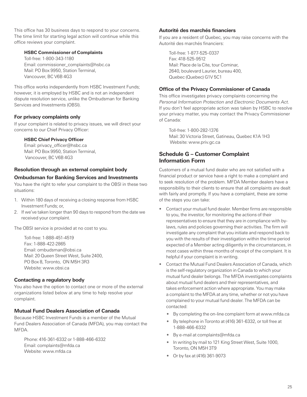<span id="page-28-0"></span>This office has 30 business days to respond to your concerns. The time limit for starting legal action will continue while this office reviews your complaint.

#### **HSBC Commissioner of Complaints**

Toll-free: 1-800-343-1180 Email: commissioner\_complaints@hsbc.ca Mail: PO Box 9950, Station Terminal, Vancouver, BC V6B 4G3

This office works independently from HSBC Investment Funds; however, it is employed by HSBC and is not an independent dispute resolution service, unlike the Ombudsman for Banking Services and Investments (OBSI).

## **For privacy complaints only**

If your complaint is related to privacy issues, we will direct your concerns to our Chief Privacy Officer:

#### **HSBC Chief Privacy Officer**

Email: privacy\_officer@hsbc.ca Mail: PO Box 9950, Station Terminal, Vancouver, BC V6B 4G3

#### **Resolution through an external complaint body**

#### **Ombudsman for Banking Services and Investments**

You have the right to refer your complaint to the OBSI in these two situations:

- 1. Within 180 days of receiving a closing response from HSBC Investment Funds; or,
- 2. If we've taken longer than 90 days to respond from the date we received your complaint.

The OBSI service is provided at no cost to you.

Toll-free: 1-888-451-4519 Fax: 1-888-422-2865 Email: ombudsman@obsi.ca Mail: 20 Queen Street West, Suite 2400, PO Box 8, Toronto, ON M5H 3R3 Website: www.obsi.ca

## **Contacting a regulatory body**

You also have the option to contact one or more of the external organizations listed below at any time to help resolve your complaint.

### **Mutual Fund Dealers Association of Canada**

Because HSBC Investment Funds is a member of the Mutual Fund Dealers Association of Canada (MFDA), you may contact the MFDA.

Phone: 416-361-6332 or 1-888-466-6332 Email: complaints@mfda.ca Website: www.mfda.ca

#### **Autorité des marchés financiers**

If you are a resident of Quebec, you may raise concerns with the Autorité des marchés financiers:

Toll-free: 1-877-525-0337 Fax: 418-525-9512 Mail: Place de la Cite, tour Cominar, 2640, boulevard Laurier, bureau 400, Quebec (Quebec) G1V 5C1

#### **Office of the Privacy Commissioner of Canada**

This office investigates privacy complaints concerning the Personal Information Protection and Electronic Documents Act. If you don't feel appropriate action was taken by HSBC to resolve your privacy matter, you may contact the Privacy Commissioner of Canada:

Toll-free: 1-800-282-1376 Mail: 30 Victoria Street, Gatineau, Quebec K1A 1H3 Website: www.priv.gc.ca

## **Schedule G – Customer Complaint Information Form**

Customers of a mutual fund dealer who are not satisfied with a financial product or service have a right to make a complaint and to seek resolution of the problem. MFDA Member dealers have a responsibility to their clients to ensure that all complaints are dealt with fairly and promptly. If you have a complaint, these are some of the steps you can take:

- Contact your mutual fund dealer. Member firms are responsible to you, the investor, for monitoring the actions of their representatives to ensure that they are in compliance with bylaws, rules and policies governing their activities. The firm will investigate any complaint that you initiate and respond back to you with the results of their investigation within the time period expected of a Member acting diligently in the circumstances, in most cases within three months of receipt of the complaint. It is helpful if your complaint is in writing.
- Contact the Mutual Fund Dealers Association of Canada, which is the self-regulatory organization in Canada to which your mutual fund dealer belongs. The MFDA investigates complaints about mutual fund dealers and their representatives, and takes enforcement action where appropriate. You may make a complaint to the MFDA at any time, whether or not you have complained to your mutual fund dealer. The MFDA can be contacted:
	- By completing the on-line complaint form at www.mfda.ca
	- By telephone in Toronto at (416) 361-6332, or toll free at 1-888-466-6332
	- By e-mail at complaints@mfda.ca
	- In writing by mail to 121 King Street West, Suite 1000, Toronto, ON M5H 3T9
	- Or by fax at (416) 361-9073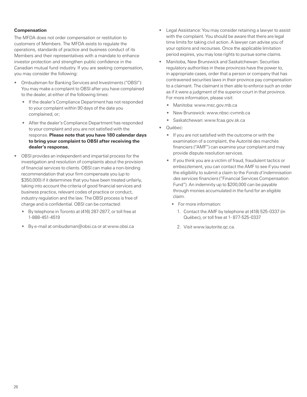#### **Compensation**

The MFDA does not order compensation or restitution to customers of Members. The MFDA exists to regulate the operations, standards of practice and business conduct of its Members and their representatives with a mandate to enhance investor protection and strengthen public confidence in the Canadian mutual fund industry. If you are seeking compensation, you may consider the following:

- Ombudsman for Banking Services and Investments ("OBSI"): You may make a complaint to OBSI after you have complained to the dealer, at either of the following times:
	- If the dealer's Compliance Department has not responded to your complaint within 90 days of the date you complained, or;
	- After the dealer's Compliance Department has responded to your complaint and you are not satisfied with the response. **Please note that you have 180 calendar days to bring your complaint to OBSI after receiving the dealer's response.**
- OBSI provides an independent and impartial process for the investigation and resolution of complaints about the provision of financial services to clients. OBSI can make a non-binding recommendation that your firm compensate you (up to \$350,000) if it determines that you have been treated unfairly, taking into account the criteria of good financial services and business practice, relevant codes of practice or conduct, industry regulation and the law. The OBSI process is free of charge and is confidential. OBSI can be contacted:
	- By telephone in Toronto at (416) 287-2877, or toll free at 1-888-451-4519
	- By e-mail at ombudsman@obsi.ca or at www.obsi.ca
- Legal Assistance: You may consider retaining a lawyer to assist with the complaint. You should be aware that there are legal time limits for taking civil action. A lawyer can advise you of your options and recourses. Once the applicable limitation period expires, you may lose rights to pursue some claims.
- Manitoba, New Brunswick and Saskatchewan: Securities regulatory authorities in these provinces have the power to, in appropriate cases, order that a person or company that has contravened securities laws in their province pay compensation to a claimant. The claimant is then able to enforce such an order as if it were a judgment of the superior court in that province. For more information, please visit:
	- Manitoba: www.msc.gov.mb.ca
	- New Brunswick: www.nbsc-cvmnb.ca
	- Saskatchewan: www.fcaa.gov.sk.ca
- Québec:
	- If you are not satisfied with the outcome or with the examination of a complaint, the Autorité des marchés financiers ("AMF") can examine your complaint and may provide dispute resolution services.
	- If you think you are a victim of fraud, fraudulent tactics or embezzlement, you can contact the AMF to see if you meet the eligibility to submit a claim to the Fonds d'indemnisation des services financiers ("Financial Services Compensation Fund"). An indemnity up to \$200,000 can be payable through monies accumulated in the fund for an eligible claim.
		- For more information:
			- 1. Contact the AMF by telephone at (418) 525-0337 (in Québec), or toll free at 1- 877-525-0337
			- 2. Visit www.lautorite.qc.ca.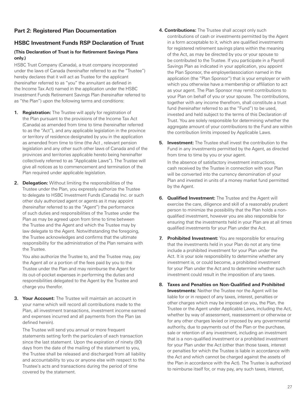## <span id="page-30-0"></span>**Part 2: Registered Plan Documentation**

## **HSBC Investment Funds RSP Declaration of Trust**

## **(This Declaration of Trust is for Retirement Savings Plans only.)**

HSBC Trust Company (Canada), a trust company incorporated under the laws of Canada (hereinafter referred to as the "Trustee") hereby declares that it will act as Trustee for the applicant (hereinafter referred to as "you" the annuitant as defined in the Income Tax Act) named in the application under the HSBC Investment Funds Retirement Savings Plan (hereinafter referred to as "the Plan") upon the following terms and conditions:

- **1. Registration:** The Trustee will apply for registration of the Plan pursuant to the provisions of the Income Tax Act (Canada) as amended from time to time (hereinafter referred to as the "Act"), and any applicable legislation in the province or territory of residence designated by you in the application as amended from time to time (the Act , relevant pension legislation and any other such other laws of Canada and of the provinces and territories applicable hereto being hereinafter collectively referred to as "Applicable Laws"). The Trustee will give all notices as to commencement and termination of the Plan required under applicable legislation.
- **2. Delegation:** Without limiting the responsibilities of the Trustee under the Plan, you expressly authorize the Trustee to delegate to HSBC Investment Funds (Canada) Inc. or such other duly authorized agent or agents as it may appoint (hereinafter referred to as the "Agent") the performance of such duties and responsibilities of the Trustee under the Plan as may be agreed upon from time to time between the Trustee and the Agent and which the Trustee may by law delegate to the Agent. Notwithstanding the foregoing, the Trustee acknowledges and confirms that the ultimate responsibility for the administration of the Plan remains with the Trustee.

 You also authorize the Trustee to, and the Trustee may, pay the Agent all or a portion of the fees paid by you to the Trustee under the Plan and may reimburse the Agent for its out-of-pocket expenses in performing the duties and responsibilities delegated to the Agent by the Trustee and charge you therefor.

**3. Your Account:** The Trustee will maintain an account in your name which will record all contributions made to the Plan, all investment transactions, investment income earned and expenses incurred and all payments from the Plan (as defined herein).

 The Trustee will send you annual or more frequent statements setting forth the particulars of each transaction since the last statement. Upon the expiration of ninety (90) days from the date of the mailing of the statement to you, the Trustee shall be released and discharged from all liability and accountability to you or anyone else with respect to the Trustee's acts and transactions during the period of time covered by the statement.

- **4. Contributions:** The Trustee shall accept only such contributions of cash or investments permitted by the Agent in a form acceptable to it, which are qualified investments for registered retirement savings plans within the meaning of the Act, as may be directed by you or your spouse to be contributed to the Trustee. If you participate in a Payroll Savings Plan as indicated in your application, you appoint the Plan Sponsor, the employer/association named in the application (the "Plan Sponsor") that is your employer or with which you otherwise have a membership or affiliation to act as your agent. The Plan Sponsor may remit contributions to your Plan on behalf of you or your spouse. The contributions, together with any income therefrom, shall constitute a trust fund (hereinafter referred to as the "Fund") to be used, invested and held subject to the terms of this Declaration of Trust. You are solely responsible for determining whether the aggregate amount of your contributions to the Fund are within the contribution limits imposed by Applicable Laws.
- **5. Investment:** The Trustee shall invest the contribution to the Fund in any investments permitted by the Agent, as directed from time to time by you or your agent.

 In the absence of satisfactory investment instructions, cash received by the Trustee in connection with your Plan will be converted into the currency denomination of your Plan and invested in units of a money market fund permitted by the Agent.

- **6. Qualified Investment:** The Trustee and the Agent will exercise the care, diligence and skill of a reasonably prudent person to minimize the possibility that the Plan holds a nonqualified investment, however you are also responsible for ensuring that the investments held in your Plan are at all times qualified investments for your Plan under the Act.
- **7. Prohibited Investment:** You are responsible for ensuring that the investments held in your Plan do not at any time include a prohibited investment for your Plan under the Act. It is your sole responsibility to determine whether any investment is, or could become, a prohibited investment for your Plan under the Act and to determine whether such investment could result in the imposition of any taxes.
- **8. Taxes and Penalties on Non-Qualified and Prohibited Investments:** Neither the Trustee nor the Agent will be liable for or in respect of any taxes, interest, penalties or other charges which may be imposed on you, the Plan, the Trustee or the Agent under Applicable Laws, including the Act, whether by way of assessment, reassessment or otherwise or for any other charges levied or imposed by any governmental authority, due to payments out of the Plan or the purchase, sale or retention of any investment, including an investment that is a non-qualified investment or a prohibited investment for your Plan under the Act (other than those taxes, interest or penalties for which the Trustee is liable in accordance with the Act and which cannot be charged against the assets of the Plan in accordance with the Act). The Trustee is authorized to reimburse itself for, or may pay, any such taxes, interest,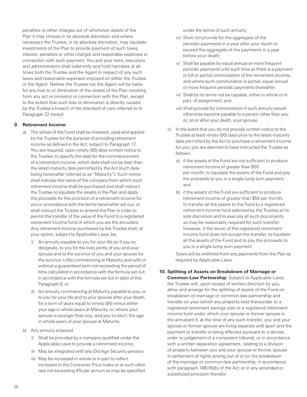penalties or other charges out of whichever assets of the Plan it may choose in its absolute discretion and where necessary the Trustee, in its absolute discretion, may liquidate investments of the Plan to provide payment of such taxes, interest, penalties or other charges and reasonable expenses in connection with such payment. You and your heirs, executors and administrators shall indemnify and hold harmless at all times both the Trustee and the Agent in respect of any such taxes and reasonable expenses imposed on either the Trustee or the Agent. Neither the Trustee nor the Agent will be liable for any loss to or diminution of the assets of the Plan resulting from any act or omission in connection with the Plan, except to the extent that such loss or diminution is directly caused by the Trustee's breach of the standard of care referred to in Paragraph 22 hereof.

#### **9. Retirement Income:**

- a) The whole of the Fund shall be invested, used and applied by the Trustee for the purpose of providing retirement income as defined in the Act; subject to Paragraph 17. You are required, upon ninety (90) days written notice to the Trustee, to specify the date for the commencement of a retirement income, which date shall not be later than the latest maturity date permitted by the Act (such date being hereinafter referred to as "Maturity"). Such notice shall indicate the name of the company from which such retirement income shall be purchased and shall instruct the Trustee to liquidate the assets in the Plan and apply the proceeds for the provision of a retirement income for you in accordance with the terms hereinafter set out, or shall instruct the Trustee to amend the Plan in order to permit the transfer of the value of the Fund to a registered retirement income fund of which you are the annuitant. Any retirement income purchased by the Trustee shall, at your option, subject to Applicable Laws, be:
	- i) An annuity payable to you for your life (or if you so designate, to you for the lives jointly of you and your spouse and to the survivor of you and your spouse for the survivor's life) commencing at Maturity and with or without a guaranteed term not exceeding the period of time calculated in accordance with the formula set out in accordance with the formula set out in (a)(ii) of this Paragraph 9; or
	- ii) An annuity commencing at Maturity payable to you, or to you for your life and to your spouse after your death, for a term of years equal to ninety (90) minus either your age in whole years at Maturity, or, where your spouse is younger than you, and you so elect, the age in whole years of your spouse at Maturity.
- b) Any annuity acquired:
	- i) Shall be provided by a company qualified under the Applicable Laws to provide a retirement income;
	- ii) May be integrated with any Old Age Security pension;
	- iii) May be increased in whole or in part to reflect increases in the Consumer Price Index or at such other rate not exceeding 4% per annum as may be specified

under the terms of such annuity;

- iv) Shall not provide for the aggregate of the periodic payments in a year after your death to exceed the aggregate of the payments in a year before your death;
- v) Shall be payable by equal annual or more frequent periodic payments until such time as there is a payment in full or partial commutation of the retirement income, and where such commutation is partial, equal annual or more frequent periodic payments thereafter;
- vi) Shall by its terms not be capable, either in whole or in part, of assignment; and
- vii) Shall provide for commutation if such annuity would otherwise become payable to a person other than you or, on or after your death, your spouse.
- c) In the event that you do not provide written notice to the Trustee at least ninety (90) days prior to the latest maturity date permitted by the Act to purchase a retirement income for you, you are deemed to have instructed the Trustee as follows:
	- a) if the assets of the Fund are not sufficient to produce retirement income of greater than \$50 per month, to liquidate the assets of the Fund and pay the proceeds to you in a single lump sum payment; and
	- b) if the assets of the Fund are sufficient to produce retirement income of greater than \$50 per month, to transfer all the assets to the Fund to a registered retirement income fund selected by the Trustee at its sole discretion and to execute all such documents as may be reasonably required for such transfer; however, if the issuer of the registered retirement income fund does not accept the transfer, to liquidate all the assets of the Fund and to pay the proceeds to you in a single lump sum payment.

Taxes will be withheld from any payments from the Plan as required by Applicable Laws.

#### **10. Splitting of Assets on Breakdown of Marriage or**

**Common-Law Partnership:** Subject to Applicable Laws, the Trustee will, upon receipt of written direction by you, allow and arrange for the splitting of assets of the Fund on breakdown of marriage or common-law partnership and transfer on your behalf any property held thereunder to a registered retirement savings plan or a registered retirement income fund under which your spouse or former spouse is the annuitant if, at the time of any such transfer, you and your spouse or former spouse are living separate and apart and the payment or transfer is being effected pursuant to a decree, order or judgement of a competent tribunal, or in accordance with a written separation agreement, relating to a division of property between you and your spouse or former spouse in settlement of rights arising out of or on the breakdown of the marriage or common-law partnership, in accordance with paragraph 146(16)(b) of the Act or in any amended or substituted provision therefor.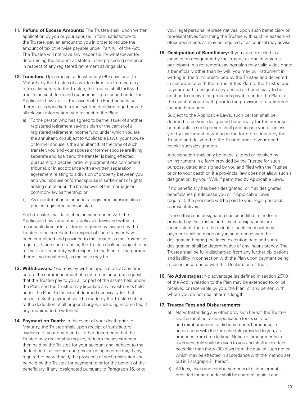- **11. Refund of Excess Amounts:** The Trustee shall, upon written application by you or your spouse, in form satisfactory to the Trustee, pay an amount to you in order to reduce the amount of tax otherwise payable under Part X.1 of the Act. The Trustee will not have any responsibility whatsoever for determining the amount as stated in the preceding sentence in respect of any registered retirement savings plan.
- **12. Transfers:** Upon receipt at least ninety (90) days prior to Maturity by the Trustee of a written direction from you in a form satisfactory to the Trustee, the Trustee shall forthwith transfer in such form and manner as is prescribed under the Applicable Laws, all of the assets of the Fund or such part thereof as is specified in your written direction together with all relevant information with respect to the Plan:
	- a) To the person who has agreed to be the issuer of another registered retirement savings plan or the carrier of a registered retirement income fund under which you are the annuitant, or subject to Applicable Laws, your spouse or former spouse is the annuitant if, at the time of such transfer, you and your spouse or former spouse are living separate and apart and the transfer is being effected pursuant to a decree, order or judgment of a competent tribunal, or in accordance with a written separation agreement relating to a division of property between you and your spouse or former spouse in settlement of rights arising out of or on the breakdown of the marriage or common-law partnership; or
	- b) As a contribution to or under a registered pension plan or pooled registered pension plan.

 Such transfer shall take effect in accordance with the Applicable Laws and other applicable laws and within a reasonable time after all forms required by law and by the Trustee to be completed in respect of such transfer have been completed and provided to the Trustee as the Trustee so requires. Upon such transfer, the Trustee shall be subject to no further liability or duty with respect to the Plan, or the portion thereof, so transferred, as the case may be.

- **13. Withdrawals:** You may, by written application, at any time before the commencement of a retirement income, request that the Trustee pay to you all or part of the assets held under the Plan, and the Trustee may liquidate any investments held under the Plan, to the extent deemed necessary for that purpose. Such payment shall be made by the Trustee subject to the deduction of all proper charges, including income tax, if any, required to be withheld.
- **14. Payment on Death:** In the event of your death prior to Maturity, the Trustee shall, upon receipt of satisfactory evidence of your death and all other documents that the Trustee may reasonably require, redeem the investments then held by the Trustee for your account and, subject to the deduction of all proper charges including income tax, if any, required to be withheld, the proceeds of such realization shall be held by the Trustee for payment to or for the benefit of the beneficiary, if any, designated pursuant to Paragraph 15, or to

your legal personal representatives, upon such beneficiary or representatives furnishing the Trustee with such releases and other documents as may be required or as counsel may advise.

**15. Designation of Beneficiary:** If you are domiciled in a jurisdiction designated by the Trustee as one in which a participant in a retirement savings plan may validly designate a beneficiary other than by will, you may by instrument in writing in the form prescribed by the Trustee and delivered in accordance with the terms of this Plan to the Trustee prior to your death, designate any person as beneficiary to be entitled to receive the proceeds payable under the Plan in the event of your death prior to the provision of a retirement income hereunder.

 Subject to the Applicable Laws, such person shall be deemed to be your designated beneficiary for the purposes hereof unless such person shall predecease you or unless you by instrument in writing in the form prescribed by the Trustee and delivered to the Trustee prior to your death revoke such designation.

 A designation shall only be made, altered or revoked by an instrument in a form provided by the Trustee for such purpose, dated and signed by you and filed with the Trustee prior to your death or, if a provincial law does not allow such a designation, by your Will, if permitted by Applicable Laws.

 If no beneficiary has been designated, or if all designated beneficiaries predecease you or if Applicable Laws require it, the proceeds will be paid to your legal personal representatives.

 If more than one designation has been filed in the form provided by the Trustee and if such designations are inconsistent, then to the extent of such inconsistency, payment shall be made only in accordance with the designation bearing the latest execution date and such designation shall be determinative of any inconsistency. The Trustee shall be fully discharged from any further obligations and liability in connection with the Plan upon payment being made in accordance with this Declaration of Trust.

**16. No Advantages:** No advantage (as defined in section 207.01 of the Act) in relation to the Plan may be extended to, or be received or receivable by you, the Plan, or any person with whom you do not deal at arm's length.

#### **17. Trustee Fees and Disbursements:**

- a) Notwithstanding any other provision hereof, the Trustee shall be entitled to compensation for its services, and reimbursement of disbursements hereunder, in accordance with the fee schedule provided to you, as amended from time to time. Notice of amendments to such schedule shall be given to you and shall take effect no earlier than thirty (30) days from the date of such notice which may be effected in accordance with the method set out in Paragraph 21 hereof.
- b) All fees, taxes and reimbursements of disbursements provided for hereunder shall be charged against and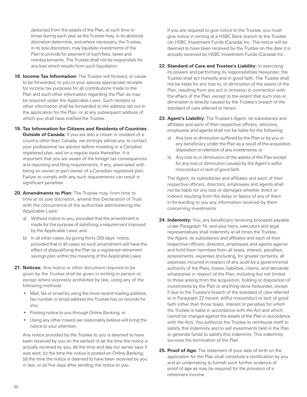deducted from the assets of the Plan, at such time or times during each year as the Trustee may, in its absolute discretion determine, and where necessary, the Trustee, in its sole discretion, may liquidate investments of the Plan to provide for payment of such fees, taxes and reimbursements. The Trustee shall not be responsible for any loss which results from such liquidation.

- **18. Income Tax Information:** The Trustee will forward, or cause to be forwarded, to you or your spouse appropriate receipts for income tax purposes for all contributions made to the Plan and such other information regarding the Plan as may be required under the Applicable Laws. Such receipts or other information shall be forwarded to the address set out in the application for the Plan, or at any subsequent address of which you shall have notified the Trustee.
- **19. Tax Information for Citizens and Residents of Countries Outside of Canada:** If you are also a citizen or resident of a country other than Canada, we strongly advise you to contact your professional tax advisor before investing in a Canadian registered plan, and on a regular basis thereafter. It is important that you are aware of the foreign tax consequences and reporting and filing requirements, if any, associated with being an owner or part-owner of a Canadian registered plan. Failure to comply with any such requirements can result in significant penalties.
- **20. Amendments to Plan:** The Trustee may, from time to time at its sole discretion, amend this Declaration of Trust with the concurrence of the authorities administering the Applicable Laws:
	- a) Without notice to you, provided that the amendment is made for the purpose of satisfying a requirement imposed by the Applicable Laws; and
	- b) In all other cases, by giving thirty (30) days' notice, provided that in all cases no such amendment will have the effect of disqualifying the Plan as a registered retirement savings plan within the meaning of the Applicable Laws.
- **21. Notices:** Any notice or other document required to be given by the Trustee shall be given in writing in person or, except where expressly prohibited by law, using any of the following methods:
	- Mail, fax or email by using the most recent mailing address, fax number or email address the Trustee has on records for you;
	- Posting notice to you through Online Banking; or
	- Using any other means we reasonably believe will bring the notice to your attention.

 Any notice provided by the Trustee to you is deemed to have been received by you on the earliest of (a) the time the notice is actually received by you, (b) the time and day our server says it was sent; (c) the time the notice is posted on Online Banking; (d) the time the notice is deemed to have been received by you in law; or (e) five days after sending the notice to you.

 If you are required to give notice to the Trustee, you must give notice in writing at a HSBC Bank branch to the Trustee c/o HSBC Investment Funds (Canada) Inc. The notice will be deemed to have been received by the Trustee on the date it is actually received by HSBC Investment Funds (Canada) Inc.

- **22. Standard of Care and Trustee's Liability:** In exercising its powers and performing its responsibilities hereunder, the Trustee shall act honestly and in good faith. The Trustee shall not be liable for any loss to, or diminution of the assets of the Plan, resulting from any act or omission in connection with the affairs of the Plan, except to the extent that such loss or diminution is directly caused by the Trustee's breach of the standard of care referred to herein.
- **23. Agent's Liability:** The Trustee's Agent, its subsidiaries and affiliates and each of their respective officers, directors, employees and agents shall not be liable for the following:
	- a) Any loss or diminution suffered by the Plan or by you or any beneficiary under the Plan as a result of the acquisition, disposition or retention of any investments; or
	- b) Any loss to or diminution of the assets of the Plan except for any loss or diminution caused by the Agent's wilful misconduct or lack of good faith.

 The Agent, its subsidiaries and affiliates and each of their respective officers, directors, employees and agents shall not be liable for any loss or damages whether direct or indirect resulting from the delay or failure of any of them in forwarding to you any information received by them concerning investments.

- **24. Indemnity:** You, any beneficiary receiving proceeds payable under Paragraph 14, and your heirs, executors and legal representatives shall indemnify at all times the Trustee, the Agent, its subsidiaries and affiliates and each of their respective officers, directors, employees and agents against and hold them harmless from all taxes, interest, penalties, assessments, expenses (including, for greater certainty, all expenses incurred in respect of any audit by a governmental authority of the Plan), losses, liabilities, claims, and demands whatsoever in respect of the Plan, including but not limited to those arising from the acquisition, holding or disposition of investments by the Plan or anything done hereunder, except if due to the Trustee's breach of the standard of care referred to in Paragraph 22 hereof, willful misconduct or lack of good faith (other than those taxes, interest or penalties for which the Trustee is liable in accordance with the Act and which cannot be charged against the assets of the Plan in accordance with the Act). You authorize the Trustee to reimburse itself to satisfy this indemnity and to sell investments held in the Plan to generate funds to satisfy this indemnity. This indemnity survives the termination of the Plan.
- **25. Proof of Age:** The statement of your date of birth on the application for the Plan shall constitute a certification by you and an undertaking to furnish such further evidence of proof of age as may be required for the provision of a retirement income.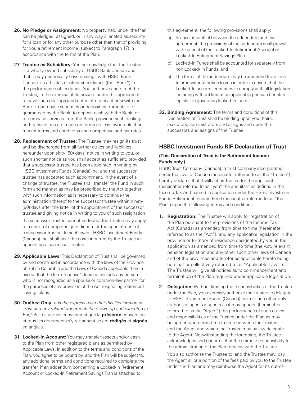- <span id="page-34-0"></span>**26. No Pledge or Assignment:** No property held under the Plan can be pledged, assigned, or in any way alienated as security for a loan or for any other purpose other than that of providing for you a retirement income (subject to Paragraph 17) in accordance with the terms of the Plan.
- **27. Trustee as Subsidiary:** You acknowledge that the Trustee is a wholly-owned subsidiary of HSBC Bank Canada and that it may periodically have dealings with HSBC Bank Canada, its affiliates or other subsidiaries (the "Bank") in the performance of its duties. You authorize and direct the Trustee, in the exercise of its powers under this agreement to have such dealings (and enter into transactions) with the Bank, to purchase securities or deposit instruments of or guaranteed by the Bank, to deposit cash with the Bank, or to purchase services from the Bank, provided such dealings and transactions are made on terms no less favourable than market terms and conditions and competitive and fair rates.
- **28. Replacement of Trustee:** The Trustee may resign its trust and be discharged from all further duties and liabilities hereunder upon sixty (60) days' notice in writing to you, or such shorter notice as you shall accept as sufficient, provided that a successor trustee has been appointed in writing by HSBC Investment Funds (Canada) Inc. and the successor trustee has accepted such appointment. In the event of a change of trustee, the Trustee shall transfer the Fund in such form and manner as may be prescribed by the Act together with such information as is necessary to continue the administration thereof to the successor trustee within ninety (90) days after the latter of the appointment of the successor trustee and giving notice in writing to you of such resignation.

 If a successor trustee cannot be found, the Trustee may apply to a court of competent jurisdiction for the appointment of a successor trustee. In such event, HSBC Investment Funds (Canada) Inc. shall bear the costs incurred by the Trustee in appointing a successor trustee.

- **29. Applicable Laws:** This Declaration of Trust shall be governed by and construed in accordance with the laws of the Province of British Columbia and the laws of Canada applicable therein except that the term "spouse" does not include any person who is not recognized as a spouse or common-law partner for the purposes of any provision of the Act respecting retirement savings plans.
- **30. Québec Only:** It is the express wish that this Declaration of Trust and any related documents be drawn up and executed in English. Les parties conviennent que la **présente** convention et tous les documents s'y rattachant soient **rédigés** et **signés** en anglais.
- **31. Locked-In Account:** You may transfer assets and/or cash to the Plan from other registered plans as permitted by Applicable Laws. In addition to the terms and conditions of the Plan, you agree to be bound by, and the Plan will be subject to, any additional terms and conditions required to complete the transfer. If an addendum concerning a Locked-in Retirement Account or Locked-In Retirement Savings Plan is attached to

this agreement, the following provisions shall apply:

- a) In case of conflict between the addendum and this agreement, the provisions of the addendum shall prevail with respect of the Locked-In Retirement Account or Locked-In Retirement Savings Plan;
- b) Locked-In Funds shall be accounted for separately from non Locked- In Funds; and
- c) The terms of the addendum may be amended from time to time without notice to you in order to ensure that the Locked-In account continues to comply with all legislation including without limitation applicable pension benefits legislation governing locked-in funds.
- **32. Binding Agreement:** The terms and conditions of this Declaration of Trust shall be binding upon your heirs, executors, administrators and assigns and upon the successors and assigns of the Trustee.

## **HSBC Investment Funds RIF Declaration of Trust**

#### **(This Declaration of Trust is for Retirement Income Funds only.)**

HSBC Trust Company (Canada), a trust company incorporated under the laws of Canada (hereinafter referred to as the "Trustee") hereby declares that it will act as Trustee for the applicant (hereinafter referred to as "you" the annuitant as defined in the Income Tax Act) named in application under the HSBC Investment Funds Retirement Income Fund (hereinafter referred to as "the Plan") upon the following terms and conditions:

- **1. Registration:** The Trustee will apply for registration of the Plan pursuant to the provisions of the Income Tax Act (Canada) as amended from time to time (hereinafter referred to as the "Act"), and any applicable legislation in the province or territory of residence designated by you in the application as amended from time to time (the Act, relevant pension legislation and any other such other laws of Canada and of the provinces and territories applicable hereto being hereinafter collectively referred to as "Applicable Laws"). The Trustee will give all notices as to commencement and termination of the Plan required under applicable legislation.
- **2. Delegation:** Without limiting the responsibilities of the Trustee under the Plan, you expressly authorize the Trustee to delegate to HSBC Investment Funds (Canada) Inc. or such other duly authorized agent or agents as it may appoint (hereinafter referred to as the "Agent") the performance of such duties and responsibilities of the Trustee under the Plan as may be agreed upon from time to time between the Trustee and the Agent and which the Trustee may by law delegate to the Agent. Notwithstanding the foregoing, the Trustee acknowledges and confirms that the ultimate responsibility for the administration of the Plan remains with the Trustee.

 You also authorize the Trustee to, and the Trustee may, pay the Agent all or a portion of the fees paid by you to the Trustee under the Plan and may reimburse the Agent for its out-of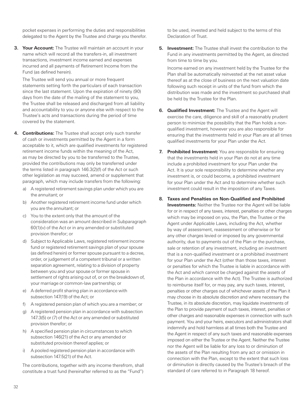pocket expenses in performing the duties and responsibilities delegated to the Agent by the Trustee and charge you therefor.

**3. Your Account:** The Trustee will maintain an account in your name which will record all the transfers-in, all investment transactions, investment income earned and expenses incurred and all payments of Retirement Income from the Fund (as defined herein).

 The Trustee will send you annual or more frequent statements setting forth the particulars of each transaction since the last statement. Upon the expiration of ninety (90) days from the date of the mailing of the statement to you, the Trustee shall be released and discharged from all liability and accountability to you or anyone else with respect to the Trustee's acts and transactions during the period of time covered by the statement.

- **4. Contributions:** The Trustee shall accept only such transfer of cash or investments permitted by the Agent in a form acceptable to it, which are qualified investments for registered retirement income funds within the meaning of the Act, as may be directed by you to be transferred to the Trustee, provided the contributions may only be transferred under the terms listed in paragraph 146.3(2)(f) of the Act or such other legislation as may succeed, amend or supplement that paragraph, which may include transfers from the following:
	- a) A registered retirement savings plan under which you are the annuitant; or
	- b) Another registered retirement income fund under which you are the annuitant; or
	- c) You to the extent only that the amount of the consideration was an amount described in Subparagraph 60(1)(v) of the Act or in any amended or substituted provision therefor; or
	- d) Subject to Applicable Laws, registered retirement income fund or registered retirement savings plan of your spouse (as defined herein) or former spouse pursuant to a decree, order, or judgement of a competent tribunal or a written separation agreement, relating to a division of property between you and your spouse or former spouse in settlement of rights arising out of, or on the breakdown of, your marriage or common-law partnership; or
	- e) A deferred profit sharing plan in accordance with subsection 147(19) of the Act; or
	- f) A registered pension plan of which you are a member; or
	- g) A registered pension plan in accordance with subsection 147.3(5) or (7) of the Act or any amended or substituted provision therefor; or
	- h) A specified pension plan in circumstances to which subsection 146(21) of the Act or any amended or substituted provision thereof applies; or
	- A pooled registered pension plan in accordance with subsection 147.5(21) of the Act.

 The contributions, together with any income therefrom, shall constitute a trust fund (hereinafter referred to as the "Fund") to be used, invested and held subject to the terms of this Declaration of Trust.

**5. Investment:** The Trustee shall invest the contribution to the Fund in any investments permitted by the Agent, as directed from time to time by you.

 Income earned on any investment held by the Trustee for the Plan shall be automatically reinvested at the net asset value thereof as at the close of business on the next valuation date following such receipt in units of the fund from which the distribution was made and the investment so purchased shall be held by the Trustee for the Plan.

- **6. Qualified Investment:** The Trustee and the Agent will exercise the care, diligence and skill of a reasonably prudent person to minimize the possibility that the Plan holds a nonqualified investment, however you are also responsible for ensuring that the investments held in your Plan are at all times qualified investments for your Plan under the Act.
- **7. Prohibited Investment:** You are responsible for ensuring that the investments held in your Plan do not at any time include a prohibited investment for your Plan under the Act. It is your sole responsibility to determine whether any investment is, or could become, a prohibited investment for your Plan under the Act and to determine whether such investment could result in the imposition of any Taxes.
- **8. Taxes and Penalties on Non-Qualified and Prohibited Investments:** Neither the Trustee nor the Agent will be liable for or in respect of any taxes, interest, penalties or other charges which may be imposed on you, the Plan, the Trustee or the Agent under Applicable Laws, including the Act, whether by way of assessment, reassessment or otherwise or for any other charges levied or imposed by any governmental authority, due to payments out of the Plan or the purchase, sale or retention of any investment, including an investment that is a non-qualified investment or a prohibited investment for your Plan under the Act (other than those taxes, interest or penalties for which the Trustee is liable in accordance with the Act and which cannot be charged against the assets of the Plan in accordance with the Act). The Trustee is authorized to reimburse itself for, or may pay, any such taxes, interest, penalties or other charges out of whichever assets of the Plan it may choose in its absolute discretion and where necessary the Trustee, in its absolute discretion, may liquidate investments of the Plan to provide payment of such taxes, interest, penalties or other charges and reasonable expenses in connection with such payment. You and your heirs, executors and administrators shall indemnify and hold harmless at all times both the Trustee and the Agent in respect of any such taxes and reasonable expenses imposed on either the Trustee or the Agent. Neither the Trustee nor the Agent will be liable for any loss to or diminution of the assets of the Plan resulting from any act or omission in connection with the Plan, except to the extent that such loss or diminution is directly caused by the Trustee's breach of the standard of care referred to in Paragraph 18 hereof.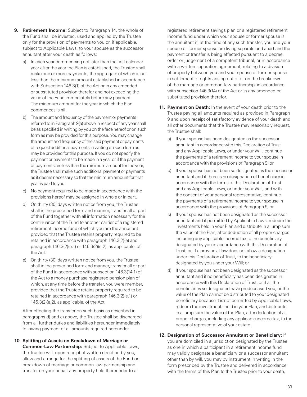- **9. Retirement Income:** Subject to Paragraph 14, the whole of the Fund shall be invested, used and applied by the Trustee only for the provision of payments to you or, if applicable, subject to Applicable Laws, to your spouse as the successor annuitant after your death as follows:
	- a) In each year commencing not later than the first calendar year after the year the Plan is established, the Trustee shall make one or more payments, the aggregate of which is not less than the minimum amount established in accordance with Subsection 146.3(1) of the Act or in any amended or substituted provision therefor and not exceeding the value of the Fund immediately before any payment. The minimum amount for the year in which the Plan commences is nil.
	- b) The amount and frequency of the payment or payments referred to in Paragraph 9(a) above in respect of any year shall be as specified in writing by you on the face hereof or on such form as may be provided for this purpose. You may change the amount and frequency of the said payment or payments or request additional payments in writing on such form as may be provided for this purpose. If you do not specify the payment or payments to be made in a year or if the payment or payments are less than the minimum amount for the year, the Trustee shall make such additional payment or payments as it deems necessary so that the minimum amount for that year is paid to you.
	- c) No payment required to be made in accordance with the provisions hereof may be assigned in whole or in part.
	- d) On thirty (30) days written notice from you, the Trustee shall in the prescribed form and manner, transfer all or part of the Fund together with all information necessary for the continuance of the Fund to another carrier of a registered retirement income fund of which you are the annuitant provided that the Trustee retains property required to be retained in accordance with paragraph 146.3(2)(e) and paragraph 146.3(2)(e.1) or 146.3(2)(e.2), as applicable, of the Act.
	- e) On thirty (30) days written notice from you, the Trustee shall in the prescribed form and manner, transfer all or part of the Fund in accordance with subsection 146.3(14.1) of the Act to a money purchase registered pension plan of which, at any time before the transfer, you were member, provided that the Trustee retains property required to be retained in accordance with paragraph 146.3(2)(e.1) or 146.3(2)(e.2), as applicable, of the Act.

 After effecting the transfer on such basis as described in paragraphs d) and e) above, the Trustee shall be discharged from all further duties and liabilities hereunder immediately following payment of all amounts required hereunder.

**10. Splitting of Assets on Breakdown of Marriage or Common-Law Partnership:** Subject to Applicable Laws, the Trustee will, upon receipt of written direction by you, allow and arrange for the splitting of assets of the Fund on breakdown of marriage or common-law partnership and transfer on your behalf any property held thereunder to a

registered retirement savings plan or a registered retirement income fund under which your spouse or former spouse is the annuitant if, at the time of any such transfer, you and your spouse or former spouse are living separate and apart and the payment or transfer is being effected pursuant to a decree, order or judgement of a competent tribunal, or in accordance with a written separation agreement, relating to a division of property between you and your spouse or former spouse in settlement of rights arising out of or on the breakdown of the marriage or common-law partnership, in accordance with subsection 146.3(14) of the Act or in any amended or substituted provision therefor.

- **11. Payment on Death:** In the event of your death prior to the Trustee paying all amounts required as provided in Paragraph 9 and upon receipt of satisfactory evidence of your death and all other documents that the Trustee may reasonably request, the Trustee shall:
	- a) If your spouse has been designated as the successor annuitant in accordance with this Declaration of Trust and any Applicable Laws, or under your Will, continue the payments of a retirement income to your spouse in accordance with the provisions of Paragraph 9; or
	- b) If your spouse has not been so designated as the successor annuitant and if there is no designation of beneficiary in accordance with the terms of this Declaration of Trust and any Applicable Laws, or under your Will, and with the consent of your personal representative, continue the payments of a retirement income to your spouse in accordance with the provisions of Paragraph 9; or
	- c) If your spouse has not been designated as the successor annuitant and if permitted by Applicable Laws, redeem the investments held in your Plan and distribute in a lump sum the value of the Plan, after deduction of all proper charges including any applicable income tax to the beneficiary designated by you in accordance with this Declaration of Trust, or, if a provincial law does not allow a designation under this Declaration of Trust, to the beneficiary designated by you under your Will; or
	- d) If your spouse has not been designated as the successor annuitant and if no beneficiary has been designated in accordance with this Declaration of Trust, or if all the beneficiaries so designated have predeceased you, or the value of the Plan cannot be distributed to your designated beneficiary because it is not permitted by Applicable Laws, redeem the investments held in your Plan, and distribute in a lump sum the value of the Plan, after deduction of all proper charges, including any applicable income tax, to the personal representative of your estate.

#### **12. Designation of Successor Annuitant or Beneficiary:** If

you are domiciled in a jurisdiction designated by the Trustee as one in which a participant in a retirement income fund may validly designate a beneficiary or a successor annuitant other than by will, you may by instrument in writing in the form prescribed by the Trustee and delivered in accordance with the terms of this Plan to the Trustee prior to your death,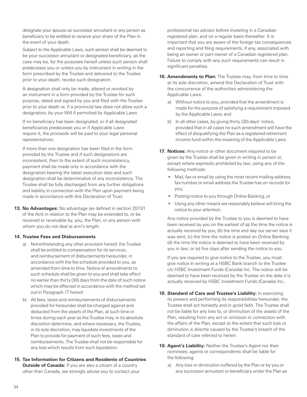designate your spouse as successor annuitant or any person as beneficiary to be entitled to receive your share of the Plan in the event of your death.

 Subject to the Applicable Laws, such person shall be deemed to be your successor annuitant or designated beneficiary, as the case may be, for the purposes hereof unless such person shall predecease you or unless you by instrument in writing in the form prescribed by the Trustee and delivered to the Trustee prior to your death, revoke such designation.

 A designation shall only be made, altered or revoked by an instrument in a form provided by the Trustee for such purpose, dated and signed by you and filed with the Trustee prior to your death or, if a provincial law does not allow such a designation, by your Will if permitted by Applicable Laws.

 If no beneficiary has been designated, or if all designated beneficiaries predecease you or if Applicable Laws require it, the proceeds will be paid to your legal personal representatives.

 If more than one designation has been filed in the form provided by the Trustee and if such designations are inconsistent, then to the extent of such inconsistency, payment shall be made only in accordance with the designation bearing the latest execution date and such designation shall be determinative of any inconsistency. The Trustee shall be fully discharged from any further obligations and liability in connection with the Plan upon payment being made in accordance with this Declaration of Trust.

**13. No Advantages:** No advantage (as defined in section 207.01 of the Act) in relation to the Plan may be extended to, or be received or receivable by, you, the Plan, or any person with whom you do not deal at arm's length.

#### **14. Trustee Fees and Disbursements**

- a) Notwithstanding any other provision hereof, the Trustee shall be entitled to compensation for its services, and reimbursement of disbursements hereunder, in accordance with the fee schedule provided to you, as amended from time to time. Notice of amendments to such schedule shall be given to you and shall take effect no earlier than thirty (30) days from the date of such notice which may be effected in accordance with the method set out in Paragraph 17 hereof.
- b) All fees, taxes and reimbursements of disbursements provided for hereunder shall be charged against and deducted from the assets of the Plan, at such time or times during each year as the Trustee may, in its absolute discretion determine, and where necessary, the Trustee, in its sole discretion, may liquidate investments of the Plan to provide for payment of such fees, taxes and reimbursements. The Trustee shall not be responsible for any loss which results from such liquidation.
- **15. Tax Information for Citizens and Residents of Countries Outside of Canada:** If you are also a citizen of a country other than Canada, we strongly advise you to contact your

professional tax advisor before investing in a Canadian registered plan, and on a regular basis thereafter. It is important that you are aware of the foreign tax consequences and reporting and filing requirements, if any, associated with being an owner or part-owner of a Canadian registered plan. Failure to comply with any such requirements can result in significant penalties.

- **16. Amendments to Plan:** The Trustee may, from time to time at its sole discretion, amend this Declaration of Trust with the concurrence of the authorities administering the Applicable Laws:
	- a) Without notice to you, provided that the amendment is made for the purpose of satisfying a requirement imposed by the Applicable Laws; and
	- b) In all other cases, by giving thirty (30) days' notice, provided that in all cases no such amendment will have the effect of disqualifying the Plan as a registered retirement income fund within the meaning of the Applicable Laws.
- **17. Notices:** Any notice or other document required to be given by the Trustee shall be given in writing in person or, except where expressly prohibited by law, using any of the following methods:
	- Mail, fax or email by using the most recent mailing address, fax number or email address the Trustee has on records for you;
	- Posting notice to you through Online Banking; or
	- Using any other means we reasonably believe will bring the notice to your attention.

 Any notice provided by the Trustee to you is deemed to have been received by you on the earliest of (a) the time the notice is actually received by you, (b) the time and day our server says it was sent; (c) the time the notice is posted on Online Banking; (d) the time the notice is deemed to have been received by you in law; or (e) five days after sending the notice to you.

 If you are required to give notice to the Trustee, you must give notice in writing at a HSBC Bank branch to the Trustee c/o HSBC Investment Funds (Canada) Inc. The notice will be deemed to have been received by the Trustee on the date it is actually received by HSBC Investment Funds (Canada) Inc..

- **18. Standard of Care and Trustee's Liability:** In exercising its powers and performing its responsibilities hereunder, the Trustee shall act honestly and in good faith. The Trustee shall not be liable for any loss to, or diminution of the assets of the Plan, resulting from any act or omission in connection with the affairs of the Plan, except to the extent that such loss or diminution is directly caused by the Trustee's breach of the standard of care referred to herein.
- **19. Agent's Liability:** Neither the Trustee's Agent nor their nominees, agents or correspondents shall be liable for the following:
	- a) Any loss or diminution suffered by the Plan or by you or any successor annuitant or beneficiary under the Plan as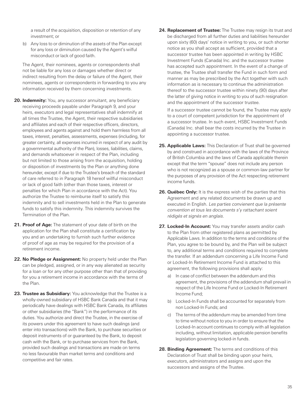a result of the acquisition, disposition or retention of any investment; or

b) Any loss to or diminution of the assets of the Plan except for any loss or diminution caused by the Agent's wilful misconduct or lack of good faith.

 The Agent, their nominees, agents or correspondents shall not be liable for any loss or damages whether direct or indirect resulting from the delay or failure of the Agent, their nominees, agents or correspondents in forwarding to you any information received by them concerning investments.

- **20. Indemnity:** You, any successor annuitant, any beneficiary receiving proceeds payable under Paragraph 9, and your heirs, executors and legal representatives shall indemnify at all times the Trustee, the Agent, their respective subsidiaries and affiliates and each of their respective officers, directors, employees and agents against and hold them harmless from all taxes, interest, penalties, assessments, expenses (including, for greater certainty, all expenses incurred in respect of any audit by a governmental authority of the Plan), losses, liabilities, claims, and demands whatsoever in respect of the Plan, including but not limited to those arising from the acquisition, holding or disposition of investments by the Plan or anything done hereunder, except if due to the Trustee's breach of the standard of care referred to in Paragraph 18 hereof willful misconduct or lack of good faith (other than those taxes, interest or penalties for which Plan in accordance with the Act). You authorize the Trustee to reimburse itself to satisfy this indemnity and to sell investments held in the Plan to generate funds to satisfy this indemnity. This indemnity survives the Termination of the Plan.
- **21. Proof of Age:** The statement of your date of birth on the application for the Plan shall constitute a certification by you and an undertaking to furnish such further evidence of proof of age as may be required for the provision of a retirement income.
- **22. No Pledge or Assignment:** No property held under the Plan can be pledged, assigned, or in any way alienated as security for a loan or for any other purpose other than that of providing for you a retirement income in accordance with the terms of the Plan.
- **23. Trustee as Subsidiary:** You acknowledge that the Trustee is a wholly-owned subsidiary of HSBC Bank Canada and that it may periodically have dealings with HSBC Bank Canada, its affiliates or other subsidiaries (the "Bank") in the performance of its duties. You authorize and direct the Trustee, in the exercise of its powers under this agreement to have such dealings (and enter into transactions) with the Bank, to purchase securities or deposit instruments of or guaranteed by the Bank, to deposit cash with the Bank, or to purchase services from the Bank, provided such dealings and transactions are made on terms no less favourable than market terms and conditions and competitive and fair rates.

**24. Replacement of Trustee:** The Trustee may resign its trust and be discharged from all further duties and liabilities hereunder upon sixty (60) days' notice in writing to you, or such shorter notice as you shall accept as sufficient, provided that a successor trustee has been appointed in writing by HSBC Investment Funds (Canada) Inc. and the successor trustee has accepted such appointment. In the event of a change of trustee, the Trustee shall transfer the Fund in such form and manner as may be prescribed by the Act together with such information as is necessary to continue the administration thereof to the successor trustee within ninety (90) days after the latter of giving notice in writing to you of such resignation and the appointment of the successor trustee.

 If a successor trustee cannot be found, the Trustee may apply to a court of competent jurisdiction for the appointment of a successor trustee. In such event, HSBC Investment Funds (Canada) Inc. shall bear the costs incurred by the Trustee in appointing a successor trustee.

- **25. Applicable Laws:** This Declaration of Trust shall be governed by and construed in accordance with the laws of the Province of British Columbia and the laws of Canada applicable therein except that the term "spouse" does not include any person who is not recognized as a spouse or common-law partner for the purposes of any provision of the Act respecting retirement income funds.
- **26. Québec Only:** It is the express wish of the parties that this Agreement and any related documents be drawn up and executed in English. Les parties convienent que la présente convention et tous les documents s'y rattachant soient rédigés et signés en anglais.
- **27. Locked-In Account:** You may transfer assets and/or cash to the Plan from other registered plans as permitted by Applicable Laws. In addition to the terms and conditions of the Plan, you agree to be bound by, and the Plan will be subject to, any additional terms and conditions required to complete the transfer. If an addendum concerning a Life Income Fund or Locked-In Retirement Income Fund is attached to this agreement, the following provisions shall apply:
	- a) In case of conflict between the addendum and this agreement, the provisions of the addendum shall prevail in respect of the Life Income Fund or Locked-In Retirement Income Fund;
	- b) Locked-In Funds shall be accounted for separately from non Locked-In Funds; and
	- c) The terms of the addendum may be amended from time to time without notice to you in order to ensure that the Locked-In account continues to comply with all legislation including, without limitation, applicable pension benefits legislation governing locked-in funds.
- **28. Binding Agreement:** The terms and conditions of this Declaration of Trust shall be binding upon your heirs, executors, administrators and assigns and upon the successors and assigns of the Trustee.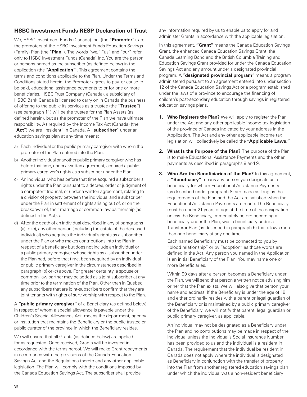## <span id="page-39-0"></span>**HSBC Investment Funds RESP Declaration of Trust**

We, HSBC Investment Funds (Canada) Inc. (the "**Promoter**"), are the promoters of the HSBC Investment Funds Education Savings (Family) Plan (the "**Plan**"). The words "we," "us" and "our" refer only to HSBC Investment Funds (Canada) Inc. You are the person or persons named as the subscriber (as defined below) in the application (the "**Application**"). This agreement contains the terms and conditions applicable to the Plan. Under the Terms and Conditions stated herein, the Promoter agrees to pay, or cause to be paid, educational assistance payments to or for one or more beneficiaries. HSBC Trust Company (Canada), a subsidiary of HSBC Bank Canada is licensed to carry on in Canada the business of offering to the public its services as a trustee (the **"Trustee"**) (see paragraph 11) will be the trustee for the Plan Assets (as defined herein), but as the promoter of the Plan we have ultimate responsibility. As required by the Income Tax Act (Canada) (the "**Act**") we are "resident" in Canada. A "**subscriber**" under an education savings plan at any time means:

- a) Each individual or the public primary caregiver with whom the promoter of the Plan entered into the Plan,
- b) Another individual or another public primary caregiver who has before that time, under a written agreement, acquired a public primary caregiver's rights as a subscriber under the Plan,
- c) An individual who has before that time acquired a subscriber's rights under the Plan pursuant to a decree, order or judgment of a competent tribunal, or under a written agreement, relating to a division of property between the individual and a subscriber under the Plan in settlement of rights arising out of, or on the breakdown of, their marriage or common-law partnership (as defined in the Act), or
- d) After the death of an individual described in any of paragraphs (a) to (c), any other person (including the estate of the deceased individual) who acquires the individual's rights as a subscriber under the Plan or who makes contributions into the Plan in respect of a beneficiary but does not include an individual or a public primary caregiver whose rights as a subscriber under the Plan had, before that time, been acquired by an individual or public primary caregiver in the circumstances described in paragraph (b) or (c) above. For greater certainty, a spouse or common-law partner may be added as a joint subscriber at any time prior to the termination of the Plan. Other than in Québec, any subscribers that are joint-subscribers confirm that they are joint tenants with rights of survivorship with respect to the Plan.

A **"public primary caregiver"** of a Beneficiary (as defined below) in respect of whom a special allowance is payable under the Children's Special Allowances Act, means the department, agency or institution that maintains the Beneficiary or the public trustee or public curator of the province in which the Beneficiary resides.

We will ensure that all Grants (as defined below) are applied for as requested. Once received, Grants will be invested in accordance with the terms hereof. We will make Grant repayments in accordance with the provisions of the Canada Education Savings Act and the Regulations thereto and any other applicable legislation. The Plan will comply with the conditions imposed by the Canada Education Savings Act. The subscriber shall provide

any information required by us to enable us to apply for and administer Grants in accordance with the applicable legislation.

In this agreement, **"Grant"** means the Canada Education Savings Grant, the enhanced Canada Education Savings Grant, the Canada Learning Bond and the British Columbia Training and Education Savings Grant provided for under the Canada Education Savings Act and any amount under a designated provincial program. A "**designated provincial program**" means a program administered pursuant to an agreement entered into under section 12 of the Canada Education Savings Act or a program established under the laws of a province to encourage the financing of children's post-secondary education through savings in registered education savings plans.

- **1. Who Registers the Plan?** We will apply to register the Plan under the Act and any other applicable income tax legislation of the province of Canada indicated by your address in the Application. The Act and any other applicable income tax legislation will collectively be called the **"Applicable Laws."**
- **2. What Is the Purpose of the Plan?** The purpose of the Plan is to make Educational Assistance Payments and the other payments as described in paragraphs 8 and 9.
- **3. Who Are the Beneficiaries of the Plan?** In this agreement, a **"Beneficiary"** means any person you designate as a beneficiary for whom Educational Assistance Payments (as described under paragraph 8) are made as long as the requirements of the Plan and the Act are satisfied when the Educational Assistance Payments are made. The Beneficiary must be under 21 years of age at the time of the designation unless the Beneficiary, immediately before becoming a beneficiary under the Plan, was a beneficiary under a Transferor Plan (as described in paragraph 5) that allows more than one beneficiary at any one time.

 Each named Beneficiary must be connected to you by "blood relationship" or by "adoption" as those words are defined in the Act. Any person you named in the Application is an initial Beneficiary of the Plan. You may name one or more Beneficiaries.

 Within 90 days after a person becomes a Beneficiary under the Plan, we will send that person a written notice advising him or her that the Plan exists. We will also give that person your name and address. If the Beneficiary is under the age of 19 and either ordinarily resides with a parent or legal guardian of the Beneficiary or is maintained by a public primary caregiver of the Beneficiary, we will notify that parent, legal guardian or public primary caregiver, as applicable.

 An individual may not be designated as a Beneficiary under the Plan and no contributions may be made in respect of the individual unless the individual's Social Insurance Number has been provided to us and the individual is a resident in Canada. The requirement that the individual be resident in Canada does not apply where the individual is designated as Beneficiary in conjunction with the transfer of property into the Plan from another registered education savings plan under which the individual was a non-resident beneficiary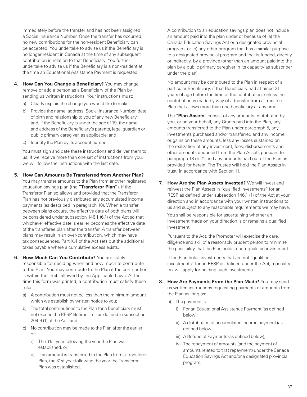immediately before the transfer and has not been assigned a Social Insurance Number. Once the transfer has occurred, no new contributions for the non-resident Beneficiary can be accepted. You undertake to advise us if the Beneficiary is no longer resident in Canada at the time of any subsequent contribution in relation to that Beneficiary. You further undertake to advise us if the Beneficiary is a non-resident at the time an Educational Assistance Payment is requested.

- **4. How Can You Change a Beneficiary?** You may change, remove or add a person as a Beneficiary of the Plan by sending us written instructions. Your instructions must:
	- a) Clearly explain the change you would like to make;
	- b) Provide the name, address, Social Insurance Number, date of birth and relationship to you of any new Beneficiary and, if the Beneficiary is under the age of 19, the name and address of the Beneficiary's parents, legal guardian or public primary caregiver, as applicable; and
	- c) Identify the Plan by its account number.

 You must sign and date these instructions and deliver them to us. If we receive more than one set of instructions from you, we will follow the instructions with the last date.

- **5. How Can Amounts Be Transferred from Another Plan?** 
	- You may transfer amounts to the Plan from another registered education savings plan (the **"Transferor Plan"**), if the Transferor Plan so allows and provided that the Transferor Plan has not previously distributed any accumulated income payments (as described in paragraph 10). When a transfer between plans occurs, the effective date of both plans will be considered under subsection 146.1 (6.1) of the Act so that whichever effective date is earlier becomes the effective date of the transferee plan after the transfer. A transfer between plans may result in an over-contribution, which may have tax consequences. Part X.4 of the Act sets out the additional taxes payable where a cumulative excess exists.

**6. How Much Can You Contribute?** You are solely responsible for deciding when and how much to contribute to the Plan. You may contribute to the Plan if the contribution is within the limits allowed by the Applicable Laws. At the time this form was printed, a contribution must satisfy these rules:

- a) A contribution must not be less than the minimum amount which we establish by written notice to you;
- b) The total contributions to the Plan for a Beneficiary must not exceed the RESP lifetime limit as defined in subsection 204.9 (1) of the Act; and
- c) No contribution may be made to the Plan after the earlier of:
	- i) The 31st year following the year the Plan was established, or
	- ii) If an amount is transferred to the Plan from a Transferor Plan, the 31st year following the year the Transferor Plan was established.

 A contribution to an education savings plan does not include an amount paid into the plan under or because of (a) the Canada Education Savings Act or a designated provincial program, or (b) any other program that has a similar purpose to a designated provincial program and that is funded, directly or indirectly, by a province (other than an amount paid into the plan by a public primary caregiver in its capacity as subscriber under the plan).

 No amount may be contributed to the Plan in respect of a particular Beneficiary, if that Beneficiary had attained 31 years of age before the time of the contribution, unless the contribution is made by way of a transfer from a Transferor Plan that allows more than one beneficiary at any time.

 The "**Plan Assets**" consist of any amounts contributed by you, or on your behalf, any Grants paid into the Plan, any amounts transferred to the Plan under paragraph 5, any investments purchased and/or transferred and any income or gains on these amounts, less any losses sustained on the realization of any investment, fees, disbursements and other amounts deducted from the Plan Assets pursuant to paragraph 18 or 21 and any amounts paid out of the Plan as provided for herein. The Trustee will hold the Plan Assets in trust, in accordance with Section 11.

**7. How Are the Plan Assets Invested?** We will invest and reinvest the Plan Assets in "qualified investments" for an RESP as defined under subsection 146.1 (1) of the Act at your direction and in accordance with your written instructions to us and subject to any reasonable requirements we may have.

 You shall be responsible for ascertaining whether an investment made on your direction is or remains a qualified investment.

 Pursuant to the Act, the Promoter will exercise the care, diligence and skill of a reasonably prudent person to minimize the possibility that the Plan holds a non-qualified investment.

 If the Plan holds investments that are not "qualified investments" for an RESP as defined under the Act, a penalty tax will apply for holding such investments.

- **8. How Are Payments From the Plan Made?** You may send us written instructions requesting payments of amounts from the Plan as long as:
	- a) The payment is:
		- i) For an Educational Assistance Payment (as defined below);
		- ii) A distribution of accumulated income payment (as defined below);
		- iii) A Refund of Payments (as defined below);
		- iv) The repayment of amounts (and the payment of amounts related to that repayment) under the Canada Education Savings Act and/or a designated provincial program;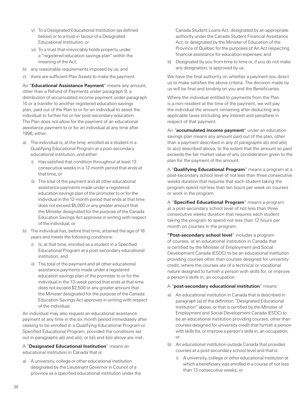- v) To a Designated Educational Institution (as defined below) or to a trust in favour of a Designated Educational Institution; or
- vi) To a trust that irrevocably holds property under a "registered education savings plan" within the meaning of the Act;
- b) any reasonable requirements imposed by us; and
- c) there are sufficient Plan Assets to make the payment.

 An "**Educational Assistance Payment**" means any amount, other than a Refund of Payments under paragraph 9, a distribution of accumulated income payment under paragraph 10 or a transfer to another registered education savings plan, paid out of the Plan to or for an individual to assist the individual to further his or her post-secondary education. The Plan does not allow for the payment of an educational assistance payment to or for an individual at any time after 1996, either:

- a) The individual is, at the time, enrolled as a student in a Qualifying Educational Program at a post-secondary educational institution, and either:
	- i) Has satisfied that condition throughout at least 13 consecutive weeks in a 12-month period that ends at that time, or
	- ii) The total of the payment and all other educational assistance payments made under a registered education savings plan of the promoter to or for the individual in the 12-month period that ends at that time does not exceed \$5,000 or any greater amount that the Minister designated for the purpose of the Canada Education Savings Act approves in writing with respect of the individual; or
- b) The individual has, before that time, attained the age of 16 years and meets the following conditions:
	- i) Is, at that time, enrolled as a student in a Specified Educational Program at a post-secondary educational institution, and
	- ii) The total of the payment and all other educational assistance payments made under a registered education savings plan of the promoter to or for the individual in the 13-week period that ends at that time does not exceed \$2,500 or any greater amount that the Minister designated for the purpose of the Canada Education Savings Act approves in writing with respect of the individual.

 An individual may also request an educational assistance payment at any time in the six month period immediately after ceasing to be enrolled in a Qualifying Educational Program or Specified Educational Program, provided the conditions set out in paragraphs a(i) and a(ii), or b(i) and b(ii) above are met.

 A "**Designated Educational Institution**" means an educational institution in Canada that is:

a) A university, college or other educational institution designated by the Lieutenant Governor in Council of a province as a specified educational institution under the

Canada Student Loans Act, designated by an appropriate authority under the Canada Student Financial Assistance Act, or designated by the Minister of Education of the Province of Québec for the purposes of An Act respecting financial assistance for education expenses; and

b) Designated by you from time to time or, if you do not make any designation, is approved by us.

 We have the final authority on whether a payment you direct us to make satisfies the above criteria. The decision made by us will be final and binding on you and the Beneficiaries.

 Where the individual entitled to payments from the Plan is a non-resident at the time of the payment, we will pay the individual the amount remaining after deducting any applicable taxes (including any interest and penalties) in respect of that payment.

 An "**accumulated income payment**" under an education savings plan means any amount paid out of the plan, other than a payment described in any of paragraphs a(i) and a(iii) to a(vi) described above, to the extent that the amount so paid exceeds the fair market value of any consideration given to the plan for the payment of the amount.

 A "**Qualifying Educational Program**" means a program at a post-secondary school level of not less than three consecutive weeks duration that requires that each student taking the program spend not less than ten hours per week on courses or work in the program.

 A "**Specified Educational Program**" means a program at a post-secondary school level of not less than three consecutive weeks duration that requires each student taking the program to spend not less than 12 hours per month on courses in the program.

 **"Post-secondary school level**" includes a program of courses, at an educational institution in Canada that is certified by the Minister of Employment and Social Development Canada (ESDC) to be an educational institution providing courses other than courses designed for university credit, where the courses are of a technical or vocational nature designed to furnish a person with skills for, or improve a person's skills in, an occupation.

#### A "**post-secondary educational institution**" means:

- a) An educational institution in Canada that is described in paragraph (a) of the definition "Designated Educational Institution" above, or that is certified by the Minister of Employment and Social Development Canada (ESDC) to be an educational institution providing courses, other than courses designed for university credit that furnish a person with skills for, or improve a person's skills in, an occupation; or
- b) An educational institution outside Canada that provides courses at a post-secondary school level and that is:
	- i) A university, college or other educational institution at which a beneficiary was enrolled in a course of not less than 13 consecutive weeks, or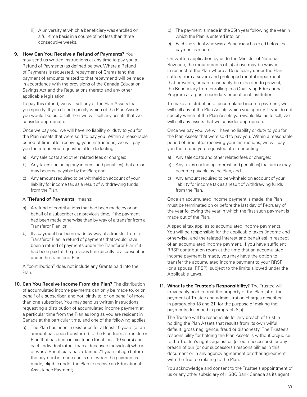ii) A university at which a beneficiary was enrolled on a full-time basis in a course of not less than three consecutive weeks.

#### **9. How Can You Receive a Refund of Payments?** You

may send us written instructions at any time to pay you a Refund of Payments (as defined below). Where a Refund of Payments is requested, repayment of Grants (and the payment of amounts related to that repayment) will be made in accordance with the provisions of the Canada Education Savings Act and the Regulations thereto and any other applicable legislation.

 To pay this refund, we will sell any of the Plan Assets that you specify. If you do not specify which of the Plan Assets you would like us to sell then we will sell any assets that we consider appropriate.

 Once we pay you, we will have no liability or duty to you for the Plan Assets that were sold to pay you. Within a reasonable period of time after receiving your instructions, we will pay you the refund you requested after deducting:

- a) Any sale costs and other related fees or charges;
- b) Any taxes (including any interest and penalties) that are or may become payable by the Plan; and
- c) Any amount required to be withheld on account of your liability for income tax as a result of withdrawing funds from the Plan.

#### A "**Refund of Payments**" means:

- a) A refund of contributions that had been made by or on behalf of a subscriber at a previous time, if the payment had been made otherwise than by way of a transfer from a Transferor Plan; or
- b) If a payment has been made by way of a transfer from a Transferor Plan, a refund of payments that would have been a refund of payments under the Transferor Plan if it had been paid at the previous time directly to a subscriber under the Transferor Plan.

 A "contribution" does not include any Grants paid into the Plan.

- **10. Can You Receive Income From the Plan?** The distribution of accumulated income payments can only be made to, or on behalf of a subscriber, and not jointly to, or on behalf of more than one subscriber. You may send us written instructions requesting a distribution of accumulated income payment at a particular time from the Plan as long as you are resident in Canada at the particular time, and one of the following applies:
	- a) The Plan has been in existence for at least 10 years (or an amount has been transferred to the Plan from a Transferor Plan that has been in existence for at least 10 years) and each individual (other than a deceased individual) who is or was a Beneficiary has attained 21 years of age before the payment is made and is not, when the payment is made, eligible under the Plan to receive an Educational Assistance Payment;
- b) The payment is made in the 35th year following the year in which the Plan is entered into; or
- c) Each individual who was a Beneficiary has died before the payment is made.

 On written application by us to the Minister of National Revenue, the requirements of (a) above may be waived in respect of the Plan where a Beneficiary under the Plan suffers from a severe and prolonged mental impairment that prevents, or can reasonably be expected to prevent, the Beneficiary from enrolling in a Qualifying Educational Program at a post-secondary educational institution.

 To make a distribution of accumulated income payment, we will sell any of the Plan Assets which you specify. If you do not specify which of the Plan Assets you would like us to sell, we will sell any assets that we consider appropriate.

 Once we pay you, we will have no liability or duty to you for the Plan Assets that were sold to pay you. Within a reasonable period of time after receiving your instructions, we will pay you the refund you requested after deducting:

- a) Any sale costs and other related fees or charges;
- b) Any taxes (including interest and penalties) that are or may become payable by the Plan; and
- c) Any amount required to be withheld on account of your liability for income tax as a result of withdrawing funds from the Plan.

 Once an accumulated income payment is made, the Plan must be terminated on or before the last day of February of the year following the year in which the first such payment is made out of the Plan.

 A special tax applies to accumulated income payments. You will be responsible for the applicable taxes (income and otherwise, and the related interest and penalties) in respect of an accumulated income payment. If you have sufficient RRSP contribution room at the time that an accumulated income payment is made, you may have the option to transfer the accumulated income payment to your RRSP (or a spousal RRSP), subject to the limits allowed under the Applicable Laws.

**11. What Is the Trustee's Responsibility?** The Trustee will irrevocably hold in trust the property of the Plan (after the payment of Trustee and administration charges described in paragraphs 18 and 21) for the purpose of making the payments described in paragraph 8(a).

 The Trustee will be responsible for any breach of trust in holding the Plan Assets that results from its own wilful default, gross negligence, fraud or dishonesty. The Trustee's responsibility for holding the Plan Assets is without prejudice to the Trustee's rights against us (or our successors) for any breach of our (or our successors') responsibilities in this document or in any agency agreement or other agreement with the Trustee relating to the Plan.

 You acknowledge and consent to the Trustee's appointment of us or any other subsidiary of HSBC Bank Canada as its agent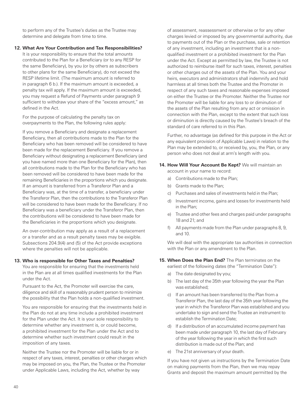to perform any of the Trustee's duties as the Trustee may determine and delegate from time to time.

#### **12. What Are Your Contribution and Tax Responsibilities?**

It is your responsibility to ensure that the total amounts contributed to the Plan for a Beneficiary (or to any RESP for the same Beneficiary), by you (or by others as subscribers to other plans for the same Beneficiary), do not exceed the RESP lifetime limit. (The maximum amount is referred to in paragraph 6 b.). If the maximum amount is exceeded, a penalty tax will apply. If the maximum amount is exceeded, you may request a Refund of Payments under paragraph 9 sufficient to withdraw your share of the "excess amount," as defined in the Act.

 For the purpose of calculating the penalty tax on overpayments to the Plan, the following rules apply:

 If you remove a Beneficiary and designate a replacement Beneficiary, then all contributions made to the Plan for the Beneficiary who has been removed will be considered to have been made for the replacement Beneficiary. If you remove a Beneficiary without designating a replacement Beneficiary (and you have named more than one Beneficiary for the Plan), then all contributions made to the Plan for the Beneficiary who has been removed will be considered to have been made for the remaining Beneficiaries in the proportions which you designate. If an amount is transferred from a Transferor Plan and a Beneficiary was, at the time of a transfer, a beneficiary under the Transferor Plan, then the contributions to the Transferor Plan will be considered to have been made for the Beneficiary. If no Beneficiary was a beneficiary under the Transferor Plan, then the contributions will be considered to have been made for the Beneficiaries in the proportions which you designate.

 An over-contribution may apply as a result of a replacement or a transfer and as a result penalty taxes may be exigible. Subsections 204.9(4) and (5) of the Act provide exceptions where the penalties will not be applicable.

#### **13. Who is responsible for Other Taxes and Penalties?**

You are responsible for ensuring that the investments held in the Plan are at all times qualified investments for the Plan under the Act.

 Pursuant to the Act, the Promoter will exercise the care, diligence and skill of a reasonably prudent person to minimize the possibility that the Plan holds a non-qualified investment.

 You are responsible for ensuring that the investments held in the Plan do not at any time include a prohibited investment for the Plan under the Act. It is your sole responsibility to determine whether any investment is, or could become, a prohibited investment for the Plan under the Act and to determine whether such investment could result in the imposition of any taxes.

 Neither the Trustee nor the Promoter will be liable for or in respect of any taxes, interest, penalties or other charges which may be imposed on you, the Plan, the Trustee or the Promoter under Applicable Laws, including the Act, whether by way

of assessment, reassessment or otherwise or for any other charges levied or imposed by any governmental authority, due to payments out of the Plan or the purchase, sale or retention of any investment, including an investment that is a nonqualified investment or a prohibited investment for the Plan under the Act. Except as permitted by law, the Trustee is not authorized to reimburse itself for such taxes, interest, penalties or other charges out of the assets of the Plan. You and your heirs, executors and administrators shall indemnify and hold harmless at all times both the Trustee and the Promoter in respect of any such taxes and reasonable expenses imposed on either the Trustee or the Promoter. Neither the Trustee nor the Promoter will be liable for any loss to or diminution of the assets of the Plan resulting from any act or omission in connection with the Plan, except to the extent that such loss or diminution is directly caused by the Trustee's breach of the standard of care referred to in this Plan.

 Further, no advantage (as defined for this purpose in the Act or any equivalent provision of Applicable Laws) in relation to the Plan may be extended to, or received by, you, the Plan, or any person who does not deal at arm's length with you.

#### **14. How Will Your Account Be Kept?** We will maintain an account in your name to record:

- a) Contributions made to the Plan;
- b) Grants made to the Plan;
- c) Purchases and sales of investments held in the Plan;
- d) Investment income, gains and losses for investments held in the Plan;
- e) Trustee and other fees and charges paid under paragraphs 18 and 21; and
- f) All payments made from the Plan under paragraphs 8, 9, and 10.

 We will deal with the appropriate tax authorities in connection with the Plan or any amendment to the Plan.

- **15. When Does the Plan End?** The Plan terminates on the earliest of the following dates (the "Termination Date"):
	- a) The date designated by you;
	- b) The last day of the 35th year following the year the Plan was established;
	- c) If an amount has been transferred to the Plan from a Transferor Plan, the last day of the 35th year following the year in which the Transferor Plan was established and you undertake to sign and send the Trustee an instrument to establish the Termination Date;
	- d) If a distribution of an accumulated income payment has been made under paragraph 10, the last day of February of the year following the year in which the first such distribution is made out of the Plan; and
	- e) The 21st anniversary of your death.

 If you have not given us instructions by the Termination Date on making payments from the Plan, then we may repay Grants and deposit the maximum amount permitted by the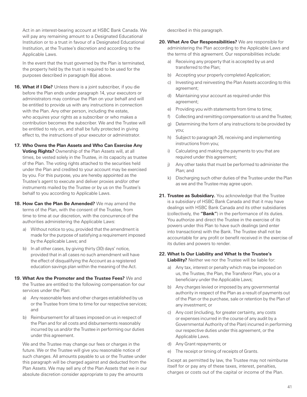Act in an interest-bearing account at HSBC Bank Canada. We will pay any remaining amount to a Designated Educational Institution or to a trust in favour of a Designated Educational Institution, at the Trustee's discretion and according to the Applicable Laws.

 In the event that the trust governed by the Plan is terminated, the property held by the trust is required to be used for the purposes described in paragraph 8(a) above.

- **16. What if I Die?** Unless there is a joint subscriber, if you die before the Plan ends under paragraph 14, your executors or administrators may continue the Plan on your behalf and will be entitled to provide us with any instructions in connection with the Plan. Any other person, including the estate, who acquires your rights as a subscriber or who makes a contribution becomes the subscriber. We and the Trustee will be entitled to rely on, and shall be fully protected in giving effect to, the instructions of your executor or administrator.
- **17. Who Owns the Plan Assets and Who Can Exercise Any Voting Rights?** Ownership of the Plan Assets will, at all times, be vested solely in the Trustee, in its capacity as trustee of the Plan. The voting rights attached to the securities held under the Plan and credited to your account may be exercised by you. For this purpose, you are hereby appointed as the Trustee's agent to execute and deliver proxies and/or other instruments mailed by the Trustee or by us on the Trustee's behalf to you according to Applicable Laws.
- **18. How Can the Plan Be Amended?** We may amend the terms of the Plan, with the consent of the Trustee, from time to time at our discretion, with the concurrence of the authorities administering the Applicable Laws:
	- a) Without notice to you, provided that the amendment is made for the purpose of satisfying a requirement imposed by the Applicable Laws; and
	- b) In all other cases, by giving thirty (30) days' notice, provided that in all cases no such amendment will have the effect of disqualifying the Account as a registered education savings plan within the meaning of the Act.
- **19. What Are the Promoter and the Trustee Fees?** We and the Trustee are entitled to the following compensation for our services under the Plan:
	- a) Any reasonable fees and other charges established by us or the Trustee from time to time for our respective services; and
	- b) Reimbursement for all taxes imposed on us in respect of the Plan and for all costs and disbursements reasonably incurred by us and/or the Trustee in performing our duties under this agreement.

 We and the Trustee may change our fees or charges in the future. We or the Trustee will give you reasonable notice of such changes. All amounts payable to us or the Trustee under this paragraph will be charged against and deducted from the Plan Assets. We may sell any of the Plan Assets that we in our absolute discretion consider appropriate to pay the amounts

described in this paragraph.

- **20. What Are Our Responsibilities?** We are responsible for administering the Plan according to the Applicable Laws and the terms of this agreement. Our responsibilities include:
	- a) Receiving any property that is accepted by us and transferred to the Plan;
	- b) Accepting your properly completed Application;
	- c) Investing and reinvesting the Plan Assets according to this agreement;
	- d) Maintaining your account as required under this agreement;
	- e) Providing you with statements from time to time;
	- f) Collecting and remitting compensation to us and the Trustee;
	- g) Determining the form of any instructions to be provided by you;
	- h) Subject to paragraph 26, receiving and implementing instructions from you;
	- i) Calculating and making the payments to you that are required under this agreement;
	- j) Any other tasks that must be performed to administer the Plan; and
	- k) Discharging such other duties of the Trustee under the Plan as we and the Trustee may agree upon.
- **21. Trustee as Subsidiary.** You acknowledge that the Trustee is a subsidiary of HSBC Bank Canada and that it may have dealings with HSBC Bank Canada and its other subsidiaries (collectively, the **"Bank"**) in the performance of its duties. You authorize and direct the Trustee in the exercise of its powers under this Plan to have such dealings (and enter into transactions) with the Bank. The Trustee shall not be accountable for any profit or benefit received in the exercise of its duties and powers to render.

## **22. What Is Our Liability and What Is the Trustee's**

**Liability?** Neither we nor the Trustee will be liable for:

- a) Any tax, interest or penalty which may be imposed on us, the Trustee, the Plan, the Transferor Plan, you or a beneficiary under the Applicable Laws;
- b) Any charges levied or imposed by any governmental authority in respect of the Plan as a result of payments out of the Plan or the purchase, sale or retention by the Plan of any investment; or
- c) Any cost (including, for greater certainty, any costs or expenses incurred in the course of any audit by a Governmental Authority of the Plan) incurred in performing our respective duties under this agreement, or the Applicable Laws.
- d) Any Grant repayments; or
- e) The receipt or timing of receipts of Grants.

 Except as permitted by law, the Trustee may not reimburse itself for or pay any of these taxes, interest, penalties, charges or costs out of the capital or income of the Plan.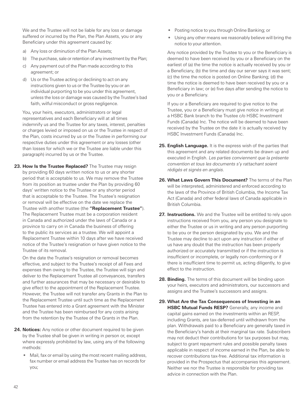We and the Trustee will not be liable for any loss or damage suffered or incurred by the Plan, the Plan Assets, you or any Beneficiary under this agreement caused by:

- a) Any loss or diminution of the Plan Assets;
- b) The purchase, sale or retention of any investment by the Plan;
- c) Any payment out of the Plan made according to this agreement; or
- d) Us or the Trustee acting or declining to act on any instructions given to us or the Trustee by you or an individual purporting to be you under this agreement, unless the loss or damage was caused by the Trustee's bad faith, wilful misconduct or gross negligence.

 You, your heirs, executors, administrators or legal representatives and each Beneficiary will at all times indemnify us and the Trustee for any taxes, interest, penalties or charges levied or imposed on us or the Trustee in respect of the Plan, costs incurred by us or the Trustee in performing our respective duties under this agreement or any losses (other than losses for which we or the Trustee are liable under this paragraph) incurred by us or the Trustee.

**23. How Is the Trustee Replaced?** The Trustee may resign by providing 60 days written notice to us or any shorter period that is acceptable to us. We may remove the Trustee from its position as trustee under the Plan by providing 60 days' written notice to the Trustee or any shorter period that is acceptable to the Trustee. The Trustee's resignation or removal will be effective on the date we replace the Trustee with another trustee (the **"Replacement Trustee"**). The Replacement Trustee must be a corporation resident in Canada and authorized under the laws of Canada or a province to carry on in Canada the business of offering to the public its services as a trustee. We will appoint a Replacement Trustee within 10 days after we have received notice of the Trustee's resignation or have given notice to the Trustee of its removal.

 On the date the Trustee's resignation or removal becomes effective, and subject to the Trustee's receipt of all Fees and expenses then owing to the Trustee, the Trustee will sign and deliver to the Replacement Trustee all conveyances, transfers and further assurances that may be necessary or desirable to give effect to the appointment of the Replacement Trustee. However, the Trustee will not transfer any Grants in the Plan to the Replacement Trustee until such time as the Replacement Trustee has entered into a Grant agreement with the Minister and the Trustee has been reimbursed for any costs arising from the retention by the Trustee of the Grants in the Plan.

- **24. Notices:** Any notice or other document required to be given by the Trustee shall be given in writing in person or, except where expressly prohibited by law, using any of the following methods:
	- Mail, fax or email by using the most recent mailing address, fax number or email address the Trustee has on records for you;
- Posting notice to you through Online Banking; or
- Using any other means we reasonably believe will bring the notice to your attention.

 Any notice provided by the Trustee to you or the Beneficiary is deemed to have been received by you or a Beneficiary on the earliest of (a) the time the notice is actually received by you or a Beneficiary, (b) the time and day our server says it was sent; (c) the time the notice is posted on Online Banking; (d) the time the notice is deemed to have been received by you or a Beneficiary in law; or (e) five days after sending the notice to you or a Beneficiary.

 If you or a Beneficiary are required to give notice to the Trustee, you or a Beneficiary must give notice in writing at a HSBC Bank branch to the Trustee c/o HSBC Investment Funds (Canada) Inc. The notice will be deemed to have been received by the Trustee on the date it is actually received by HSBC Investment Funds (Canada) Inc.

- **25. English Language.** It is the express wish of the parties that this agreement and any related documents be drawn up and executed in English. Les parties conviennent que la présente convention et tous les documents s'y rattachant soient rédigés et signés en anglais.
- **26. What Laws Govern This Document?** The terms of the Plan will be interpreted, administered and enforced according to the laws of the Province of British Columbia, the Income Tax Act (Canada) and other federal laws of Canada applicable in British Columbia.
- **27. Instructions.** We and the Trustee will be entitled to rely upon instructions received from you, any person you designate to either the Trustee or us in writing and any person purporting to be you or the person designated by you. We and the Trustee may decline to act upon any instruction if either of us have any doubt that the instruction has been properly authorized or accurately transmitted or if the instruction is insufficient or incomplete, or legally non-conforming or if there is insufficient time to permit us, acting diligently, to give effect to the instruction.
- **28. Binding.** The terms of this document will be binding upon your heirs, executors and administrators, our successors and assigns and the Trustee's successors and assigns.
- **29. What Are the Tax Consequences of Investing in an HSBC Mutual Funds RESP?** Generally, any income and capital gains earned on the investments within an RESP, including Grants, are tax-deferred until withdrawn from the plan. Withdrawals paid to a Beneficiary are generally taxed in the Beneficiary's hands at their marginal tax rate. Subscribers may not deduct their contributions for tax purposes but may, subject to grant repayment rules and possible penalty taxes applicable in respect of income earned in the Plan, be able to recover contributions tax-free. Additional tax information is provided in the Prospectus that accompanies this agreement. Neither we nor the Trustee is responsible for providing tax advice in connection with the Plan.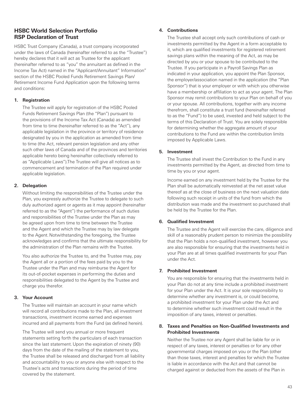## <span id="page-46-0"></span>**HSBC World Selection Portfolio RSP Declaration of Trust**

HSBC Trust Company (Canada), a trust company incorporated under the laws of Canada (hereinafter referred to as the "Trustee") hereby declares that it will act as Trustee for the applicant (hereinafter referred to as "you" the annuitant as defined in the Income Tax Act) named in the "Applicant/Annuitant" Information" section of the HSBC Pooled Funds Retirement Savings Plan/ Retirement Income Fund Application upon the following terms and conditions:

#### **1. Registration**

 The Trustee will apply for registration of the HSBC Pooled Funds Retirement Savings Plan (the "Plan") pursuant to the provisions of the Income Tax Act (Canada) as amended from time to time (hereinafter referred to as the "Act"), any applicable legislation in the province or territory of residence designated by you in the application as amended from time to time (the Act, relevant pension legislation and any other such other laws of Canada and of the provinces and territories applicable hereto being hereinafter collectively referred to as "Applicable Laws").The Trustee will give all notices as to commencement and termination of the Plan required under applicable legislation.

#### **2. Delegation**

 Without limiting the responsibilities of the Trustee under the Plan, you expressly authorize the Trustee to delegate to such duly authorized agent or agents as it may appoint (hereinafter referred to as the "Agent") the performance of such duties and responsibilities of the Trustee under the Plan as may be agreed upon from time to time between the Trustee and the Agent and which the Trustee may by law delegate to the Agent. Notwithstanding the foregoing, the Trustee acknowledges and confirms that the ultimate responsibility for the administration of the Plan remains with the Trustee.

 You also authorize the Trustee to, and the Trustee may, pay the Agent all or a portion of the fees paid by you to the Trustee under the Plan and may reimburse the Agent for its out-of-pocket expenses in performing the duties and responsibilities delegated to the Agent by the Trustee and charge you therefor.

## **3. Your Account**

 The Trustee will maintain an account in your name which will record all contributions made to the Plan, all investment transactions, investment income earned and expenses incurred and all payments from the Fund (as defined herein).

 The Trustee will send you annual or more frequent statements setting forth the particulars of each transaction since the last statement. Upon the expiration of ninety (90) days from the date of the mailing of the statement to you, the Trustee shall be released and discharged from all liability and accountability to you or anyone else with respect to the Trustee's acts and transactions during the period of time covered by the statement.

#### **4. Contributions**

 The Trustee shall accept only such contributions of cash or investments permitted by the Agent in a form acceptable to it, which are qualified investments for registered retirement savings plans within the meaning of the Act, as may be directed by you or your spouse to be contributed to the Trustee. If you participate in a Payroll Savings Plan as indicated in your application, you appoint the Plan Sponsor, the employer/association named in the application (the "Plan Sponsor") that is your employer or with which you otherwise have a membership or affiliation to act as your agent. The Plan Sponsor may remit contributions to your Plan on behalf of you or your spouse. All contributions, together with any income therefrom, shall constitute a trust fund (hereinafter referred to as the "Fund") to be used, invested and held subject to the terms of this Declaration of Trust. You are solely responsible for determining whether the aggregate amount of your contributions to the Fund are within the contribution limits imposed by Applicable Laws.

## **5. Investment**

 The Trustee shall invest the Contribution to the Fund in any investments permitted by the Agent, as directed from time to time by you or your agent.

 Income earned on any investment held by the Trustee for the Plan shall be automatically reinvested at the net asset value thereof as at the close of business on the next valuation date following such receipt in units of the fund from which the distribution was made and the investment so purchased shall be held by the Trustee for the Plan.

## **6. Qualified Investment**

 The Trustee and the Agent will exercise the care, diligence and skill of a reasonably prudent person to minimize the possibility that the Plan holds a non-qualified investment, however you are also responsible for ensuring that the investments held in your Plan are at all times qualified investments for your Plan under the Act.

#### **7. Prohibited Investment**

 You are responsible for ensuring that the investments held in your Plan do not at any time include a prohibited investment for your Plan under the Act. It is your sole responsibility to determine whether any investment is, or could become, a prohibited investment for your Plan under the Act and to determine whether such investment could result in the imposition of any taxes, interest or penalties.

#### **8. Taxes and Penalties on Non-Qualified Investments and Prohibited Investments**

 Neither the Trustee nor any Agent shall be liable for or in respect of any taxes, interest or penalties or for any other governmental charges imposed on you or the Plan (other than those taxes, interest and penalties for which the Trustee is liable in accordance with the Act and that cannot be charged against or deducted from the assets of the Plan in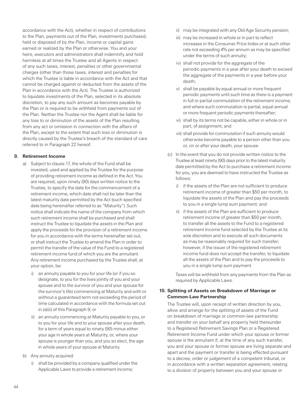accordance with the Act), whether in respect of contributions to the Plan, payments out of the Plan, investments purchased, held or disposed of by the Plan, income or capital gains earned or realized by the Plan or otherwise. You and your heirs, executors and administrators shall indemnify and hold harmless at all times the Trustee and all Agents in respect of any such taxes, interest, penalties or other governmental charges (other than those taxes, interest and penalties for which the Trustee is liable in accordance with the Act and that cannot be charged against or deducted from the assets of the Plan in accordance with the Act). The Trustee is authorized to liquidate investments of the Plan, selected in its absolute discretion, to pay any such amount as becomes payable by the Plan or is required to be withheld from payments out of the Plan. Neither the Trustee nor the Agent shall be liable for any loss to or diminution of the assets of the Plan resulting from any act or omission in connection with the affairs of the Plan, except to the extent that such loss or diminution is directly caused by the Trustee's breach of the standard of care referred to in Paragraph 22 hereof.

#### **9. Retirement Income**

- a) Subject to clause 17, the whole of the Fund shall be invested, used and applied by the Trustee for the purpose of providing retirement income as defined in the Act.You are required, upon ninety (90) days written notice to the Trustee, to specify the date for the commencement of a retirement income, which date shall not be later than the latest maturity date permitted by the Act (such specified date being hereinafter referred to as "Maturity"). Such notice shall indicate the name of the company from which such retirement income shall be purchased and shall instruct the Trustee to liquidate the assets in the Plan and apply the proceeds for the provision of a retirement income for you in accordance with the terms hereinafter set out, or shall instruct the Trustee to amend the Plan in order to permit the transfer of the value of the Fund to a registered retirement income fund of which you are the annuitant. Any retirement income purchased by the Trustee shall, at your option, be:
	- i) an annuity payable to you for your life (or if you so designate, to you for the lives jointly of you and your spouse and to the survivor of you and your spouse for the survivor's life) commencing at Maturity and with or without a guaranteed term not exceeding the period of time calculated in accordance with the formula set out in (a)(ii) of this Paragraph 9; or
	- ii) an annuity commencing at Maturity payable to you, or to you for your life and to your spouse after your death, for a term of years equal to ninety (90) minus either your age in whole years at Maturity, or, where your spouse is younger than you, and you so elect, the age in whole years of your spouse at Maturity.
- b) Any annuity acquired:
	- i) shall be provided by a company qualified under the Applicable Laws to provide a retirement income;
- ii) may be integrated with any Old Age Security pension;
- iii) may be increased in whole or in part to reflect increases in the Consumer Price Index or at such other rate not exceeding 4% per annum as may be specified under the terms of such annuity;
- iv) shall not provide for the aggregate of the periodic payments in a year after your death to exceed the aggregate of the payments in a year before your death;
- v) shall be payable by equal annual or more frequent periodic payments until such time as there is a payment in full or partial commutation of the retirement income, and where such commutation is partial, equal annual or more frequent periodic payments thereafter;
- vi) shall by its terms not be capable, either in whole or in part, of assignment; and
- vii) shall provide for commutation if such annuity would otherwise become payable to a person other than you or, on or after your death, your spouse.
- (c) In the event that you do not provide written notice to the Trustee at least ninety (90) days prior to the latest maturity date permitted by the Act to purchase a retirement income for you, you are deemed to have instructed the Trustee as follows:
	- i) if the assets of the Plan are not sufficient to produce retirement income of greater than \$50 per month, to liquidate the assets of the Plan and pay the proceeds to you in a single lump sum payment; and
	- ii) if the assets of the Plan are sufficient to produce retirement income of greater than \$50 per month, to transfer all the assets to the Fund to a registered retirement income fund selected by the Trustee at its sole discretion and to execute all such documents as may be reasonably required for such transfer; however, if the issuer of the registered retirement income fund does not accept the transfer, to liquidate all the assets of the Plan and to pay the proceeds to you in a single lump sum payment.

Taxes will be withheld from any payments from the Plan as required by Applicable Laws.

#### **10. Splitting of Assets on Breakdown of Marriage or Common-Law Partnership**

 The Trustee will, upon receipt of written direction by you, allow and arrange for the splitting of assets of the Fund on breakdown of marriage or common-law partnership and transfer on your behalf any property held thereunder to a Registered Retirement Savings Plan or a Registered Retirement Income Fund under which your spouse or former spouse is the annuitant if, at the time of any such transfer, you and your spouse or former spouse are living separate and apart and the payment or transfer is being effected pursuant to a decree, order or judgement of a competent tribunal, or in accordance with a written separation agreement, relating to a division of property between you and your spouse or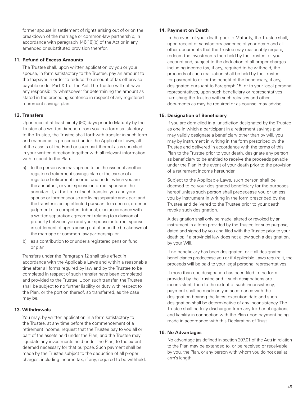former spouse in settlement of rights arising out of or on the breakdown of the marriage or common-law partnership, in accordance with paragraph 146(16)(b) of the Act or in any amended or substituted provision therefor.

#### **11. Refund of Excess Amounts**

 The Trustee shall, upon written application by you or your spouse, in form satisfactory to the Trustee, pay an amount to the taxpayer in order to reduce the amount of tax otherwise payable under Part X.1 of the Act. The Trustee will not have any responsibility whatsoever for determining the amount as stated in the preceding sentence in respect of any registered retirement savings plan.

#### **12. Transfers**

 Upon receipt at least ninety (90) days prior to Maturity by the Trustee of a written direction from you in a form satisfactory to the Trustee, the Trustee shall forthwith transfer in such form and manner as is prescribed under the Applicable Laws, all of the assets of the Fund or such part thereof as is specified in your written direction together with all relevant information with respect to the Plan:

- a) to the person who has agreed to be the issuer of another registered retirement savings plan or the carrier of a registered retirement income fund under which you are the annuitant, or your spouse or former spouse is the annuitant if, at the time of such transfer, you and your spouse or former spouse are living separate and apart and the transfer is being effected pursuant to a decree, order or judgment of a competent tribunal, or in accordance with a written separation agreement relating to a division of property between you and your spouse or former spouse in settlement of rights arising out of or on the breakdown of the marriage or common-law partnership; or
- b) as a contribution to or under a registered pension fund or plan.

 Transfers under the Paragraph 12 shall take effect in accordance with the Applicable Laws and within a reasonable time after all forms required by law and by the Trustee to be completed in respect of such transfer have been completed and provided to the Trustee. Upon such transfer, the Trustee shall be subject to no further liability or duty with respect to the Plan, or the portion thereof, so transferred, as the case may be.

#### **13. Withdrawals**

 You may, by written application in a form satisfactory to the Trustee, at any time before the commencement of a retirement income, request that the Trustee pay to you all or part of the assets held under the Plan, and the Trustee may liquidate any investments held under the Plan, to the extent deemed necessary for that purpose. Such payment shall be made by the Trustee subject to the deduction of all proper charges, including income tax, if any, required to be withheld.

#### **14. Payment on Death**

 In the event of your death prior to Maturity, the Trustee shall, upon receipt of satisfactory evidence of your death and all other documents that the Trustee may reasonably require, redeem the investments then held by the Trustee for your account and, subject to the deduction of all proper charges including income tax, if any, required to be withheld, the proceeds of such realization shall be held by the Trustee for payment to or for the benefit of the beneficiary, if any, designated pursuant to Paragraph 15, or to your legal personal representatives, upon such beneficiary or representatives furnishing the Trustee with such releases and other documents as may be required or as counsel may advise.

#### **15. Designation of Beneficiary**

 If you are domiciled in a jurisdiction designated by the Trustee as one in which a participant in a retirement savings plan may validly designate a beneficiary other than by will, you may by instrument in writing in the form prescribed by the Trustee and delivered in accordance with the terms of this Plan to the Trustee prior to your death, designate any person as beneficiary to be entitled to receive the proceeds payable under the Plan in the event of your death prior to the provision of a retirement income hereunder.

 Subject to the Applicable Laws, such person shall be deemed to be your designated beneficiary for the purposes hereof unless such person shall predecease you or unless you by instrument in writing in the form prescribed by the Trustee and delivered to the Trustee prior to your death revoke such designation.

 A designation shall only be made, altered or revoked by an instrument in a form provided by the Trustee for such purpose, dated and signed by you and filed with the Trustee prior to your death or, if a provincial law does not allow such a designation, by your Will.

 If no beneficiary has been designated, or if all designated beneficiaries predecease you or if Applicable Laws require it, the proceeds will be paid to your legal personal representatives.

 If more than one designation has been filed in the form provided by the Trustee and if such designations are inconsistent, then to the extent of such inconsistency, payment shall be made only in accordance with the designation bearing the latest execution date and such designation shall be determinative of any inconsistency. The Trustee shall be fully discharged from any further obligations and liability in connection with the Plan upon payment being made in accordance with this Declaration of Trust.

#### **16. No Advantages**

 No advantage (as defined in section 207.01 of the Act) in relation to the Plan may be extended to, or be received or receivable by you, the Plan, or any person with whom you do not deal at arm's length.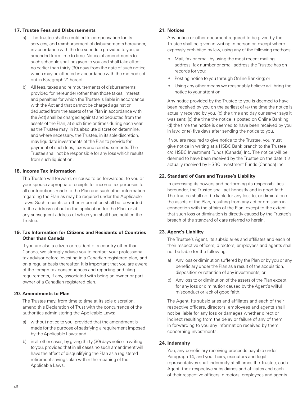#### **17. Trustee Fees and Disbursements**

- a) The Trustee shall be entitled to compensation for its services, and reimbursement of disbursements hereunder, in accordance with the fee schedule provided to you, as amended from time to time.Notice of amendments to such schedule shall be given to you and shall take effect no earlier than thirty (30) days from the date of such notice which may be effected in accordance with the method set out in Paragraph 21hereof.
- b) All fees, taxes and reimbursements of disbursements provided for hereunder (other than those taxes, interest and penalties for which the Trustee is liable in accordance with the Act and that cannot be charged against or deducted from the assets of the Plan in accordance with the Act) shall be charged against and deducted from the assets of the Plan, at such time or times during each year as the Trustee may, in its absolute discretion determine, and where necessary, the Trustee, in its sole discretion, may liquidate investments of the Plan to provide for payment of such fees, taxes and reimbursements. The Trustee shall not be responsible for any loss which results from such liquidation.

#### **18. Income Tax Information**

 The Trustee will forward, or cause to be forwarded, to you or your spouse appropriate receipts for income tax purposes for all contributions made to the Plan and such other information regarding the Plan as may be required under the Applicable Laws.Such receipts or other information shall be forwarded to the address set out in the application for the Plan, or at any subsequent address of which you shall have notified the Trustee.

#### **19. Tax Information for Citizens and Residents of Countries Other than Canada**

 If you are also a citizen or resident of a country other than Canada, we strongly advise you to contact your professional tax advisor before investing in a Canadian registered plan, and on a regular basis thereafter. It is important that you are aware of the foreign tax consequences and reporting and filing requirements, if any, associated with being an owner or partowner of a Canadian registered plan.

#### **20. Amendments to Plan**

 The Trustee may, from time to time at its sole discretion, amend this Declaration of Trust with the concurrence of the authorities administering the Applicable Laws:

- a) without notice to you, provided that the amendment is made for the purpose of satisfying a requirement imposed by the Applicable Laws; and
- b) in all other cases, by giving thirty (30) days notice in writing to you, provided that in all cases no such amendment will have the effect of disqualifying the Plan as a registered retirement savings plan within the meaning of the Applicable Laws.

#### **21. Notices**

 Any notice or other document required to be given by the Trustee shall be given in writing in person or, except where expressly prohibited by law, using any of the following methods:

- Mail, fax or email by using the most recent mailing address, fax number or email address the Trustee has on records for you;
- Posting notice to you through Online Banking; or
- Using any other means we reasonably believe will bring the notice to your attention.

 Any notice provided by the Trustee to you is deemed to have been received by you on the earliest of (a) the time the notice is actually received by you, (b) the time and day our server says it was sent; (c) the time the notice is posted on Online Banking; (d) the time the notice is deemed to have been received by you in law; or (e) five days after sending the notice to you.

 If you are required to give notice to the Trustee, you must give notice in writing at a HSBC Bank branch to the Trustee c/o HSBC Investment Funds (Canada) Inc. The notice will be deemed to have been received by the Trustee on the date it is actually received by HSBC Investment Funds (Canada) Inc.

#### **22. Standard of Care and Trustee's Liability**

 In exercising its powers and performing its responsibilities hereunder, the Trustee shall act honestly and in good faith. The Trustee shall not be liable for any loss to, or diminution of the assets of the Plan, resulting from any act or omission in connection with the affairs of the Plan, except to the extent that such loss or diminution is directly caused by the Trustee's breach of the standard of care referred to herein.

#### **23. Agent's Liability**

 The Trustee's Agent, its subsidiaries and affiliates and each of their respective officers, directors, employees and agents shall not be liable for the following:

- a) Any loss or diminution suffered by the Plan or by you or any beneficiary under the Plan as a result of the acquisition, disposition or retention of any investments; or
- b) Any loss to or diminution of the assets of the Plan except for any loss or diminution caused by the Agent's wilful misconduct or lack of good faith.

 The Agent, its subsidiaries and affiliates and each of their respective officers, directors, employees and agents shall not be liable for any loss or damages whether direct or indirect resulting from the delay or failure of any of them in forwarding to you any information received by them concerning investments.

#### **24. Indemnity**

 You, any beneficiary receiving proceeds payable under Paragraph 14, and your heirs, executors and legal representatives shall indemnify at all times the Trustee, each Agent, their respective subsidiaries and affiliates and each of their respective officers, directors, employees and agents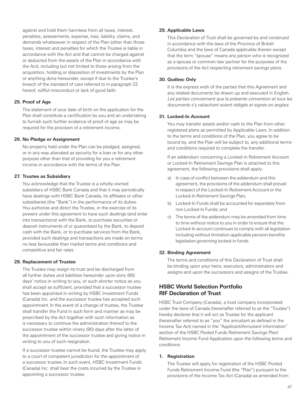<span id="page-50-0"></span>against and hold them harmless from all taxes, interest, penalties, assessments, expense, loss, liability, claims, and demands whatsoever in respect of the Plan (other than those taxes, interest and penalties for which the Trustee is liable in accordance with the Act and that cannot be charged against or deducted from the assets of the Plan in accordance with the Act), including but not limited to those arising from the acquisition, holding or disposition of investments by the Plan or anything done hereunder, except if due to the Trustee's breach of the standard of care referred to in paragraph 22 hereof, willful misconduct or lack of good faith.

#### **25. Proof of Age**

 The statement of your date of birth on the application for the Plan shall constitute a certification by you and an undertaking to furnish such further evidence of proof of age as may be required for the provision of a retirement income.

#### **26. No Pledge or Assignment**

 No property held under the Plan can be pledged, assigned, or in any way alienated as security for a loan or for any other purpose other than that of providing for you a retirement income in accordance with the terms of the Plan.

#### **27. Trustee as Subsidiary**

 You acknowledge that the Trustee is a wholly-owned subsidiary of HSBC Bank Canada and that it may periodically have dealings with HSBC Bank Canada, its affiliates or other subsidiaries (the "Bank") in the performance of its duties. You authorize and direct the Trustee, in the exercise of its powers under this agreement to have such dealings (and enter into transactions) with the Bank, to purchase securities or deposit instruments of or guaranteed by the Bank, to deposit cash with the Bank, or to purchase services from the Bank, provided such dealings and transactions are made on terms no less favourable than market terms and conditions and competitive and fair rates.

#### **28. Replacement of Trustee**

 The Trustee may resign its trust and be discharged from all further duties and liabilities hereunder upon sixty (60) days' notice in writing to you, or such shorter notice as you shall accept as sufficient, provided that a successor trustee has been appointed in writing by HSBC Investment Funds (Canada) Inc. and the successor trustee has accepted such appointment. In the event of a change of trustee, the Trustee shall transfer the Fund in such form and manner as may be prescribed by the Act together with such information as is necessary to continue the administration thereof to the successor trustee within ninety (90) days after the latter of the appointment of the successor trustee and giving notice in writing to you of such resignation.

 If a successor trustee cannot be found, the Trustee may apply to a court of competent jurisdiction for the appointment of a successor trustee. In such event, HSBC Investment Funds (Canada) Inc. shall bear the costs incurred by the Trustee in appointing a successor trustee.

#### **29. Applicable Laws**

 This Declaration of Trust shall be governed by and construed in accordance with the laws of the Province of British Columbia and the laws of Canada applicable therein except that the term "spouse" means any person who is recognized as a spouse or common-law partner for the purposes of the provisions of the Act respecting retirement savings plans.

#### **30. Québec Only**

 It is the express wish of the parties that this Agreement and any related documents be drawn up and executed in English. Les parties conviennent que la présente convention et tous les documents s'y rattachant soient rédigés et signés en anglais.

#### **31. Locked-In Account**

 You may transfer assets and/or cash to the Plan from other registered plans as permitted by Applicable Laws. In addition to the terms and conditions of the Plan, you agree to be bound by, and the Plan will be subject to, any additional terms and conditions required to complete the transfer.

 If an addendum concerning a Locked-in Retirement Account or Locked-In Retirement Savings Plan is attached to this agreement, the following provisions shall apply:

- a) In case of conflict between the addendum and this agreement, the provisions of the addendum shall prevail in respect of the Locked-In Retirement Account or the Locked-In Retirement Savings Plan;
- b) Locked-In Funds shall be accounted for separately from non Locked-In Funds; and
- c) The terms of the addendum may be amended from time to time without notice to you in order to ensure that the Locked-In account continues to comply with all legislation including without limitation applicable pension benefits legislation governing locked-in funds.

#### **32. Binding Agreement**

 The terms and conditions of this Declaration of Trust shall be binding upon your heirs, executors, administrators and assigns and upon the successors and assigns of the Trustee.

## **HSBC World Selection Portfolio RIF Declaration of Trust**

HSBC Trust Company (Canada), a trust company incorporated under the laws of Canada (hereinafter referred to as the "Trustee") hereby declares that it will act as Trustee for the applicant (hereinafter referred to as "you" the annuitant as defined in the Income Tax Act) named in the "Applicant/Annuitant Information" section of the HSBC Pooled Funds Retirement Savings Plan/ Retirement Income Fund Application upon the following terms and conditions:

#### **1. Registration**

 The Trustee will apply for registration of the HSBC Pooled Funds Retirement Income Fund (the "Plan") pursuant to the provisions of the Income Tax Act (Canada) as amended from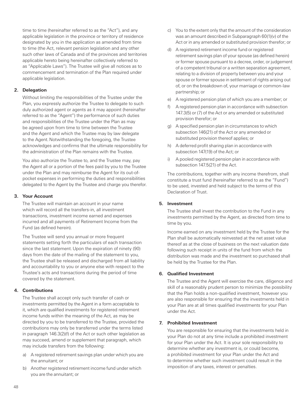time to time (hereinafter referred to as the "Act"), and any applicable legislation in the province or territory of residence designated by you in the application as amended from time to time (the Act, relevant pension legislation and any other such other laws of Canada and of the provinces and territories applicable hereto being hereinafter collectively referred to as "Applicable Laws"). The Trustee will give all notices as to commencement and termination of the Plan required under applicable legislation.

## **2. Delegation**

 Without limiting the responsibilities of the Trustee under the Plan, you expressly authorize the Trustee to delegate to such duly authorized agent or agents as it may appoint (hereinafter referred to as the "Agent") the performance of such duties and responsibilities of the Trustee under the Plan as may be agreed upon from time to time between the Trustee and the Agent and which the Trustee may by law delegate to the Agent. Notwithstanding the foregoing, the Trustee acknowledges and confirms that the ultimate responsibility for the administration of the Plan remains with the Trustee.

 You also authorize the Trustee to, and the Trustee may, pay the Agent all or a portion of the fees paid by you to the Trustee under the Plan and may reimburse the Agent for its out-ofpocket expenses in performing the duties and responsibilities delegated to the Agent by the Trustee and charge you therefor.

## **3. Your Account**

 The Trustee will maintain an account in your name which will record all the transfers-in, all investment transactions, investment income earned and expenses incurred and all payments of Retirement Income from the Fund (as defined herein).

 The Trustee will send you annual or more frequent statements setting forth the particulars of each transaction since the last statement. Upon the expiration of ninety (90) days from the date of the mailing of the statement to you, the Trustee shall be released and discharged from all liability and accountability to you or anyone else with respect to the Trustee's acts and transactions during the period of time covered by the statement.

## **4. Contributions**

 The Trustee shall accept only such transfer of cash or investments permitted by the Agent in a form acceptable to it, which are qualified investments for registered retirement income funds within the meaning of the Act, as may be directed by you to be transferred to the Trustee, provided the contributions may only be transferred under the terms listed in paragraph 146.3(2)(f) of the Act or such other legislation as may succeed, amend or supplement that paragraph, which may include transfers from the following:

- a) A registered retirement savings plan under which you are the annuitant; or
- b) Another registered retirement income fund under which you are the annuitant; or
- c) You to the extent only that the amount of the consideration was an amount described in Subparagraph 60(1)(v) of the Act or in any amended or substituted provision therefor; or
- d) A registered retirement income fund or registered retirement savings plan of your spouse (as defined herein) or former spouse pursuant to a decree, order, or judgement of a competent tribunal or a written separation agreement, relating to a division of property between you and your spouse or former spouse in settlement of rights arising out of, or on the breakdown of, your marriage or common-law partnership; or
- e) A registered pension plan of which you are a member; or
- f) A registered pension plan in accordance with subsection 147.3(5) or (7) of the Act or any amended or substituted provision therefor; or
- g) A specified pension plan in circumstances to which subsection 146(21) of the Act or any amended or substituted provision thereof applies; or
- h) A deferred profit sharing plan in accordance with subsection 147(19) of the Act; or
- i) A pooled registered pension plan in accordance with subsection 147.5(21) of the Act.

 The contributions, together with any income therefrom, shall constitute a trust fund (hereinafter referred to as the "Fund") to be used, invested and held subject to the terms of this Declaration of Trust.

## **5. Investment**

 The Trustee shall invest the contribution to the Fund in any investments permitted by the Agent, as directed from time to time by you.

 Income earned on any investment held by the Trustee for the Plan shall be automatically reinvested at the net asset value thereof as at the close of business on the next valuation date following such receipt in units of the fund from which the distribution was made and the investment so purchased shall be held by the Trustee for the Plan.

## **6. Qualified Investment**

 The Trustee and the Agent will exercise the care, diligence and skill of a reasonably prudent person to minimize the possibility that the Plan holds a non-qualified investment, however you are also responsible for ensuring that the investments held in your Plan are at all times qualified investments for your Plan under the Act.

## **7. Prohibited Investment**

 You are responsible for ensuring that the investments held in your Plan do not at any time include a prohibited investment for your Plan under the Act. It is your sole responsibility to determine whether any investment is, or could become, a prohibited investment for your Plan under the Act and to determine whether such investment could result in the imposition of any taxes, interest or penalties.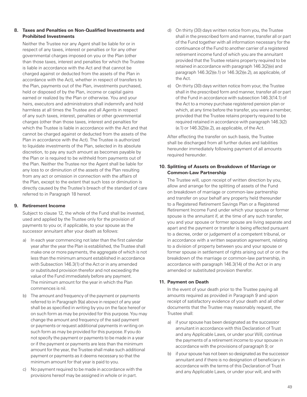## **8. Taxes and Penalties on Non-Qualified Investments and Prohibited Investments**

 Neither the Trustee nor any Agent shall be liable for or in respect of any taxes, interest or penalties or for any other governmental charges imposed on you or the Plan (other than those taxes, interest and penalties for which the Trustee is liable in accordance with the Act and that cannot be charged against or deducted from the assets of the Plan in accordance with the Act), whether in respect of transfers to the Plan, payments out of the Plan, investments purchased, held or disposed of by the Plan, income or capital gains earned or realized by the Plan or otherwise. You and your heirs, executors and administrators shall indemnify and hold harmless at all times the Trustee and all Agents in respect of any such taxes, interest, penalties or other governmental charges (other than those taxes, interest and penalties for which the Trustee is liable in accordance with the Act and that cannot be charged against or deducted from the assets of the Plan in accordance with the Act). The Trustee is authorized to liquidate investments of the Plan, selected in its absolute discretion, to pay any such amount as becomes payable by the Plan or is required to be withheld from payments out of the Plan. Neither the Trustee nor the Agent shall be liable for any loss to or diminution of the assets of the Plan resulting from any act or omission in connection with the affairs of the Plan, except to the extent that such loss or diminution is directly caused by the Trustee's breach of the standard of care referred to in Paragraph 18 hereof.

#### **9. Retirement Income**

Subject to clause 12, the whole of the Fund shall be invested. used and applied by the Trustee only for the provision of payments to you or, if applicable, to your spouse as the successor annuitant after your death as follows:

- a) In each year commencing not later than the first calendar year after the year the Plan is established, the Trustee shall make one or more payments, the aggregate of which is not less than the minimum amount established in accordance with Subsection 146.3(1) of the Act or in any amended or substituted provision therefor and not exceeding the value of the Fund immediately before any payment. The minimum amount for the year in which the Plan commences is nil.
- b) The amount and frequency of the payment or payments referred to in Paragraph 9(a) above in respect of any year shall be as specified in writing by you on the face hereof or on such form as may be provided for this purpose.You may change the amount and frequency of the said payment or payments or request additional payments in writing on such form as may be provided for this purpose.If you do not specify the payment or payments to be made in a year or if the payment or payments are less than the minimum amount for the year, the Trustee shall make such additional payment or payments as it deems necessary so that the minimum amount for that year is paid to you.
- c) No payment required to be made in accordance with the provisions hereof may be assigned in whole or in part.
- d) On thirty (30) days written notice from you, the Trustee shall in the prescribed form and manner, transfer all or part of the Fund together with all information necessary for the continuance of the Fund to another carrier of a registered retirement income fund of which you are the annuitant provided that the Trustee retains property required to be retained in accordance with paragraph 146.3(2)(e) and paragraph 146.3(2)(e.1) or 146.3(2)(e.2), as applicable, of the Act.
- e) On thirty (30) days written notice from your, the Trustee shall in the prescribed form and manner, transfer all or part of the Fund in accordance with subsection 146.3(14.1) of the Act to a money purchase registered pension plan or which, at any time before the transfer, you were a member, provided that the Trustee retains property required to be required retained in accordance with paragraph 146.3(2)  $(e.1)$  or  $146.3(2)(e.2)$ , as applicable, of the Act.

 After effecting the transfer on such basis, the Trustee shall be discharged from all further duties and liabilities hereunder immediately following payment of all amounts required hereunder.

#### **10. Splitting of Assets on Breakdown of Marriage or Common-Law Partnership**

 The Trustee will, upon receipt of written direction by you, allow and arrange for the splitting of assets of the Fund on breakdown of marriage or common-law partnership and transfer on your behalf any property held thereunder to a Registered Retirement Savings Plan or a Registered Retirement Income Fund under which your spouse or former spouse is the annuitant if, at the time of any such transfer, you and your spouse or former spouse are living separate and apart and the payment or transfer is being effected pursuant to a decree, order or judgement of a competent tribunal, or in accordance with a written separation agreement, relating to a division of property between you and your spouse or former spouse in settlement of rights arising out of or on the breakdown of the marriage or common-law partnership, in accordance with paragraph 146.3(14) of the Act or in any amended or substituted provision therefor.

#### **11. Payment on Death**

 In the event of your death prior to the Trustee paying all amounts required as provided in Paragraph 9 and upon receipt of satisfactory evidence of your death and all other documents that the Trustee may reasonably request, the Trustee shall:

- a) if your spouse has been designated as the successor annuitant in accordance with this Declaration of Trust and any Applicable Laws, or under your Will, continue the payments of a retirement income to your spouse in accordance with the provisions of paragraph 9; or
- b) if your spouse has not been so designated as the successor annuitant and if there is no designation of beneficiary in accordance with the terms of this Declaration of Trust and any Applicable Laws, or under your will, and with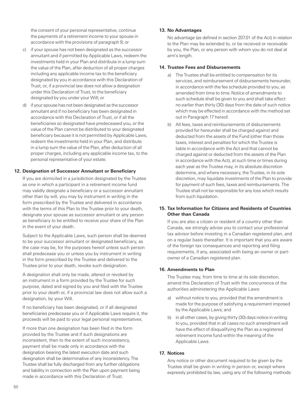the consent of your personal representative, continue the payments of a retirement income to your spouse in accordance with the provisions of paragraph 9; or

- c) if your spouse has not been designated as the successor annuitant and if permitted by Applicable Laws, redeem the investments held in your Plan and distribute in a lump sum the value of the Plan, after deduction of all proper charges including any applicable income tax to the beneficiary designated by you in accordance with this Declaration of Trust, or, if a provincial law does not allow a designation under this Declaration of Trust, to the beneficiary designated by you under your Will; or
- d) if your spouse has not been designated as the successor annuitant and if no beneficiary has been designated in accordance with this Declaration of Trust, or if all the beneficiaries so designated have predeceased you, or the value of the Plan cannot be distributed to your designated beneficiary because it is not permitted by Applicable Laws, redeem the investments held in your Plan, and distribute in a lump sum the value of the Plan, after deduction of all proper charges, including any applicable income tax, to the personal representative of your estate.

#### **12. Designation of Successor Annuitant or Beneficiary**

 If you are domiciled in a jurisdiction designated by the Trustee as one in which a participant in a retirement income fund may validly designate a beneficiary or a successor annuitant other than by will, you may by instrument in writing in the form prescribed by the Trustee and delivered in accordance with the terms of this Plan to the Trustee prior to your death, designate your spouse as successor annuitant or any person as beneficiary to be entitled to receive your share of the Plan in the event of your death.

 Subject to the Applicable Laws, such person shall be deemed to be your successor annuitant or designated beneficiary, as the case may be, for the purposes hereof unless such person shall predecease you or unless you by instrument in writing in the form prescribed by the Trustee and delivered to the Trustee prior to your death, revoke such designation.

 A designation shall only be made, altered or revoked by an instrument in a form provided by the Trustee for such purpose, dated and signed by you and filed with the Trustee prior to your death or, if a provincial law does not allow such a designation, by your Will.

 If no beneficiary has been designated, or if all designated beneficiaries predecease you or if Applicable Laws require it, the proceeds will be paid to your legal personal representatives.

 If more than one designation has been filed in the form provided by the Trustee and if such designations are inconsistent, then to the extent of such inconsistency, payment shall be made only in accordance with the designation bearing the latest execution date and such designation shall be determinative of any inconsistency.The Trustee shall be fully discharged from any further obligations and liability in connection with the Plan upon payment being made in accordance with this Declaration of Trust.

#### **13. No Advantages**

 No advantage (as defined in section 207.01 of the Act) in relation to the Plan may be extended to, or be received or receivable by you, the Plan, or any person with whom you do not deal at arm's length.

#### **14. Trustee Fees and Disbursements**

- a) The Trustee shall be entitled to compensation for its services, and reimbursement of disbursements hereunder, in accordance with the fee schedule provided to you, as amended from time to time.Notice of amendments to such schedule shall be given to you and shall take effect no earlier than thirty (30) days from the date of such notice which may be effected in accordance with the method set out in Paragraph 17 hereof.
- b) All fees, taxes and reimbursements of disbursements provided for hereunder shall be charged against and deducted from the assets of the Fund (other than those taxes, interest and penalties for which the Trustee is liable in accordance with the Act and that cannot be charged against or deducted from the assets of the Plan in accordance with the Act), at such time or times during each year as the Trustee may, in its absolute discretion determine, and where necessary, the Trustee, in its sole discretion, may liquidate investments of the Plan to provide for payment of such fees, taxes and reimbursements. The Trustee shall not be responsible for any loss which results from such liquidation.

#### **15. Tax Information for Citizens and Residents of Countries Other than Canada**

 If you are also a citizen or resident of a country other than Canada, we strongly advise you to contact your professional tax advisor before investing in a Canadian registered plan, and on a regular basis thereafter. It is important that you are aware of the foreign tax consequences and reporting and filing requirements, if any, associated with being an owner or partowner of a Canadian registered plan.

## **16. Amendments to Plan**

 The Trustee may, from time to time at its sole discretion, amend this Declaration of Trust with the concurrence of the authorities administering the Applicable Laws:

- a) without notice to you, provided that the amendment is made for the purpose of satisfying a requirement imposed by the Applicable Laws; and
- b) in all other cases, by giving thirty (30) days notice in writing to you, provided that in all cases no such amendment will have the effect of disqualifying the Plan as a registered retirement income fund within the meaning of the Applicable Laws.

#### **17. Notices**

 Any notice or other document required to be given by the Trustee shall be given in writing in person or, except where expressly prohibited by law, using any of the following methods: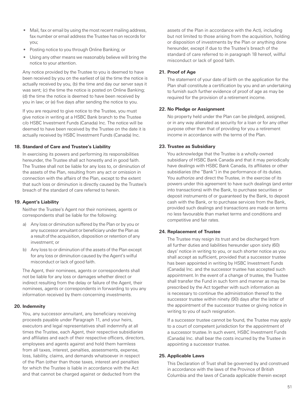- Mail, fax or email by using the most recent mailing address, fax number or email address the Trustee has on records for you;
- Posting notice to you through Online Banking; or
- Using any other means we reasonably believe will bring the notice to your attention.

 Any notice provided by the Trustee to you is deemed to have been received by you on the earliest of (a) the time the notice is actually received by you, (b) the time and day our server says it was sent; (c) the time the notice is posted on Online Banking; (d) the time the notice is deemed to have been received by you in law; or (e) five days after sending the notice to you.

 If you are required to give notice to the Trustee, you must give notice in writing at a HSBC Bank branch to the Trustee c/o HSBC Investment Funds (Canada) Inc. The notice will be deemed to have been received by the Trustee on the date it is actually received by HSBC Investment Funds (Canada) Inc.

#### **18. Standard of Care and Trustee's Liability**

 In exercising its powers and performing its responsibilities hereunder, the Trustee shall act honestly and in good faith. The Trustee shall not be liable for any loss to, or diminution of the assets of the Plan, resulting from any act or omission in connection with the affairs of the Plan, except to the extent that such loss or diminution is directly caused by the Trustee's breach of the standard of care referred to herein.

## **19. Agent's Liability**

 Neither the Trustee's Agent nor their nominees, agents or correspondents shall be liable for the following:

- a) Any loss or diminution suffered by the Plan or by you or any successor annuitant or beneficiary under the Plan as a result of the acquisition, disposition or retention of any investment; or
- b) Any loss to or diminution of the assets of the Plan except for any loss or diminution caused by the Agent's wilful misconduct or lack of good faith.

 The Agent, their nominees, agents or correspondents shall not be liable for any loss or damages whether direct or indirect resulting from the delay or failure of the Agent, their nominees, agents or correspondents in forwarding to you any information received by them concerning investments.

#### **20. Indemnity**

 You, any successor annuitant, any beneficiary receiving proceeds payable under Paragraph 11, and your heirs, executors and legal representatives shall indemnify at all times the Trustee, each Agent, their respective subsidiaries and affiliates and each of their respective officers, directors, employees and agents against and hold them harmless from all taxes, interest, penalties, assessments, expense, loss, liability, claims, and demands whatsoever in respect of the Plan (other than those taxes, interest and penalties for which the Trustee is liable in accordance with the Act and that cannot be charged against or deducted from the

assets of the Plan in accordance with the Act), including but not limited to those arising from the acquisition, holding or disposition of investments by the Plan or anything done hereunder, except if due to the Trustee's breach of the standard of care referred to in paragraph 18 hereof, willful misconduct or lack of good faith.

### **21. Proof of Age**

 The statement of your date of birth on the application for the Plan shall constitute a certification by you and an undertaking to furnish such further evidence of proof of age as may be required for the provision of a retirement income.

#### **22. No Pledge or Assignment**

 No property held under the Plan can be pledged, assigned, or in any way alienated as security for a loan or for any other purpose other than that of providing for you a retirement income in accordance with the terms of the Plan.

#### **23. Trustee as Subsidiary**

 You acknowledge that the Trustee is a wholly-owned subsidiary of HSBC Bank Canada and that it may periodically have dealings with HSBC Bank Canada, its affiliates or other subsidiaries (the "Bank") in the performance of its duties. You authorize and direct the Trustee, in the exercise of its powers under this agreement to have such dealings (and enter into transactions) with the Bank, to purchase securities or deposit instruments of or guaranteed by the Bank, to deposit cash with the Bank, or to purchase services from the Bank, provided such dealings and transactions are made on terms no less favourable than market terms and conditions and competitive and fair rates.

## **24. Replacement of Trustee**

 The Trustee may resign its trust and be discharged from all further duties and liabilities hereunder upon sixty (60) days' notice in writing to you, or such shorter notice as you shall accept as sufficient, provided that a successor trustee has been appointed in writing by HSBC Investment Funds (Canada) Inc. and the successor trustee has accepted such appointment. In the event of a change of trustee, the Trustee shall transfer the Fund in such form and manner as may be prescribed by the Act together with such information as is necessary to continue the administration thereof to the successor trustee within ninety (90) days after the latter of the appointment of the successor trustee or giving notice in writing to you of such resignation.

 If a successor trustee cannot be found, the Trustee may apply to a court of competent jurisdiction for the appointment of a successor trustee. In such event, HSBC Investment Funds (Canada) Inc. shall bear the costs incurred by the Trustee in appointing a successor trustee.

#### **25. Applicable Laws**

 This Declaration of Trust shall be governed by and construed in accordance with the laws of the Province of British Columbia and the laws of Canada applicable therein except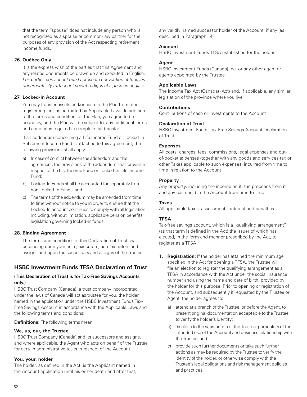<span id="page-55-0"></span>that the term "spouse" does not include any person who is not recognized as a spouse or common-law partner for the purposes of any provision of the Act respecting retirement income funds.

#### **26. Québec Only**

 It is the express wish of the parties that this Agreement and any related documents be drawn up and executed in English. Les parties convienent que la présente convention et tous les documents s'y rattachant soient rédigés et signés en anglais.

#### **27. Locked-In Account**

 You may transfer assets and/or cash to the Plan from other registered plans as permitted by Applicable Laws. In addition to the terms and conditions of the Plan, you agree to be bound by, and the Plan will be subject to, any additional terms and conditions required to complete the transfer.

 If an addendum concerning a Life Income Fund or Locked-In Retirement Income Fund is attached to this agreement, the following provisions shall apply:

- a) In case of conflict between the addendum and this agreement, the provisions of the addendum shall prevail in respect of the Life Income Fund or Locked-In Life Income Fund;
- b) Locked-In Funds shall be accounted for separately from non Locked-In Funds; and
- c) The terms of the addendum may be amended from time to time without notice to you in order to ensure that the Locked-In account continues to comply with all legislation including, without limitation, applicable pension benefits legislation governing locked-in funds.

#### **28. Binding Agreement**

 The terms and conditions of this Declaration of Trust shall be binding upon your heirs, executors, administrators and assigns and upon the successors and assigns of the Trustee.

## **HSBC Investment Funds TFSA Declaration of Trust**

## **(This Declaration of Trust is for Tax-Free Savings Accounts only.)**

HSBC Trust Company (Canada), a trust company incorporated under the laws of Canada will act as trustee for you, the holder named in the application under the HSBC Investment Funds Tax-Free Savings Account in accordance with the Applicable Laws and the following terms and conditions:

## **Definitions:** The following terms mean:

## **We, us, our, the Trustee**

HSBC Trust Company (Canada) and its successors and assigns, and where applicable, the Agent who acts on behalf of the Trustee for certain administrative tasks in respect of the Account

## **You, your, holder**

The holder, as defined in the Act, is the Applicant named in the Account application until his or her death and after that,

any validly named successor holder of the Account, if any (as described in Paragraph 14)

## **Account**

HSBC Investment Funds TFSA established for the holder

#### **Agent**

HSBC Investment Funds (Canada) Inc. or any other agent or agents appointed by the Trustee

#### **Applicable Laws**

The Income Tax Act (Canada) (Act) and, if applicable, any similar legislation of the province where you live

#### **Contributions**

Contributions of cash or investments to the Account

### **Declaration of Trust**

HSBC Investment Funds Tax-Free Savings Account Declaration of Trust

#### **Expenses**

All costs, charges, fees, commissions, legal expenses and outof-pocket expenses (together with any goods and services tax or other Taxes applicable to such expenses) incurred from time to time in relation to the Account

#### **Property**

Any property, including the income on it, the proceeds from it and any cash held in the Account from time to time

#### **Taxes**

All applicable taxes, assessments, interest and penalties

#### **TFSA**

Tax-free savings account, which is a "qualifying arrangement" (as that term is defined in the Act) the issuer of which has elected, in the form and manner prescribed by the Act, to register as a TFSA

- **1. Registration:** If the holder has attained the minimum age specified in the Act for opening a TFSA, the Trustee will file an election to register the qualifying arrangement as a TFSA in accordance with the Act under the social insurance number and using the name and date of birth, provided by the holder for this purpose. Prior to opening or registration of the Account, and subsequently if requested by the Trustee or Agent, the holder agrees to:
	- a) attend at a branch of the Trustee, or before the Agent, to present original documentation acceptable to the Trustee to verify the holder's identity;
	- b) disclose to the satisfaction of the Trustee, particulars of the intended use of the Account and business relationship with the Trustee; and
	- c) provide such further documents or take such further actions as may be required by the Trustee to verify the identity of the holder, or otherwise comply with the Trustee's legal obligations and risk management policies and practices.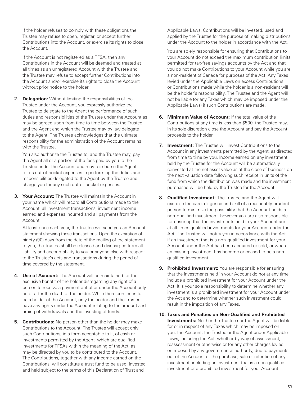If the holder refuses to comply with these obligations the Trustee may refuse to open, register, or accept further Contributions into the Account, or exercise its rights to close the Account.

 If the Account is not registered as a TFSA, then any Contributions in the Account will be deemed and treated at all times as an unregistered Account with the Trustee and the Trustee may refuse to accept further Contributions into the Account and/or exercise its rights to close the Account without prior notice to the holder.

**2. Delegation:** Without limiting the responsibilities of the Trustee under the Account, you expressly authorize the Trustee to delegate to the Agent the performance of such duties and responsibilities of the Trustee under the Account as may be agreed upon from time to time between the Trustee and the Agent and which the Trustee may by law delegate to the Agent. The Trustee acknowledges that the ultimate responsibility for the administration of the Account remains with the Trustee.

 You also authorize the Trustee to, and the Trustee may, pay the Agent all or a portion of the fees paid by you to the Trustee under the Account and may reimburse the Agent for its out-of-pocket expenses in performing the duties and responsibilities delegated to the Agent by the Trustee and charge you for any such out-of-pocket expenses.

**3. Your Account:** The Trustee will maintain the Account in your name which will record all Contributions made to the Account, all investment transactions, investment income earned and expenses incurred and all payments from the Account.

At least once each year, the Trustee will send you an Account statement showing these transactions. Upon the expiration of ninety (90) days from the date of the mailing of the statement to you, the Trustee shall be released and discharged from all liability and accountability to you or anyone else with respect to the Trustee's acts and transactions during the period of time covered by the statement.

- **4. Use of Account:** The Account will be maintained for the exclusive benefit of the holder disregarding any right of a person to receive a payment out of or under the Account only on or after the death of the holder. While there continues to be a holder of the Account, only the holder and the Trustee have any rights under the Account relating to the amount and timing of withdrawals and the investing of funds.
- **5. Contributions:** No person other than the holder may make Contributions to the Account. The Trustee will accept only such Contributions, in a form acceptable to it, of cash or investments permitted by the Agent, which are qualified investments for TFSAs within the meaning of the Act, as may be directed by you to be contributed to the Account. The Contributions, together with any income earned on the Contributions, will constitute a trust fund to be used, invested and held subject to the terms of this Declaration of Trust and

Applicable Laws. Contributions will be invested, used and applied by the Trustee for the purpose of making distributions under the Account to the holder in accordance with the Act.

 You are solely responsible for ensuring that Contributions to your Account do not exceed the maximum contribution limits permitted for tax-free savings accounts by the Act and that you do not make Contributions to your Account while you are a non-resident of Canada for purposes of the Act. Any Taxes levied under the Applicable Laws on excess Contributions or Contributions made while the holder is a non-resident will be the holder's responsibility. The Trustee and the Agent will not be liable for any Taxes which may be imposed under the Applicable Laws) if such Contributions are made.

- **6. Minimum Value of Account:** If the total value of the Contributions at any time is less than \$500, the Trustee may, in its sole discretion close the Account and pay the Account proceeds to the holder.
- **7. Investment:** The Trustee will invest Contributions to the Account in any investments permitted by the Agent, as directed from time to time by you. Income earned on any investment held by the Trustee for the Account will be automatically reinvested at the net asset value as at the close of business on the next valuation date following such receipt in units of the fund from which the distribution was made and the investment purchased will be held by the Trustee for the Account.
- **8. Qualified Investment:** The Trustee and the Agent will exercise the care, diligence and skill of a reasonably prudent person to minimize the possibility that the Account holds a non-qualified investment, however you are also responsible for ensuring that the investments held in your Account are at all times qualified investments for your Account under the Act. The Trustee will notify you in accordance with the Act if an investment that is a non-qualified investment for your Account under the Act has been acquired or sold, or where an existing investment has become or ceased to be a nonqualified investment.
- **9. Prohibited Investment:** You are responsible for ensuring that the investments held in your Account do not at any time include a prohibited investment for your Account under the Act. It is your sole responsibility to determine whether any investment is a prohibited investment for your Account under the Act and to determine whether such investment could result in the imposition of any Taxes.
- **10. Taxes and Penalties on Non-Qualified and Prohibited Investments:** Neither the Trustee nor the Agent will be liable for or in respect of any Taxes which may be imposed on you, the Account, the Trustee or the Agent under Applicable Laws, including the Act, whether by way of assessment, reassessment or otherwise or for any other charges levied or imposed by any governmental authority, due to payments out of the Account or the purchase, sale or retention of any investment, including an investment that is a non-qualified investment or a prohibited investment for your Account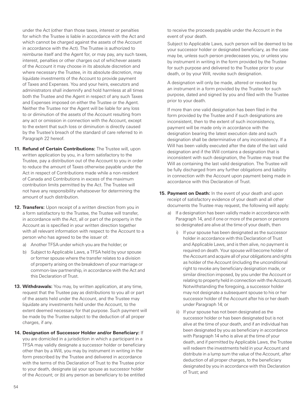under the Act (other than those taxes, interest or penalties for which the Trustee is liable in accordance with the Act and which cannot be charged against the assets of the Account in accordance with the Act). The Trustee is authorized to reimburse itself and the Agent for, or may pay, any such taxes, interest, penalties or other charges out of whichever assets of the Account it may choose in its absolute discretion and where necessary the Trustee, in its absolute discretion, may liquidate investments of the Account to provide payment of Taxes and Expenses. You and your heirs, executors and administrators shall indemnify and hold harmless at all times both the Trustee and the Agent in respect of any such Taxes and Expenses imposed on either the Trustee or the Agent. Neither the Trustee nor the Agent will be liable for any loss to or diminution of the assets of the Account resulting from any act or omission in connection with the Account, except to the extent that such loss or diminution is directly caused by the Trustee's breach of the standard of care referred to in Paragraph 22 hereof.

- **11. Refund of Certain Contributions:** The Trustee will, upon written application by you, in a form satisfactory to the Trustee, pay a distribution out of the Account to you in order to reduce the amount of Taxes otherwise payable under the Act in respect of Contributions made while a non-resident of Canada and Contributions in excess of the maximum contribution limits permitted by the Act. The Trustee will not have any responsibility whatsoever for determining the amount of such distribution.
- **12. Transfers:** Upon receipt of a written direction from you in a form satisfactory to the Trustee, the Trustee will transfer, in accordance with the Act, all or part of the property in the Account as is specified in your written direction together with all relevant information with respect to the Account to a person who has agreed to be the issuer of:
	- a) Another TFSA under which you are the holder; or
	- b) Subject to Applicable Laws, a TFSA held by your spouse or former spouse where the transfer relates to a division of property arising on the breakdown of your marriage or common-law partnership, in accordance with the Act and this Declaration of Trust.
- **13. Withdrawals:** You may, by written application, at any time, request that the Trustee pay as distributions to you all or part of the assets held under the Account, and the Trustee may liquidate any investments held under the Account, to the extent deemed necessary for that purpose. Such payment will be made by the Trustee subject to the deduction of all proper charges, if any.
- **14. Designation of Successor Holder and/or Beneficiary:** If you are domiciled in a jurisdiction in which a participant in a TFSA may validly designate a successor holder or beneficiary other than by a Will, you may by instrument in writing in the form prescribed by the Trustee and delivered in accordance with the terms of this Declaration of Trust to the Trustee prior to your death, designate (a) your spouse as successor holder of the Account; or (b) any person as beneficiary to be entitled

to receive the proceeds payable under the Account in the event of your death.

 Subject to Applicable Laws, such person will be deemed to be your successor holder or designated beneficiary, as the case may be, unless such person predeceases you, or unless you by instrument in writing in the form provided by the Trustee for such purpose and delivered to the Trustee prior to your death, or by your Will, revoke such designation.

 A designation will only be made, altered or revoked by an instrument in a form provided by the Trustee for such purpose, dated and signed by you and filed with the Trustee prior to your death.

 If more than one valid designation has been filed in the form provided by the Trustee and if such designations are inconsistent, then to the extent of such inconsistency, payment will be made only in accordance with the designation bearing the latest execution date and such designation shall be determinative of any inconsistency. If a Will has been validly executed after the date of the last valid designation and if the Will contains a designation that is inconsistent with such designation, the Trustee may treat the Will as containing the last valid designation. The Trustee will be fully discharged from any further obligations and liability in connection with the Account upon payment being made in accordance with this Declaration of Trust.

- **15. Payment on Death:** In the event of your death and upon receipt of satisfactory evidence of your death and all other documents the Trustee may request, the following will apply:
	- a) If a designation has been validly made in accordance with Paragraph 14, and if one or more of the person or persons so designated are alive at the time of your death, then
		- i) If your spouse has been designated as the successor holder in accordance with this Declaration of Trust and Applicable Laws, and is then alive, no payment is required on death. Your spouse will become holder of the Account and acquire all of your obligations and rights as holder of the Account (including the unconditional right to revoke any beneficiary designation made, or similar direction imposed, by you under the Account or relating to property held in connection with the Account). Notwithstanding the foregoing, a successor holder may not designate a subsequent spouse to his or her successor holder of the Account after his or her death under Paragraph 14; or
		- ii) If your spouse has not been designated as the successor holder or has been designated but is not alive at the time of your death, and if an individual has been designated by you as beneficiary in accordance with Paragraph 14 who is alive at the time of your death, and if permitted by Applicable Laws, the Trustee will redeem the investments held in your Account and distribute in a lump sum the value of the Account, after deduction of all proper charges, to the beneficiary designated by you in accordance with this Declaration of Trust; and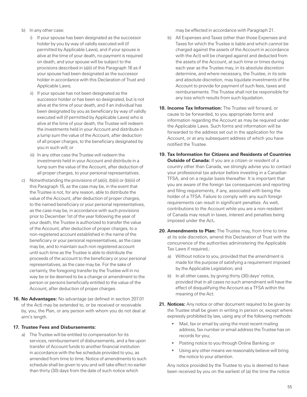- b) In any other case:
	- i) If your spouse has been designated as the successor holder by you by way of validly executed will (if permitted by Applicable Laws), and if your spouse is alive at the time of your death, no payment is required on death, and your spouse will be subject to the provisions described in (a)(i) of this Paragraph 16 as if your spouse had been designated as the successor holder in accordance with this Declaration of Trust and Applicable Laws;
	- ii) If your spouse has not been designated as the successor holder or has been so designated, but is not alive at the time of your death, and if an individual has been designated by you as beneficiary by way of validly executed will (if permitted by Applicable Laws) who is alive at the time of your death, the Trustee will redeem the investments held in your Account and distribute in a lump sum the value of the Account, after deduction of all proper charges, to the beneficiary designated by you in such will; or
	- iii) In any other case the Trustee will redeem the investments held in your Account and distribute in a lump sum the value of the Account, after deduction of all proper charges, to your personal representatives.
- c) Notwithstanding the provisions of (a)(ii), (b)(ii) or (b)(iii) of this Paragraph 15, as the case may be, in the event that the Trustee is not, for any reason, able to distribute the value of the Account, after deduction of proper charges, to the named beneficiary or your personal representatives, as the case may be, in accordance with such provisions prior to December 1st of the year following the year of your death, the Trustee is authorized to transfer the value of the Account, after deduction of proper charges, to a non-registered account established in the name of the beneficiary or your personal representatives, as the case may be, and to maintain such non registered account until such time as the Trustee is able to distribute the proceeds of the account to the beneficiary or your personal representatives, as the case may be. For the sake of certainty, the foregoing transfer by the Trustee will in no way be or be deemed to be a change or amendment to the person or persons beneficially entitled to the value of the Account, after deduction of proper charges.
- **16. No Advantages:** No advantage (as defined in section 207.01 of the Act) may be extended to, or be received or receivable by, you, the Plan, or any person with whom you do not deal at arm's length.

#### **17. Trustee Fees and Disbursements:**

a) The Trustee will be entitled to compensation for its services, reimbursement of disbursements, and a fee upon transfer of Account funds to another financial institution in accordance with the fee schedule provided to you, as amended from time to time. Notice of amendments to such schedule shall be given to you and will take effect no earlier than thirty (30) days from the date of such notice which

may be effected in accordance with Paragraph 21.

- b) All Expenses and Taxes (other than those Expenses and Taxes for which the Trustee is liable and which cannot be charged against the assets of the Account in accordance with the Act) will be charged against and deducted from the assets of the Account, at such time or times during each year as the Trustee may, in its absolute discretion determine, and where necessary, the Trustee, in its sole and absolute discretion, may liquidate investments of the Account to provide for payment of such fees, taxes and reimbursements. The Trustee shall not be responsible for any loss which results from such liquidation.
- **18. Income Tax Information:** The Trustee will forward, or cause to be forwarded, to you appropriate forms and information regarding the Account as may be required under the Applicable Laws. Such forms and information will be forwarded to the address set out in the application for the Account, or at any subsequent address of which you have notified the Trustee.
- **19. Tax Information for Citizens and Residents of Countries Outside of Canada:** If you are a citizen or resident of a country other than Canada, we strongly advise you to contact your professional tax advisor before investing in a Canadian TFSA, and on a regular basis thereafter. It is important that you are aware of the foreign tax consequences and reporting and filing requirements, if any, associated with being the holder of a TFSA. Failure to comply with any such foreign requirements can result in significant penalties. As well, contributions to the Account while you are a non-resident of Canada may result in taxes, interest and penalties being imposed under the Act**.**
- **20. Amendments to Plan:** The Trustee may, from time to time at its sole discretion, amend this Declaration of Trust with the concurrence of the authorities administering the Applicable Tax Laws if required,:
	- a) Without notice to you, provided that the amendment is made for the purpose of satisfying a requirement imposed by the Applicable Legislation; and
	- b) In all other cases, by giving thirty (30) days' notice, provided that in all cases no such amendment will have the effect of disqualifying the Account as a TFSA within the meaning of the Act.
- **21. Notices:** Any notice or other document required to be given by the Trustee shall be given in writing in person or, except where expressly prohibited by law, using any of the following methods:
	- Mail, fax or email by using the most recent mailing address, fax number or email address the Trustee has on records for you;
	- Posting notice to you through Online Banking; or
	- Using any other means we reasonably believe will bring the notice to your attention.

 Any notice provided by the Trustee to you is deemed to have been received by you on the earliest of (a) the time the notice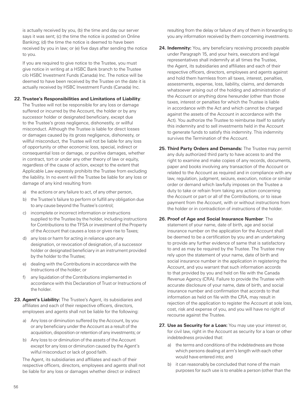is actually received by you, (b) the time and day our server says it was sent; (c) the time the notice is posted on Online Banking; (d) the time the notice is deemed to have been received by you in law; or (e) five days after sending the notice to you.

 If you are required to give notice to the Trustee, you must give notice in writing at a HSBC Bank branch to the Trustee c/o HSBC Investment Funds (Canada) Inc. The notice will be deemed to have been received by the Trustee on the date it is actually received by HSBC Investment Funds (Canada) Inc.

#### **22. Trustee's Responsibilities and Limitations of Liability**:

The Trustee will not be responsible for any loss or damage suffered or incurred by the Account, the holder or by any successor holder or designated beneficiary, except due to the Trustee's gross negligence, dishonestly, or willful misconduct. Although the Trustee is liable for direct losses or damages caused by its gross negligence, dishonesty, or willful misconduct, the Trustee will not be liable for any loss of opportunity or other economic loss, special, indirect or consequential loss or damage, or punitive damages, whether in contract, tort or under any other theory of law or equity, regardless of the cause of action, except to the extent that Applicable Law expressly prohibits the Trustee from excluding the liability. In no event will the Trustee be liable for any loss or damage of any kind resulting from

- a) the actions or any failure to act, of any other person,
- b) the Trustee's failure to perform or fulfill any obligation due to any cause beyond the Trustee's control;
- c) incomplete or incorrect information or instructions supplied to the Trustee by the holder, including instructions for Contributions to the TFSA or investment of the Property of the Account that causes a loss or gives rise to Taxes;
- d) any loss or harm for acting in reliance upon any designation, or revocation of designation, of a successor holder or designated beneficiary in an instrument provided by the holder to the Trustee;
- e) dealing with the Contributions in accordance with the Instructions of the holder; or
- f) any liquidation of the Contributions implemented in accordance with this Declaration of Trust or Instructions of the holder.
- **23. Agent's Liability:** The Trustee's Agent, its subsidiaries and affiliates and each of their respective officers, directors, employees and agents shall not be liable for the following:
	- a) Any loss or diminution suffered by the Account, by you or any beneficiary under the Account as a result of the acquisition, disposition or retention of any investments; or
	- b) Any loss to or diminution of the assets of the Account except for any loss or diminution caused by the Agent's wilful misconduct or lack of good faith.

 The Agent, its subsidiaries and affiliates and each of their respective officers, directors, employees and agents shall not be liable for any loss or damages whether direct or indirect

resulting from the delay or failure of any of them in forwarding to you any information received by them concerning investments.

- **24. Indemnity:** You, any beneficiary receiving proceeds payable under Paragraph 15, and your heirs, executors and legal representatives shall indemnify at all times the Trustee, the Agent, its subsidiaries and affiliates and each of their respective officers, directors, employees and agents against and hold them harmless from all taxes, interest, penalties, assessments, expense, loss, liability, claims, and demands whatsoever arising out of the holding and administration of the Account or anything done hereunder (other than those taxes, interest or penalties for which the Trustee is liable in accordance with the Act and which cannot be charged against the assets of the Account in accordance with the Act). You authorize the Trustee to reimburse itself to satisfy this indemnity and to sell investments held in the Account to generate funds to satisfy this indemnity. This indemnity survives the Termination of the Account.
- **25. Third Party Orders and Demands:** The Trustee may permit any duly authorized third party to have access to and the right to examine and make copies of any records, documents, paper and books involving any transaction of the Account or related to the Account as required and in compliance with any law, regulation, judgment, seizure, execution, notice or similar order or demand which lawfully imposes on the Trustee a duty to take or refrain from taking any action concerning the Account or part or all of the Contributions, or to issue payment from the Account, with or without instructions from the holder or in contradiction of instructions of the holder.
- **26. Proof of Age and Social Insurance Number**: The statement of your name, date of birth, age and social insurance number on the application for the Account shall be deemed to be a certification by you and an undertaking to provide any further evidence of same that is satisfactory to and as may be required by the Trustee. The Trustee may rely upon the statement of your name, date of birth and social insurance number in the application in registering the Account, and you warrant that such information accords to that provided by you and held on file with the Canada Revenue Agency (CRA). Failure to provide the Trustee with accurate disclosure of your name, date of birth, and social insurance number and confirmation that accords to that information as held on file with the CRA, may result in rejection of the application to register the Account at sole loss, cost, risk and expense of you, and you will have no right of recourse against the Trustee.
- **27. Use as Security for a Loan:** You may use your interest or, for civil law, right in the Account as security for a loan or other indebtedness provided that:
	- a) the terms and conditions of the indebtedness are those which persons dealing at arm's length with each other would have entered into; and
	- b) it can reasonably be concluded that none of the main purposes for such use is to enable a person (other than the